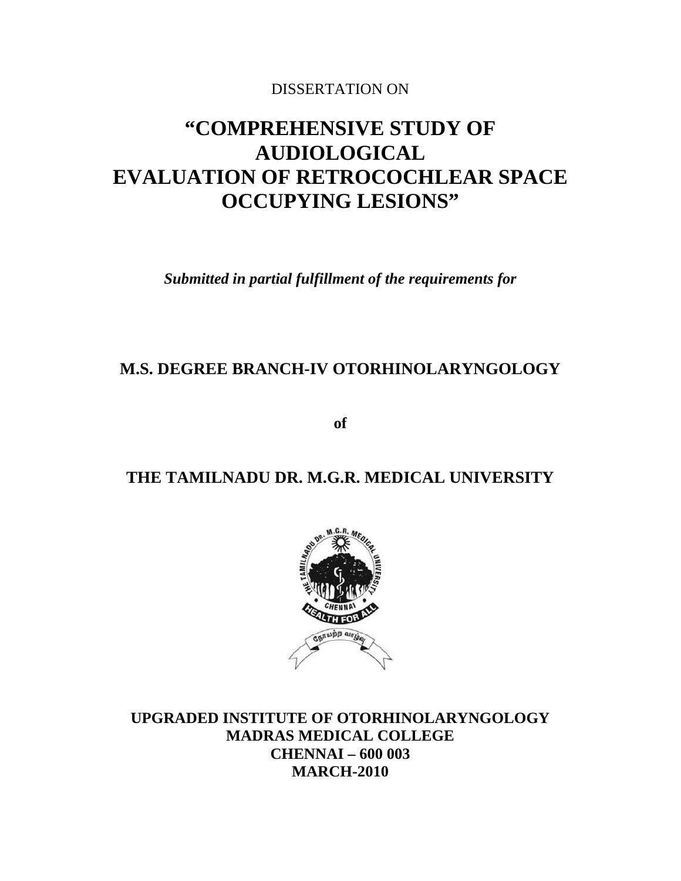# DISSERTATION ON

# **"COMPREHENSIVE STUDY OF AUDIOLOGICAL EVALUATION OF RETROCOCHLEAR SPACE OCCUPYING LESIONS"**

*Submitted in partial fulfillment of the requirements for*

# **M.S. DEGREE BRANCH-IV OTORHINOLARYNGOLOGY**

**of**

# **THE TAMILNADU DR. M.G.R. MEDICAL UNIVERSITY**



**UPGRADED INSTITUTE OF OTORHINOLARYNGOLOGY MADRAS MEDICAL COLLEGE CHENNAI – 600 003 MARCH-2010**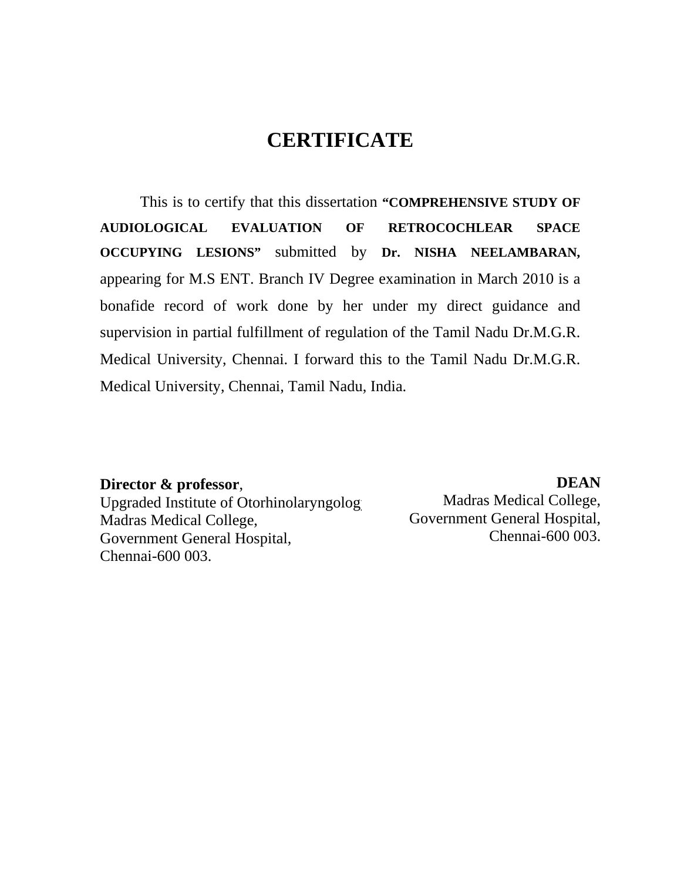# **CERTIFICATE**

This is to certify that this dissertation **"COMPREHENSIVE STUDY OF AUDIOLOGICAL EVALUATION OF RETROCOCHLEAR SPACE OCCUPYING LESIONS"** submitted by **Dr. NISHA NEELAMBARAN,** appearing for M.S ENT. Branch IV Degree examination in March 2010 is a bonafide record of work done by her under my direct guidance and supervision in partial fulfillment of regulation of the Tamil Nadu Dr.M.G.R. Medical University, Chennai. I forward this to the Tamil Nadu Dr.M.G.R. Medical University, Chennai, Tamil Nadu, India.

#### **Director & professor**,

Upgraded Institute of Otorhinolaryngology Madras Medical College, Government General Hospital, Chennai-600 003.

**DEAN** Madras Medical College, Government General Hospital, Chennai-600 003.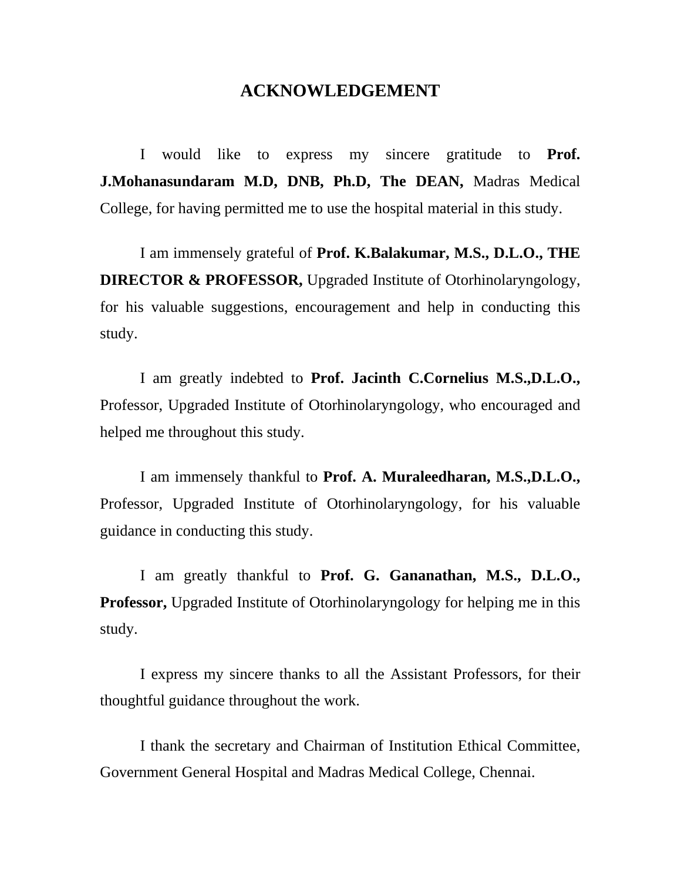# **ACKNOWLEDGEMENT**

I would like to express my sincere gratitude to **Prof. J.Mohanasundaram M.D, DNB, Ph.D, The DEAN,** Madras Medical College, for having permitted me to use the hospital material in this study.

I am immensely grateful of **Prof. K.Balakumar, M.S., D.L.O., THE DIRECTOR & PROFESSOR,** Upgraded Institute of Otorhinolaryngology, for his valuable suggestions, encouragement and help in conducting this study.

I am greatly indebted to **Prof. Jacinth C.Cornelius M.S.,D.L.O.,** Professor, Upgraded Institute of Otorhinolaryngology, who encouraged and helped me throughout this study.

I am immensely thankful to **Prof. A. Muraleedharan, M.S.,D.L.O.,** Professor, Upgraded Institute of Otorhinolaryngology, for his valuable guidance in conducting this study.

I am greatly thankful to **Prof. G. Gananathan, M.S., D.L.O., Professor,** Upgraded Institute of Otorhinolaryngology for helping me in this study.

I express my sincere thanks to all the Assistant Professors, for their thoughtful guidance throughout the work.

I thank the secretary and Chairman of Institution Ethical Committee, Government General Hospital and Madras Medical College, Chennai.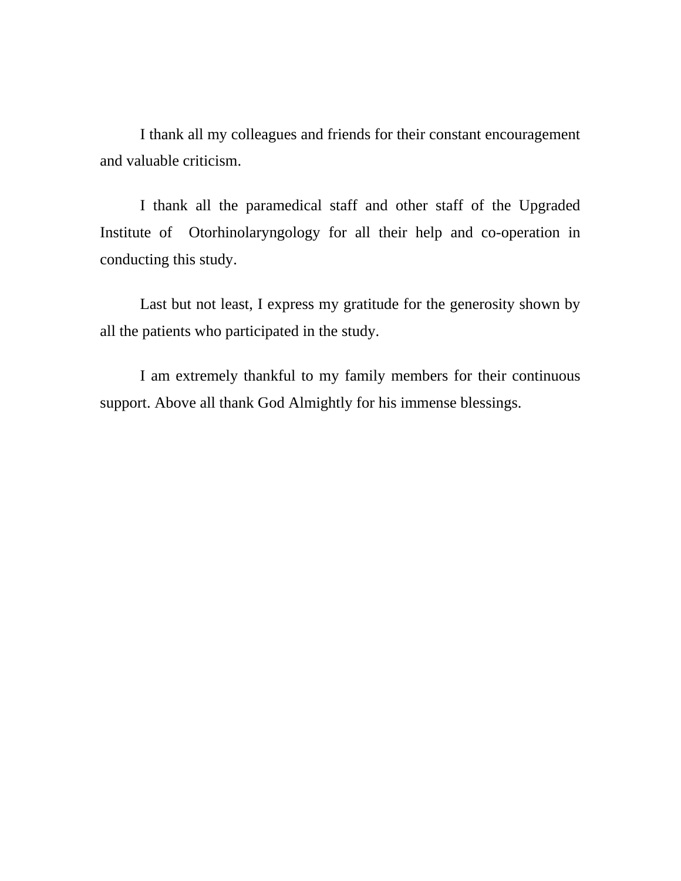I thank all my colleagues and friends for their constant encouragement and valuable criticism.

I thank all the paramedical staff and other staff of the Upgraded Institute of Otorhinolaryngology for all their help and co-operation in conducting this study.

Last but not least, I express my gratitude for the generosity shown by all the patients who participated in the study.

I am extremely thankful to my family members for their continuous support. Above all thank God Almightly for his immense blessings.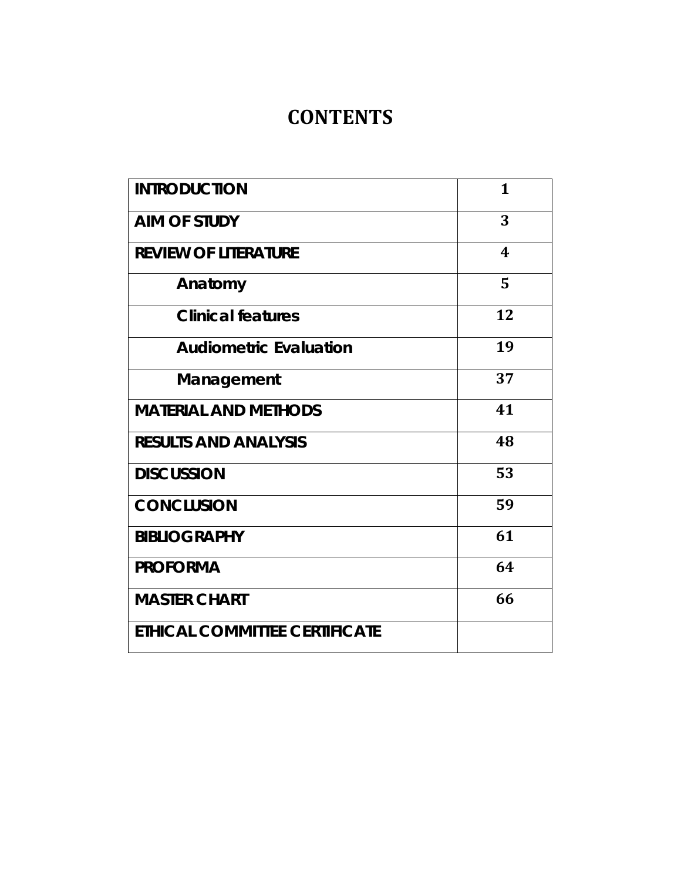# **CONTENTS**

| <b>INTRODUCTION</b>           | 1  |
|-------------------------------|----|
| <b>AIM OF STUDY</b>           | 3  |
| <b>REVIEW OF LITERATURE</b>   | 4  |
| Anatomy                       | 5  |
| <b>Clinical features</b>      | 12 |
| <b>Audiometric Evaluation</b> | 19 |
| Management                    | 37 |
| <b>MATERIAL AND METHODS</b>   | 41 |
| <b>RESULTS AND ANALYSIS</b>   | 48 |
| <b>DISCUSSION</b>             | 53 |
| <b>CONCLUSION</b>             | 59 |
| <b>BIBLIOGRAPHY</b>           | 61 |
| <b>PROFORMA</b>               | 64 |
| <b>MASTER CHART</b>           | 66 |
| ETHICAL COMMITTEE CERTIFICATE |    |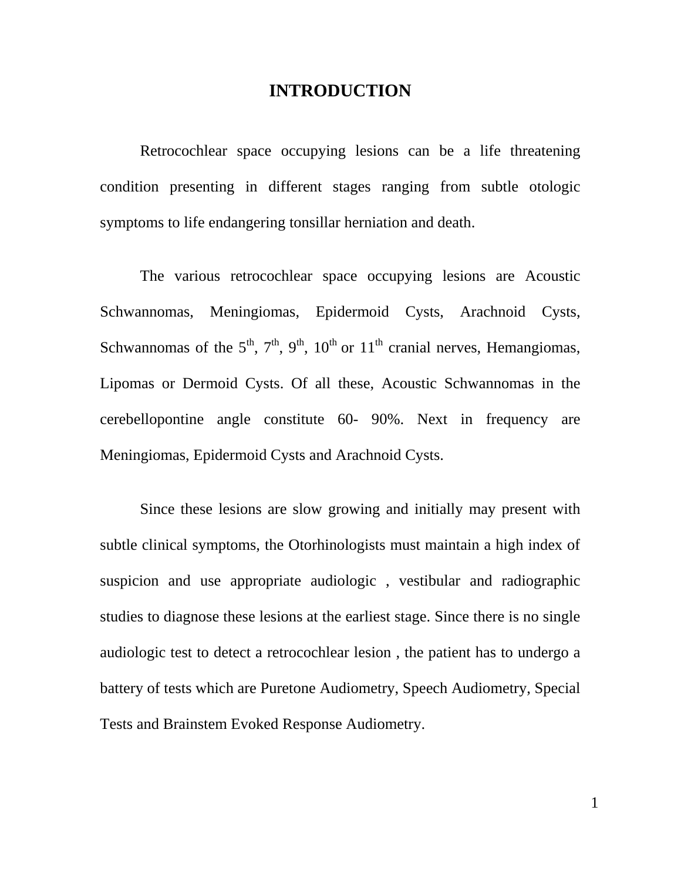# **INTRODUCTION**

Retrocochlear space occupying lesions can be a life threatening condition presenting in different stages ranging from subtle otologic symptoms to life endangering tonsillar herniation and death.

The various retrocochlear space occupying lesions are Acoustic Schwannomas, Meningiomas, Epidermoid Cysts, Arachnoid Cysts, Schwannomas of the  $5<sup>th</sup>$ ,  $7<sup>th</sup>$ ,  $9<sup>th</sup>$ ,  $10<sup>th</sup>$  or  $11<sup>th</sup>$  cranial nerves, Hemangiomas, Lipomas or Dermoid Cysts. Of all these, Acoustic Schwannomas in the cerebellopontine angle constitute 60- 90%. Next in frequency are Meningiomas, Epidermoid Cysts and Arachnoid Cysts.

Since these lesions are slow growing and initially may present with subtle clinical symptoms, the Otorhinologists must maintain a high index of suspicion and use appropriate audiologic , vestibular and radiographic studies to diagnose these lesions at the earliest stage. Since there is no single audiologic test to detect a retrocochlear lesion , the patient has to undergo a battery of tests which are Puretone Audiometry, Speech Audiometry, Special Tests and Brainstem Evoked Response Audiometry.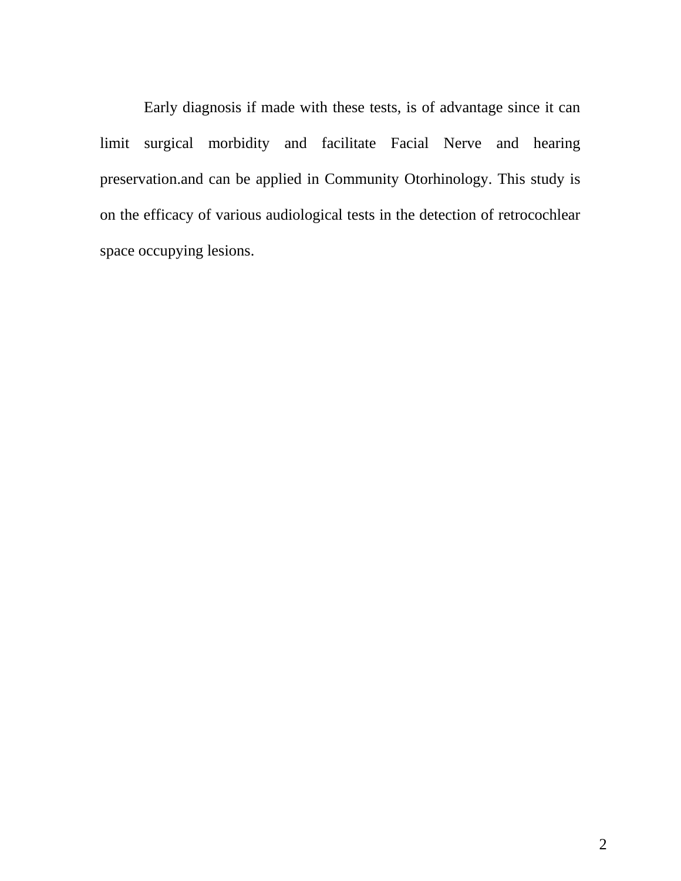Early diagnosis if made with these tests, is of advantage since it can limit surgical morbidity and facilitate Facial Nerve and hearing preservation.and can be applied in Community Otorhinology. This study is on the efficacy of various audiological tests in the detection of retrocochlear space occupying lesions.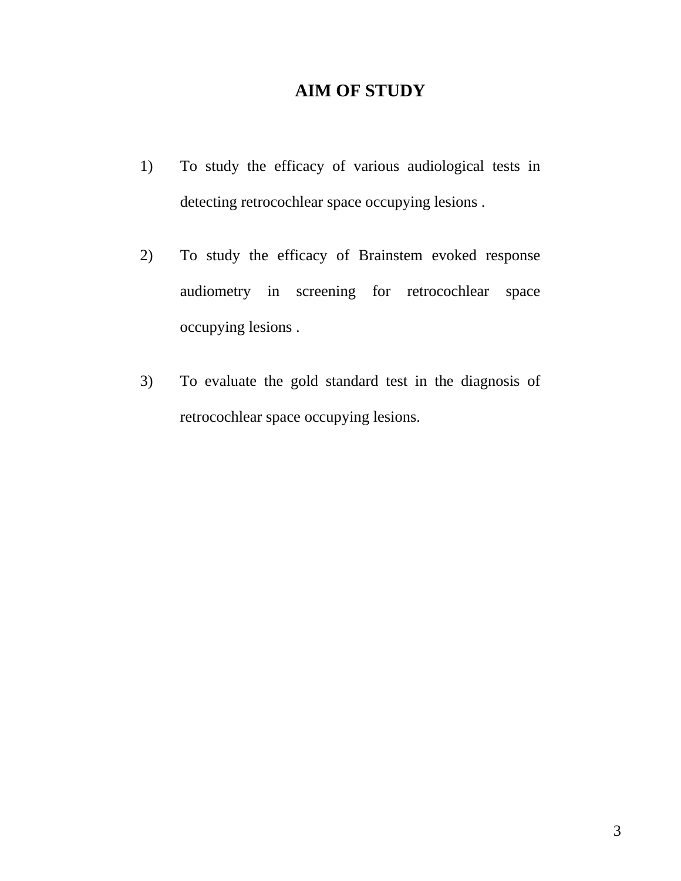# **AIM OF STUDY**

- 1) To study the efficacy of various audiological tests in detecting retrocochlear space occupying lesions .
- 2) To study the efficacy of Brainstem evoked response audiometry in screening for retrocochlear space occupying lesions .
- 3) To evaluate the gold standard test in the diagnosis of retrocochlear space occupying lesions.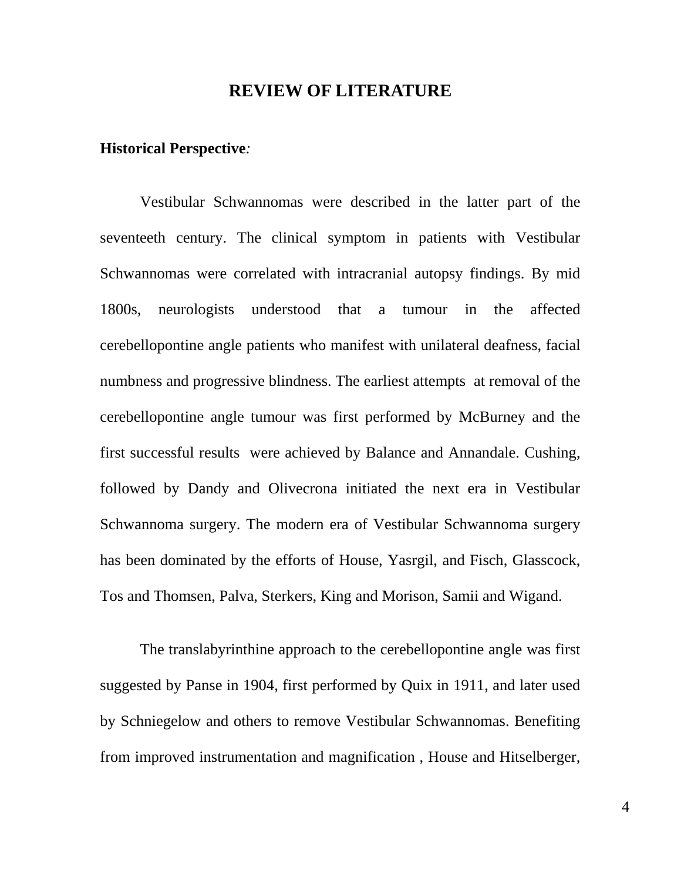# **REVIEW OF LITERATURE**

#### **Historical Perspective***:*

Vestibular Schwannomas were described in the latter part of the seventeeth century. The clinical symptom in patients with Vestibular Schwannomas were correlated with intracranial autopsy findings. By mid 1800s, neurologists understood that a tumour in the affected cerebellopontine angle patients who manifest with unilateral deafness, facial numbness and progressive blindness. The earliest attempts at removal of the cerebellopontine angle tumour was first performed by McBurney and the first successful results were achieved by Balance and Annandale. Cushing, followed by Dandy and Olivecrona initiated the next era in Vestibular Schwannoma surgery. The modern era of Vestibular Schwannoma surgery has been dominated by the efforts of House, Yasrgil, and Fisch, Glasscock, Tos and Thomsen, Palva, Sterkers, King and Morison, Samii and Wigand.

The translabyrinthine approach to the cerebellopontine angle was first suggested by Panse in 1904, first performed by Quix in 1911, and later used by Schniegelow and others to remove Vestibular Schwannomas. Benefiting from improved instrumentation and magnification , House and Hitselberger,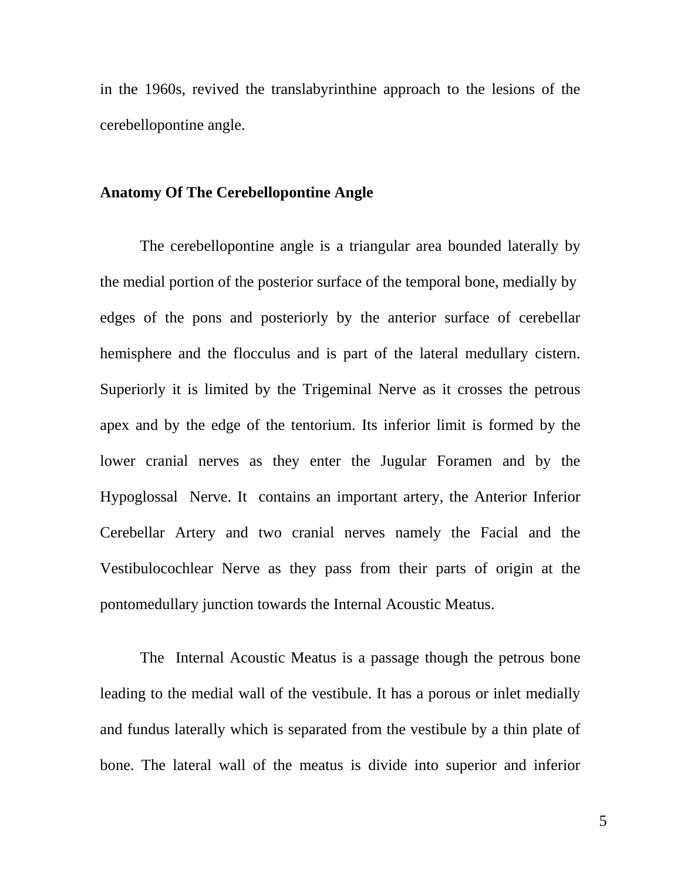in the 1960s, revived the translabyrinthine approach to the lesions of the cerebellopontine angle.

#### **Anatomy Of The Cerebellopontine Angle**

The cerebellopontine angle is a triangular area bounded laterally by the medial portion of the posterior surface of the temporal bone, medially by edges of the pons and posteriorly by the anterior surface of cerebellar hemisphere and the flocculus and is part of the lateral medullary cistern. Superiorly it is limited by the Trigeminal Nerve as it crosses the petrous apex and by the edge of the tentorium. Its inferior limit is formed by the lower cranial nerves as they enter the Jugular Foramen and by the Hypoglossal Nerve. It contains an important artery, the Anterior Inferior Cerebellar Artery and two cranial nerves namely the Facial and the Vestibulocochlear Nerve as they pass from their parts of origin at the pontomedullary junction towards the Internal Acoustic Meatus.

The Internal Acoustic Meatus is a passage though the petrous bone leading to the medial wall of the vestibule. It has a porous or inlet medially and fundus laterally which is separated from the vestibule by a thin plate of bone. The lateral wall of the meatus is divide into superior and inferior

5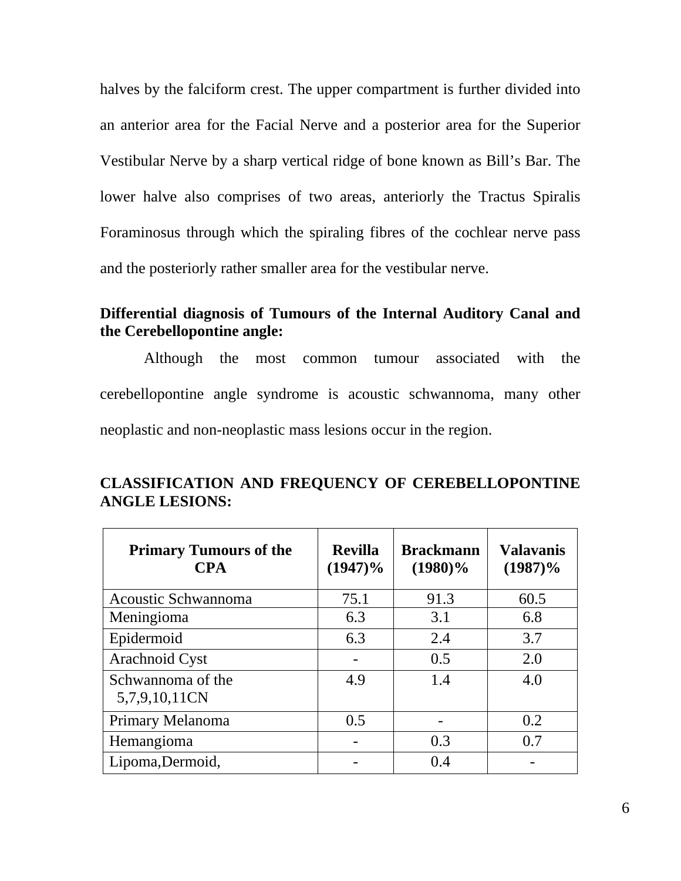halves by the falciform crest. The upper compartment is further divided into an anterior area for the Facial Nerve and a posterior area for the Superior Vestibular Nerve by a sharp vertical ridge of bone known as Bill's Bar. The lower halve also comprises of two areas, anteriorly the Tractus Spiralis Foraminosus through which the spiraling fibres of the cochlear nerve pass and the posteriorly rather smaller area for the vestibular nerve.

# **Differential diagnosis of Tumours of the Internal Auditory Canal and the Cerebellopontine angle:**

Although the most common tumour associated with the cerebellopontine angle syndrome is acoustic schwannoma, many other neoplastic and non-neoplastic mass lesions occur in the region.

| <b>Primary Tumours of the</b><br><b>CPA</b> | <b>Revilla</b><br>$(1947)\%$ | <b>Brackmann</b><br>$(1980)\%$ | <b>Valavanis</b><br>$(1987)\%$ |
|---------------------------------------------|------------------------------|--------------------------------|--------------------------------|
| Acoustic Schwannoma                         | 75.1                         | 91.3                           | 60.5                           |
| Meningioma                                  | 6.3                          | 3.1                            | 6.8                            |
| Epidermoid                                  | 6.3                          | 2.4                            | 3.7                            |
| Arachnoid Cyst                              |                              | 0.5                            | 2.0                            |
| Schwannoma of the<br>5,7,9,10,11CN          | 4.9                          | 1.4                            | 4.0                            |
| Primary Melanoma                            | 0.5                          |                                | 0.2                            |
| Hemangioma                                  |                              | 0.3                            | 0.7                            |
| Lipoma, Dermoid,                            |                              | 0.4                            |                                |

# **CLASSIFICATION AND FREQUENCY OF CEREBELLOPONTINE ANGLE LESIONS:**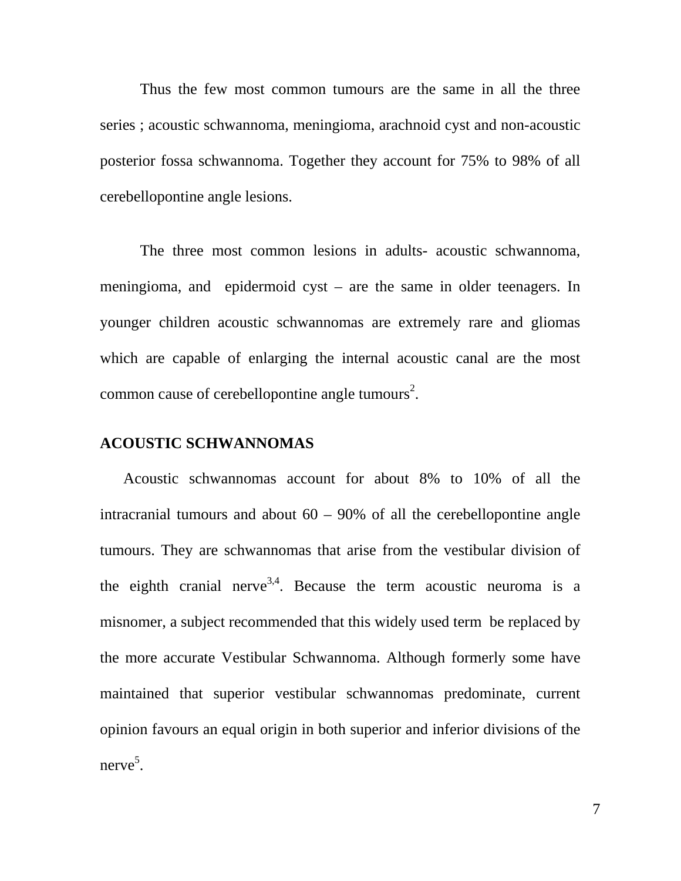Thus the few most common tumours are the same in all the three series ; acoustic schwannoma, meningioma, arachnoid cyst and non-acoustic posterior fossa schwannoma. Together they account for 75% to 98% of all cerebellopontine angle lesions.

The three most common lesions in adults- acoustic schwannoma, meningioma, and epidermoid cyst – are the same in older teenagers. In younger children acoustic schwannomas are extremely rare and gliomas which are capable of enlarging the internal acoustic canal are the most common cause of cerebellopontine angle tumours<sup>2</sup>.

#### **ACOUSTIC SCHWANNOMAS**

 Acoustic schwannomas account for about 8% to 10% of all the intracranial tumours and about  $60 - 90\%$  of all the cerebellopontine angle tumours. They are schwannomas that arise from the vestibular division of the eighth cranial nerve<sup>3,4</sup>. Because the term acoustic neuroma is a misnomer, a subject recommended that this widely used term be replaced by the more accurate Vestibular Schwannoma. Although formerly some have maintained that superior vestibular schwannomas predominate, current opinion favours an equal origin in both superior and inferior divisions of the nerve<sup>5</sup>.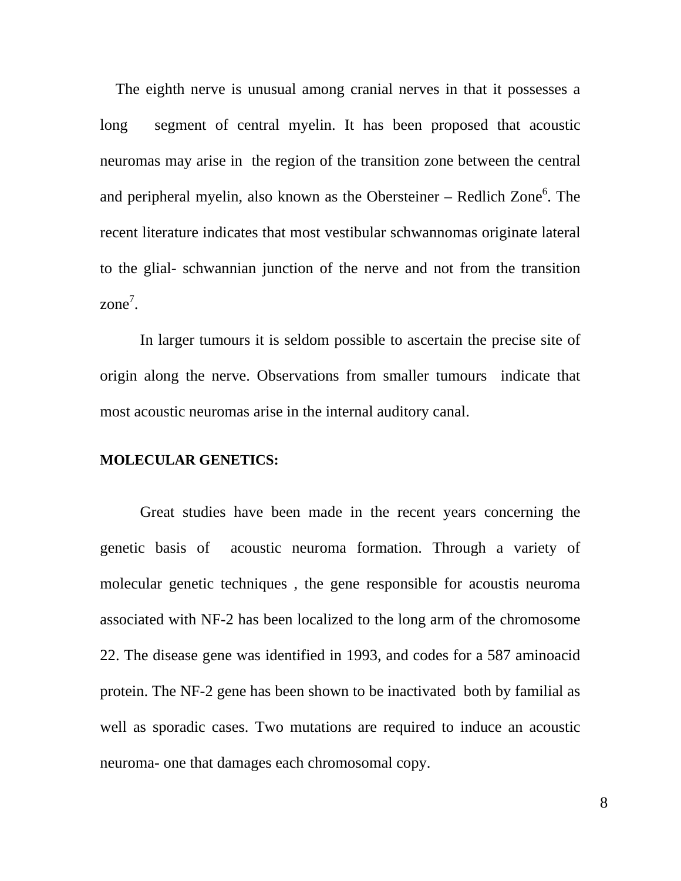The eighth nerve is unusual among cranial nerves in that it possesses a long segment of central myelin. It has been proposed that acoustic neuromas may arise in the region of the transition zone between the central and peripheral myelin, also known as the Obersteiner – Redlich Zone<sup>6</sup>. The recent literature indicates that most vestibular schwannomas originate lateral to the glial- schwannian junction of the nerve and not from the transition  $zone<sup>7</sup>$ .

In larger tumours it is seldom possible to ascertain the precise site of origin along the nerve. Observations from smaller tumours indicate that most acoustic neuromas arise in the internal auditory canal.

#### **MOLECULAR GENETICS:**

Great studies have been made in the recent years concerning the genetic basis of acoustic neuroma formation. Through a variety of molecular genetic techniques , the gene responsible for acoustis neuroma associated with NF-2 has been localized to the long arm of the chromosome 22. The disease gene was identified in 1993, and codes for a 587 aminoacid protein. The NF-2 gene has been shown to be inactivated both by familial as well as sporadic cases. Two mutations are required to induce an acoustic neuroma- one that damages each chromosomal copy.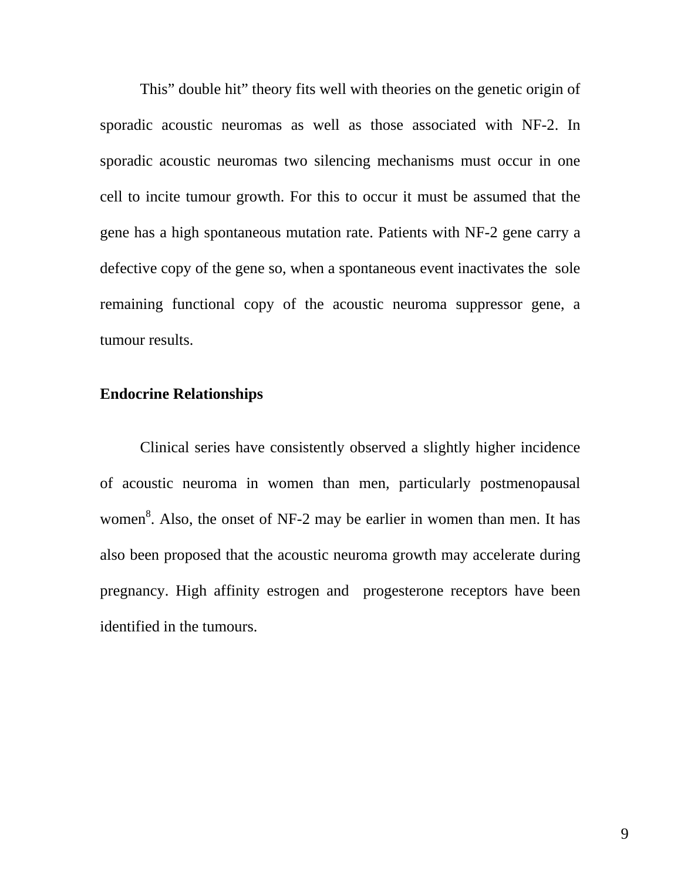This" double hit" theory fits well with theories on the genetic origin of sporadic acoustic neuromas as well as those associated with NF-2. In sporadic acoustic neuromas two silencing mechanisms must occur in one cell to incite tumour growth. For this to occur it must be assumed that the gene has a high spontaneous mutation rate. Patients with NF-2 gene carry a defective copy of the gene so, when a spontaneous event inactivates the sole remaining functional copy of the acoustic neuroma suppressor gene, a tumour results.

# **Endocrine Relationships**

Clinical series have consistently observed a slightly higher incidence of acoustic neuroma in women than men, particularly postmenopausal women<sup>8</sup>. Also, the onset of NF-2 may be earlier in women than men. It has also been proposed that the acoustic neuroma growth may accelerate during pregnancy. High affinity estrogen and progesterone receptors have been identified in the tumours.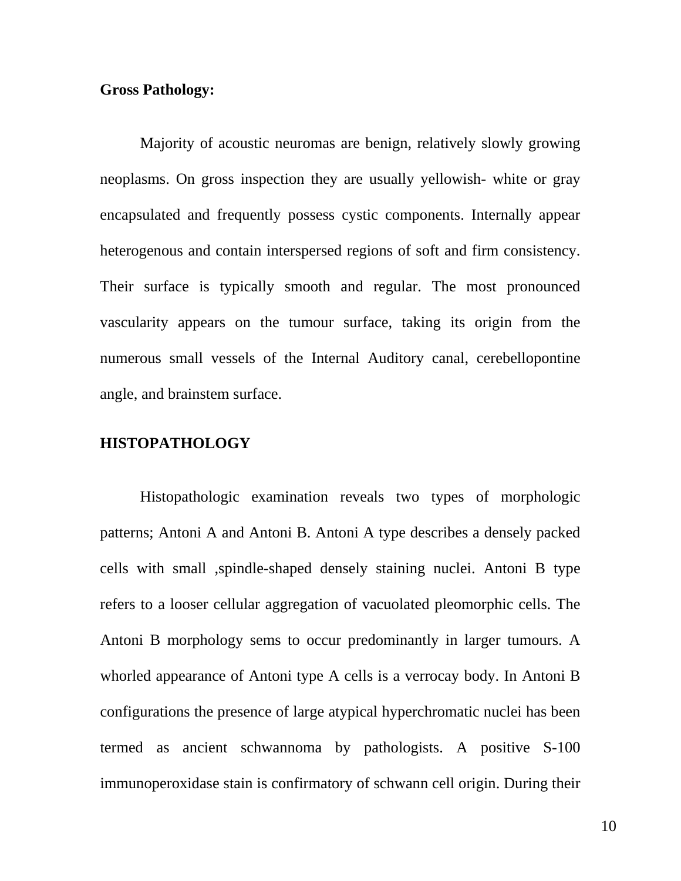### **Gross Pathology:**

Majority of acoustic neuromas are benign, relatively slowly growing neoplasms. On gross inspection they are usually yellowish- white or gray encapsulated and frequently possess cystic components. Internally appear heterogenous and contain interspersed regions of soft and firm consistency. Their surface is typically smooth and regular. The most pronounced vascularity appears on the tumour surface, taking its origin from the numerous small vessels of the Internal Auditory canal, cerebellopontine angle, and brainstem surface.

# **HISTOPATHOLOGY**

Histopathologic examination reveals two types of morphologic patterns; Antoni A and Antoni B. Antoni A type describes a densely packed cells with small ,spindle-shaped densely staining nuclei. Antoni B type refers to a looser cellular aggregation of vacuolated pleomorphic cells. The Antoni B morphology sems to occur predominantly in larger tumours. A whorled appearance of Antoni type A cells is a verrocay body. In Antoni B configurations the presence of large atypical hyperchromatic nuclei has been termed as ancient schwannoma by pathologists. A positive S-100 immunoperoxidase stain is confirmatory of schwann cell origin. During their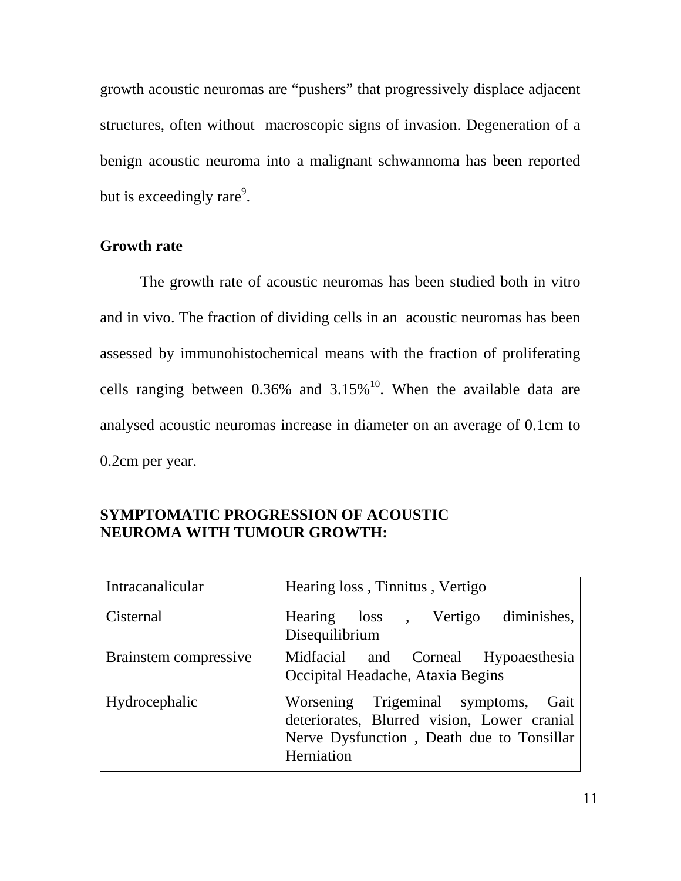growth acoustic neuromas are "pushers" that progressively displace adjacent structures, often without macroscopic signs of invasion. Degeneration of a benign acoustic neuroma into a malignant schwannoma has been reported but is exceedingly rare<sup>9</sup>.

## **Growth rate**

The growth rate of acoustic neuromas has been studied both in vitro and in vivo. The fraction of dividing cells in an acoustic neuromas has been assessed by immunohistochemical means with the fraction of proliferating cells ranging between  $0.36\%$  and  $3.15\%$ <sup>10</sup>. When the available data are analysed acoustic neuromas increase in diameter on an average of 0.1cm to 0.2cm per year.

| Intracanalicular      | Hearing loss, Tinnitus, Vertigo                                                                                                                  |
|-----------------------|--------------------------------------------------------------------------------------------------------------------------------------------------|
| Cisternal             | Hearing loss, Vertigo diminishes,<br>Disequilibrium                                                                                              |
| Brainstem compressive | Midfacial and Corneal Hypoaesthesia<br>Occipital Headache, Ataxia Begins                                                                         |
| Hydrocephalic         | Worsening Trigeminal symptoms,<br>Gait<br>deteriorates, Blurred vision, Lower cranial<br>Nerve Dysfunction, Death due to Tonsillar<br>Herniation |

# **SYMPTOMATIC PROGRESSION OF ACOUSTIC NEUROMA WITH TUMOUR GROWTH:**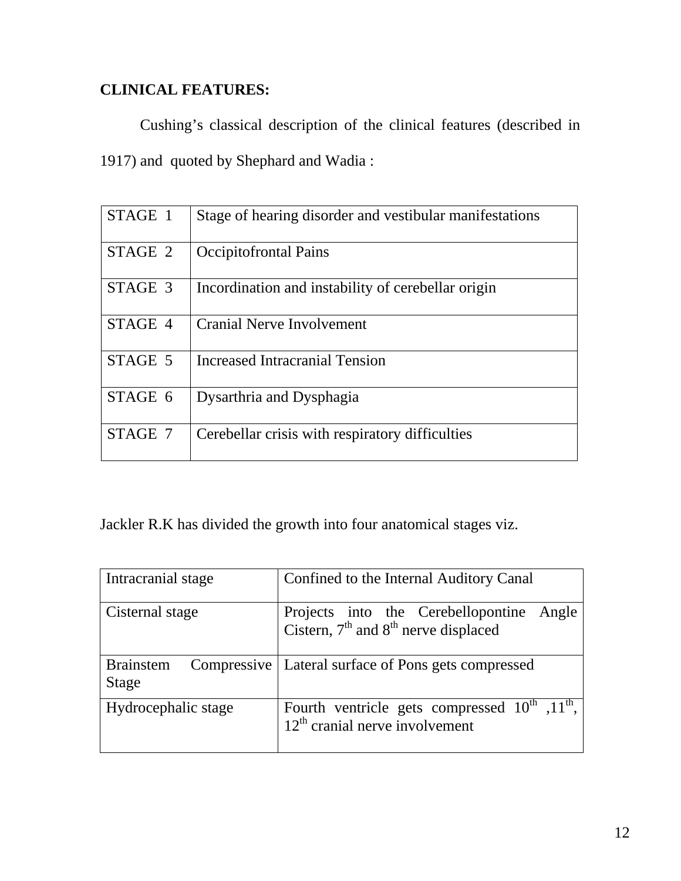# **CLINICAL FEATURES:**

Cushing's classical description of the clinical features (described in 1917) and quoted by Shephard and Wadia :

| STAGE 1 | Stage of hearing disorder and vestibular manifestations |
|---------|---------------------------------------------------------|
| STAGE 2 | <b>Occipitofrontal Pains</b>                            |
| STAGE 3 | Incordination and instability of cerebellar origin      |
| STAGE 4 | <b>Cranial Nerve Involvement</b>                        |
| STAGE 5 | Increased Intracranial Tension                          |
| STAGE 6 | Dysarthria and Dysphagia                                |
| STAGE 7 | Cerebellar crisis with respiratory difficulties         |

Jackler R.K has divided the growth into four anatomical stages viz.

| Intracranial stage        | Confined to the Internal Auditory Canal                                                      |
|---------------------------|----------------------------------------------------------------------------------------------|
| Cisternal stage           | Projects into the Cerebellopontine Angle<br>Cistern, $7th$ and $8th$ nerve displaced         |
| <b>Brainstem</b><br>Stage | Compressive   Lateral surface of Pons gets compressed                                        |
| Hydrocephalic stage       | Fourth ventricle gets compressed $10^{th}$ , $11^{th}$ ,<br>$12th$ cranial nerve involvement |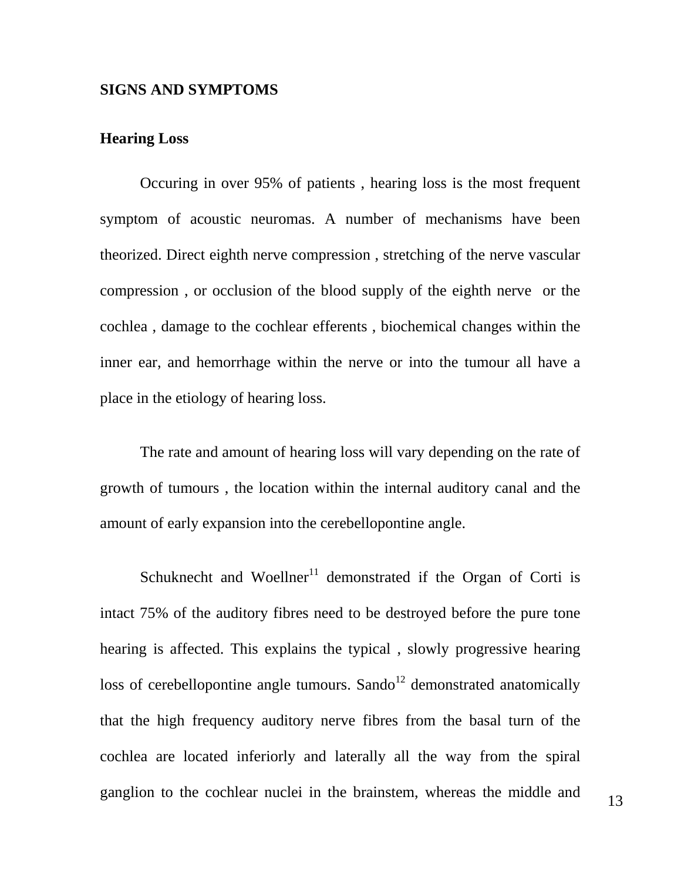#### **SIGNS AND SYMPTOMS**

### **Hearing Loss**

Occuring in over 95% of patients , hearing loss is the most frequent symptom of acoustic neuromas. A number of mechanisms have been theorized. Direct eighth nerve compression , stretching of the nerve vascular compression , or occlusion of the blood supply of the eighth nerve or the cochlea , damage to the cochlear efferents , biochemical changes within the inner ear, and hemorrhage within the nerve or into the tumour all have a place in the etiology of hearing loss.

The rate and amount of hearing loss will vary depending on the rate of growth of tumours , the location within the internal auditory canal and the amount of early expansion into the cerebellopontine angle.

Schuknecht and Woellner<sup>11</sup> demonstrated if the Organ of Corti is intact 75% of the auditory fibres need to be destroyed before the pure tone hearing is affected. This explains the typical , slowly progressive hearing loss of cerebellopontine angle tumours. Sando<sup>12</sup> demonstrated anatomically that the high frequency auditory nerve fibres from the basal turn of the cochlea are located inferiorly and laterally all the way from the spiral ganglion to the cochlear nuclei in the brainstem, whereas the middle and 13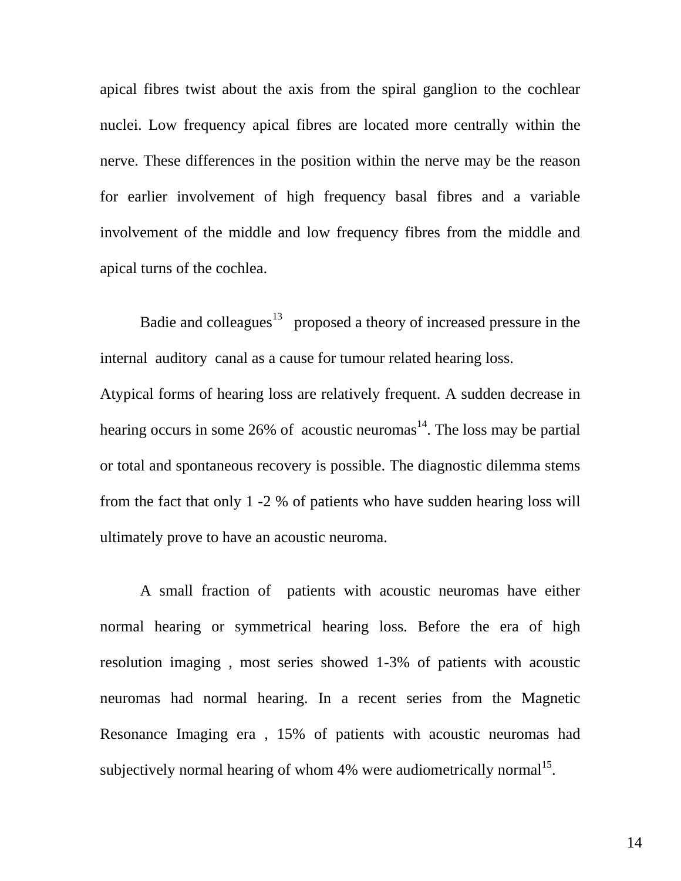apical fibres twist about the axis from the spiral ganglion to the cochlear nuclei. Low frequency apical fibres are located more centrally within the nerve. These differences in the position within the nerve may be the reason for earlier involvement of high frequency basal fibres and a variable involvement of the middle and low frequency fibres from the middle and apical turns of the cochlea.

Badie and colleagues<sup>13</sup> proposed a theory of increased pressure in the internal auditory canal as a cause for tumour related hearing loss.

Atypical forms of hearing loss are relatively frequent. A sudden decrease in hearing occurs in some 26% of acoustic neuromas<sup>14</sup>. The loss may be partial or total and spontaneous recovery is possible. The diagnostic dilemma stems from the fact that only 1 -2 % of patients who have sudden hearing loss will ultimately prove to have an acoustic neuroma.

A small fraction of patients with acoustic neuromas have either normal hearing or symmetrical hearing loss. Before the era of high resolution imaging , most series showed 1-3% of patients with acoustic neuromas had normal hearing. In a recent series from the Magnetic Resonance Imaging era , 15% of patients with acoustic neuromas had subjectively normal hearing of whom  $4%$  were audiometrically normal<sup>15</sup>.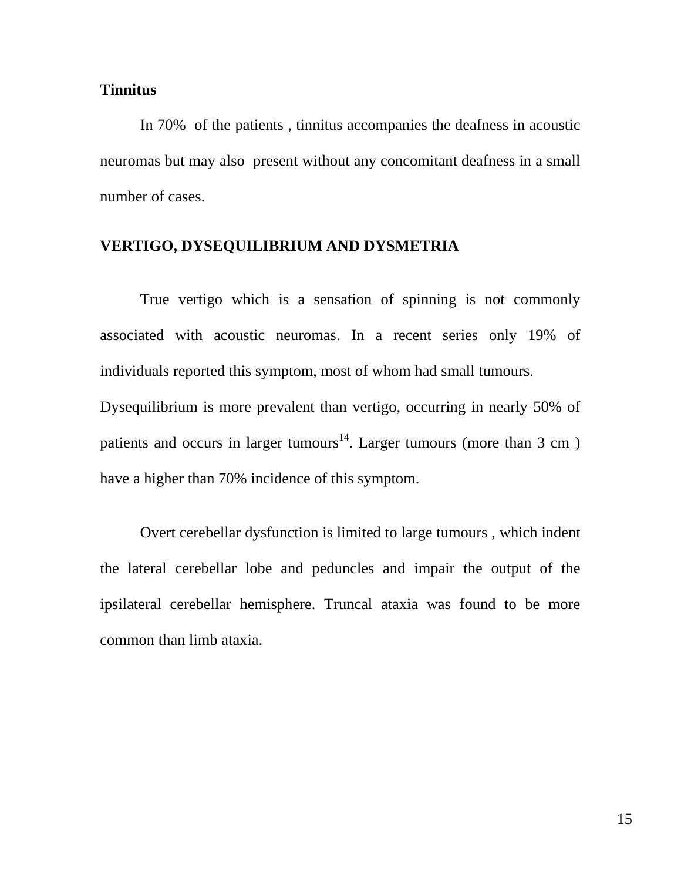#### **Tinnitus**

In 70% of the patients , tinnitus accompanies the deafness in acoustic neuromas but may also present without any concomitant deafness in a small number of cases.

## **VERTIGO, DYSEQUILIBRIUM AND DYSMETRIA**

True vertigo which is a sensation of spinning is not commonly associated with acoustic neuromas. In a recent series only 19% of individuals reported this symptom, most of whom had small tumours. Dysequilibrium is more prevalent than vertigo, occurring in nearly 50% of patients and occurs in larger tumours<sup>14</sup>. Larger tumours (more than 3 cm)

have a higher than 70% incidence of this symptom.

Overt cerebellar dysfunction is limited to large tumours , which indent the lateral cerebellar lobe and peduncles and impair the output of the ipsilateral cerebellar hemisphere. Truncal ataxia was found to be more common than limb ataxia.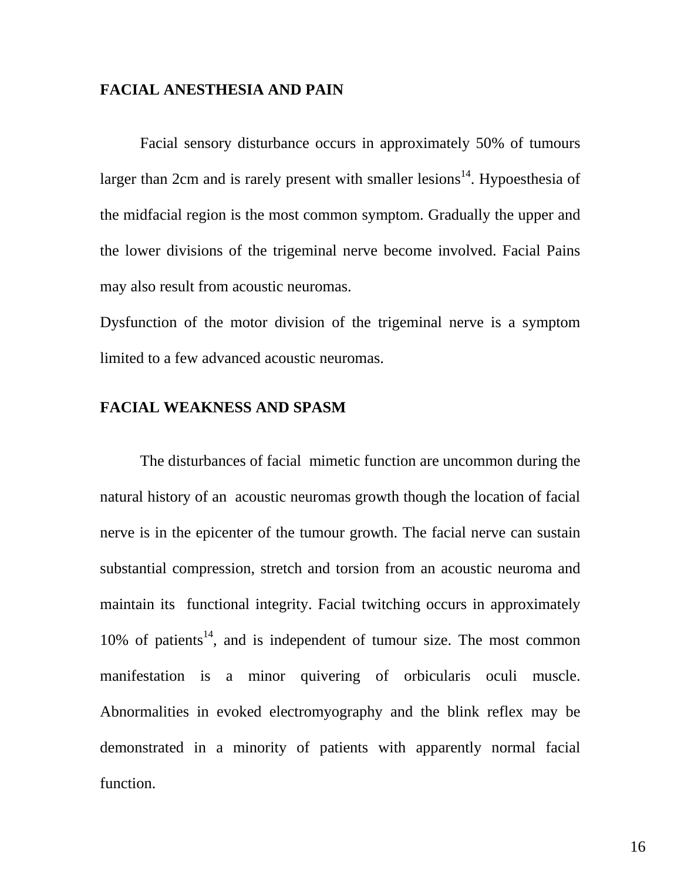#### **FACIAL ANESTHESIA AND PAIN**

Facial sensory disturbance occurs in approximately 50% of tumours larger than 2cm and is rarely present with smaller lesions<sup>14</sup>. Hypoesthesia of the midfacial region is the most common symptom. Gradually the upper and the lower divisions of the trigeminal nerve become involved. Facial Pains may also result from acoustic neuromas.

Dysfunction of the motor division of the trigeminal nerve is a symptom limited to a few advanced acoustic neuromas.

# **FACIAL WEAKNESS AND SPASM**

The disturbances of facial mimetic function are uncommon during the natural history of an acoustic neuromas growth though the location of facial nerve is in the epicenter of the tumour growth. The facial nerve can sustain substantial compression, stretch and torsion from an acoustic neuroma and maintain its functional integrity. Facial twitching occurs in approximately  $10\%$  of patients<sup>14</sup>, and is independent of tumour size. The most common manifestation is a minor quivering of orbicularis oculi muscle. Abnormalities in evoked electromyography and the blink reflex may be demonstrated in a minority of patients with apparently normal facial function.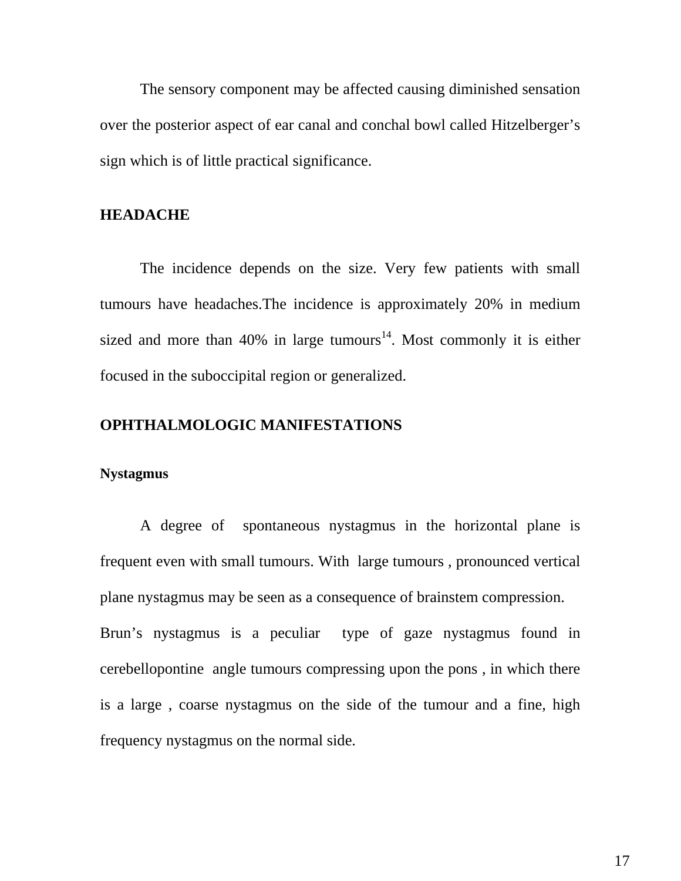The sensory component may be affected causing diminished sensation over the posterior aspect of ear canal and conchal bowl called Hitzelberger's sign which is of little practical significance.

#### **HEADACHE**

The incidence depends on the size. Very few patients with small tumours have headaches.The incidence is approximately 20% in medium sized and more than 40% in large tumours<sup>14</sup>. Most commonly it is either focused in the suboccipital region or generalized.

# **OPHTHALMOLOGIC MANIFESTATIONS**

#### **Nystagmus**

A degree of spontaneous nystagmus in the horizontal plane is frequent even with small tumours. With large tumours , pronounced vertical plane nystagmus may be seen as a consequence of brainstem compression. Brun's nystagmus is a peculiar type of gaze nystagmus found in cerebellopontine angle tumours compressing upon the pons , in which there is a large , coarse nystagmus on the side of the tumour and a fine, high frequency nystagmus on the normal side.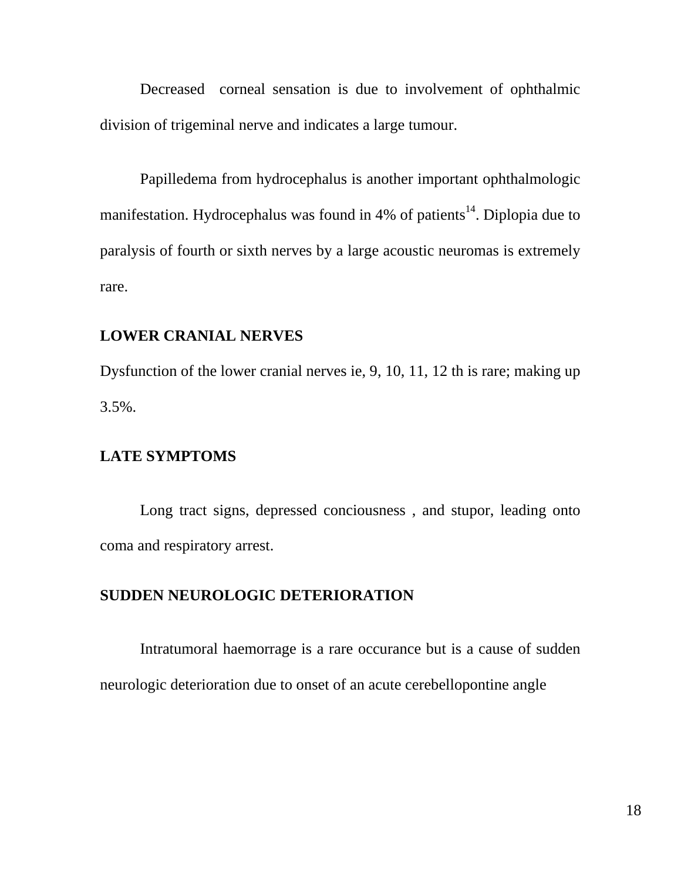Decreased corneal sensation is due to involvement of ophthalmic division of trigeminal nerve and indicates a large tumour.

Papilledema from hydrocephalus is another important ophthalmologic manifestation. Hydrocephalus was found in  $4%$  of patients<sup>14</sup>. Diplopia due to paralysis of fourth or sixth nerves by a large acoustic neuromas is extremely rare.

# **LOWER CRANIAL NERVES**

Dysfunction of the lower cranial nerves ie, 9, 10, 11, 12 th is rare; making up 3.5%.

#### **LATE SYMPTOMS**

Long tract signs, depressed conciousness , and stupor, leading onto coma and respiratory arrest.

# **SUDDEN NEUROLOGIC DETERIORATION**

Intratumoral haemorrage is a rare occurance but is a cause of sudden neurologic deterioration due to onset of an acute cerebellopontine angle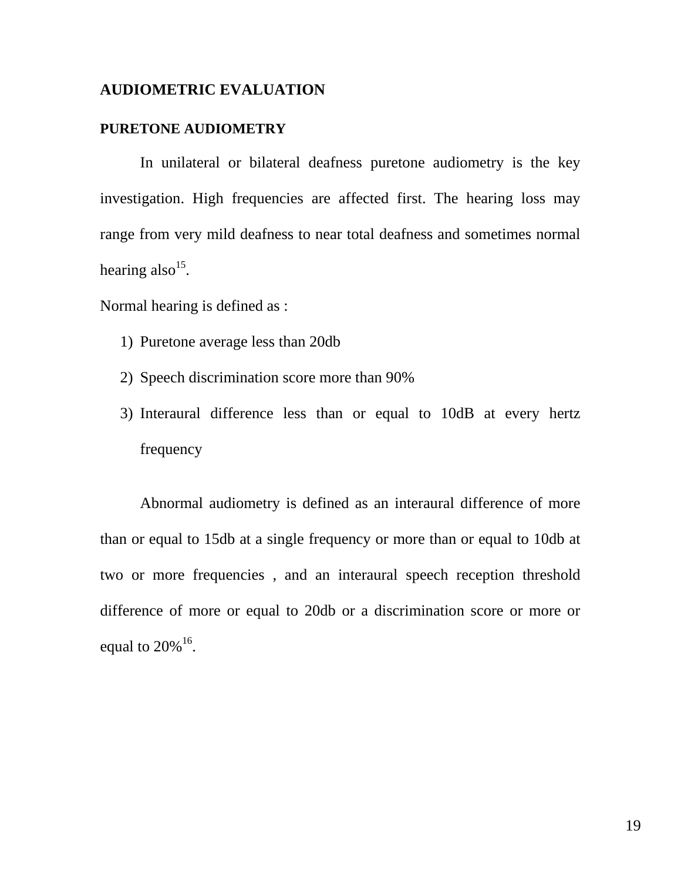#### **AUDIOMETRIC EVALUATION**

#### **PURETONE AUDIOMETRY**

In unilateral or bilateral deafness puretone audiometry is the key investigation. High frequencies are affected first. The hearing loss may range from very mild deafness to near total deafness and sometimes normal hearing also<sup>15</sup>.

Normal hearing is defined as :

- 1) Puretone average less than 20db
- 2) Speech discrimination score more than 90%
- 3) Interaural difference less than or equal to 10dB at every hertz frequency

Abnormal audiometry is defined as an interaural difference of more than or equal to 15db at a single frequency or more than or equal to 10db at two or more frequencies , and an interaural speech reception threshold difference of more or equal to 20db or a discrimination score or more or equal to  $20\%$ <sup>16</sup>.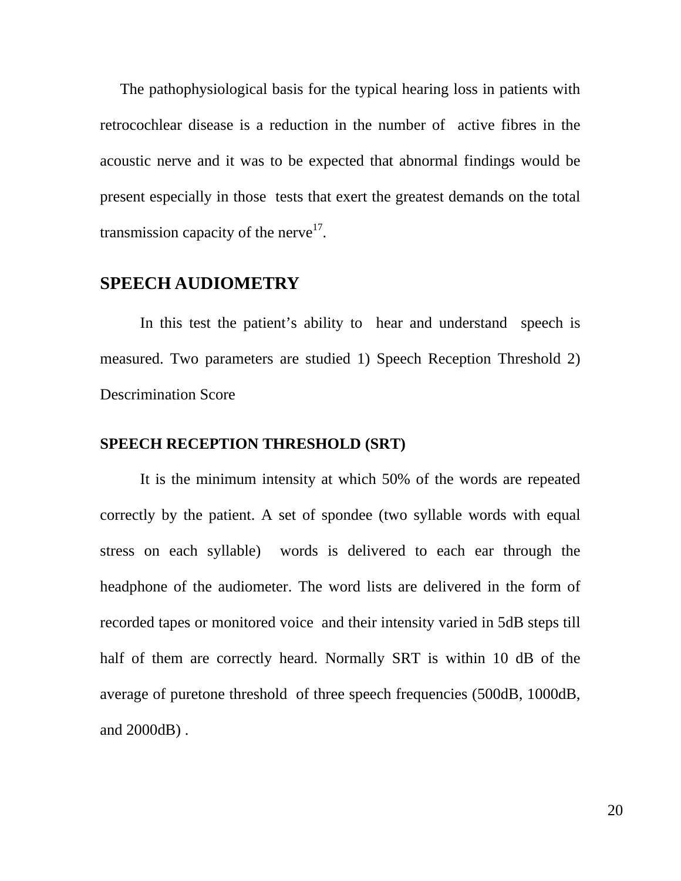The pathophysiological basis for the typical hearing loss in patients with retrocochlear disease is a reduction in the number of active fibres in the acoustic nerve and it was to be expected that abnormal findings would be present especially in those tests that exert the greatest demands on the total transmission capacity of the nerve<sup>17</sup>.

# **SPEECH AUDIOMETRY**

In this test the patient's ability to hear and understand speech is measured. Two parameters are studied 1) Speech Reception Threshold 2) Descrimination Score

#### **SPEECH RECEPTION THRESHOLD (SRT)**

It is the minimum intensity at which 50% of the words are repeated correctly by the patient. A set of spondee (two syllable words with equal stress on each syllable) words is delivered to each ear through the headphone of the audiometer. The word lists are delivered in the form of recorded tapes or monitored voice and their intensity varied in 5dB steps till half of them are correctly heard. Normally SRT is within 10 dB of the average of puretone threshold of three speech frequencies (500dB, 1000dB, and 2000dB) .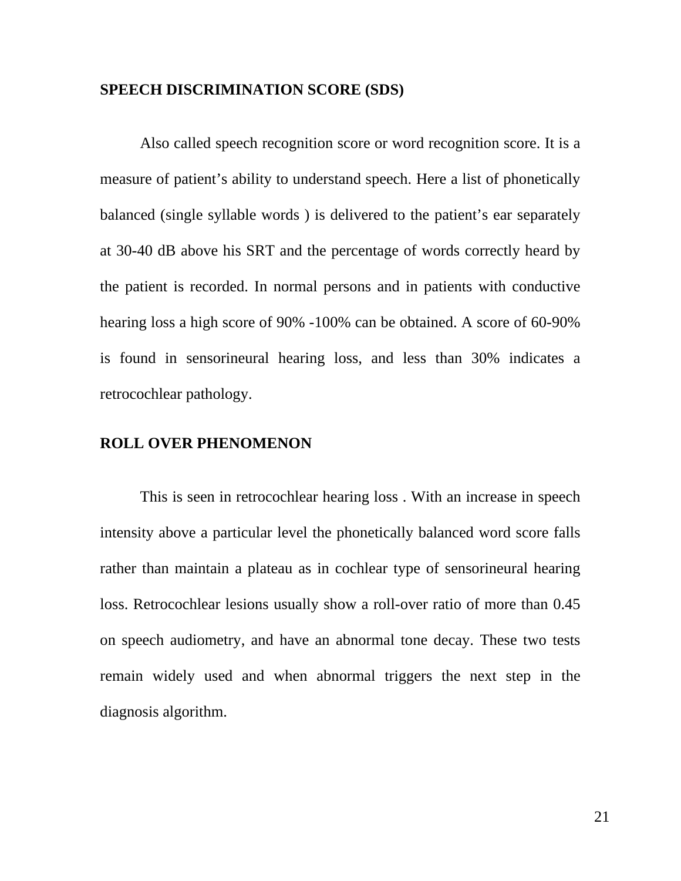#### **SPEECH DISCRIMINATION SCORE (SDS)**

Also called speech recognition score or word recognition score. It is a measure of patient's ability to understand speech. Here a list of phonetically balanced (single syllable words ) is delivered to the patient's ear separately at 30-40 dB above his SRT and the percentage of words correctly heard by the patient is recorded. In normal persons and in patients with conductive hearing loss a high score of 90% -100% can be obtained. A score of 60-90% is found in sensorineural hearing loss, and less than 30% indicates a retrocochlear pathology.

#### **ROLL OVER PHENOMENON**

This is seen in retrocochlear hearing loss . With an increase in speech intensity above a particular level the phonetically balanced word score falls rather than maintain a plateau as in cochlear type of sensorineural hearing loss. Retrocochlear lesions usually show a roll-over ratio of more than 0.45 on speech audiometry, and have an abnormal tone decay. These two tests remain widely used and when abnormal triggers the next step in the diagnosis algorithm.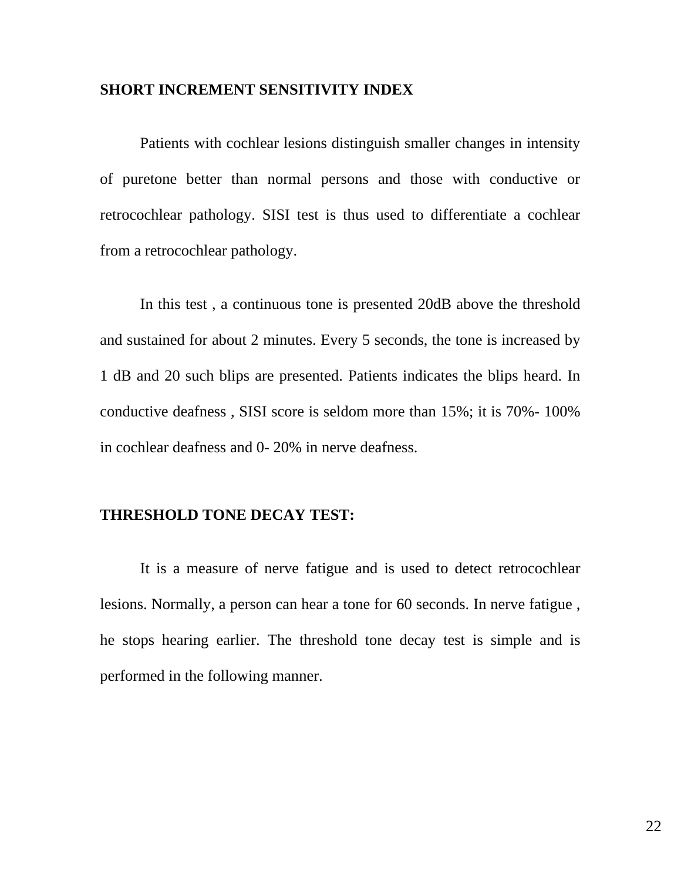#### **SHORT INCREMENT SENSITIVITY INDEX**

Patients with cochlear lesions distinguish smaller changes in intensity of puretone better than normal persons and those with conductive or retrocochlear pathology. SISI test is thus used to differentiate a cochlear from a retrocochlear pathology.

In this test , a continuous tone is presented 20dB above the threshold and sustained for about 2 minutes. Every 5 seconds, the tone is increased by 1 dB and 20 such blips are presented. Patients indicates the blips heard. In conductive deafness , SISI score is seldom more than 15%; it is 70%- 100% in cochlear deafness and 0- 20% in nerve deafness.

#### **THRESHOLD TONE DECAY TEST:**

It is a measure of nerve fatigue and is used to detect retrocochlear lesions. Normally, a person can hear a tone for 60 seconds. In nerve fatigue , he stops hearing earlier. The threshold tone decay test is simple and is performed in the following manner.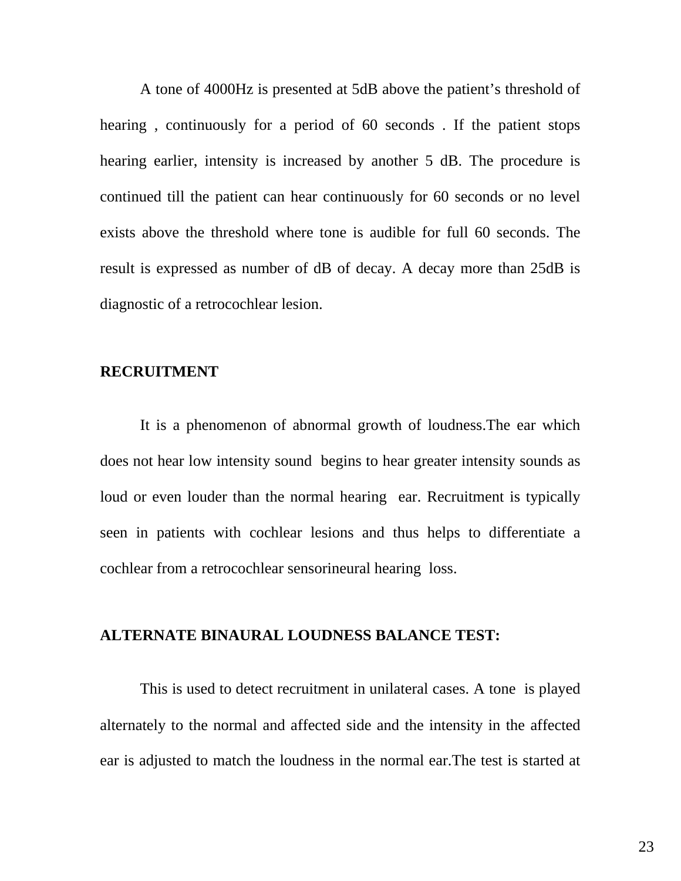A tone of 4000Hz is presented at 5dB above the patient's threshold of hearing , continuously for a period of 60 seconds . If the patient stops hearing earlier, intensity is increased by another 5 dB. The procedure is continued till the patient can hear continuously for 60 seconds or no level exists above the threshold where tone is audible for full 60 seconds. The result is expressed as number of dB of decay. A decay more than 25dB is diagnostic of a retrocochlear lesion.

#### **RECRUITMENT**

It is a phenomenon of abnormal growth of loudness.The ear which does not hear low intensity sound begins to hear greater intensity sounds as loud or even louder than the normal hearing ear. Recruitment is typically seen in patients with cochlear lesions and thus helps to differentiate a cochlear from a retrocochlear sensorineural hearing loss.

#### **ALTERNATE BINAURAL LOUDNESS BALANCE TEST:**

This is used to detect recruitment in unilateral cases. A tone is played alternately to the normal and affected side and the intensity in the affected ear is adjusted to match the loudness in the normal ear.The test is started at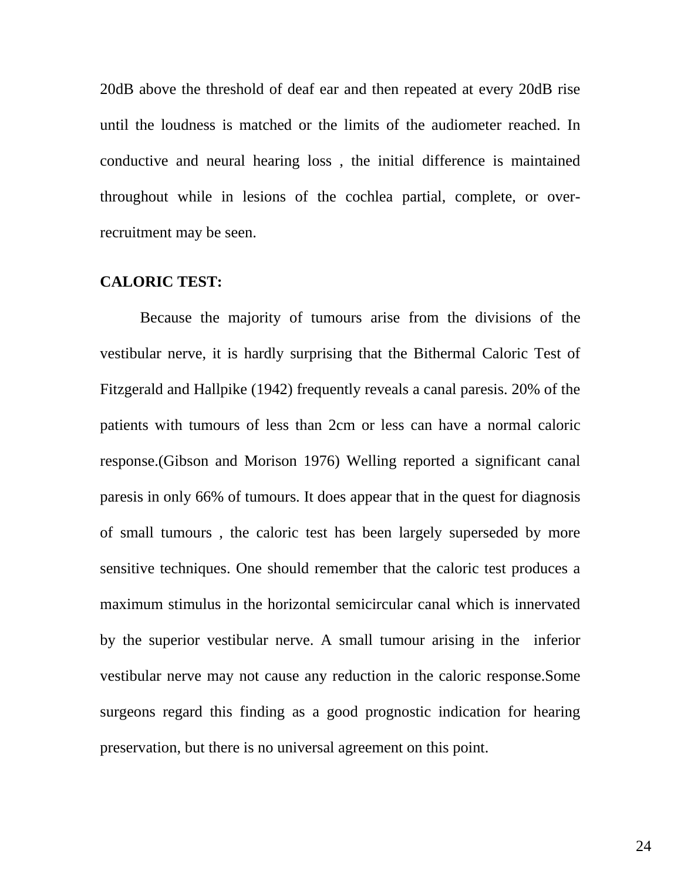20dB above the threshold of deaf ear and then repeated at every 20dB rise until the loudness is matched or the limits of the audiometer reached. In conductive and neural hearing loss , the initial difference is maintained throughout while in lesions of the cochlea partial, complete, or overrecruitment may be seen.

#### **CALORIC TEST:**

Because the majority of tumours arise from the divisions of the vestibular nerve, it is hardly surprising that the Bithermal Caloric Test of Fitzgerald and Hallpike (1942) frequently reveals a canal paresis. 20% of the patients with tumours of less than 2cm or less can have a normal caloric response.(Gibson and Morison 1976) Welling reported a significant canal paresis in only 66% of tumours. It does appear that in the quest for diagnosis of small tumours , the caloric test has been largely superseded by more sensitive techniques. One should remember that the caloric test produces a maximum stimulus in the horizontal semicircular canal which is innervated by the superior vestibular nerve. A small tumour arising in the inferior vestibular nerve may not cause any reduction in the caloric response.Some surgeons regard this finding as a good prognostic indication for hearing preservation, but there is no universal agreement on this point.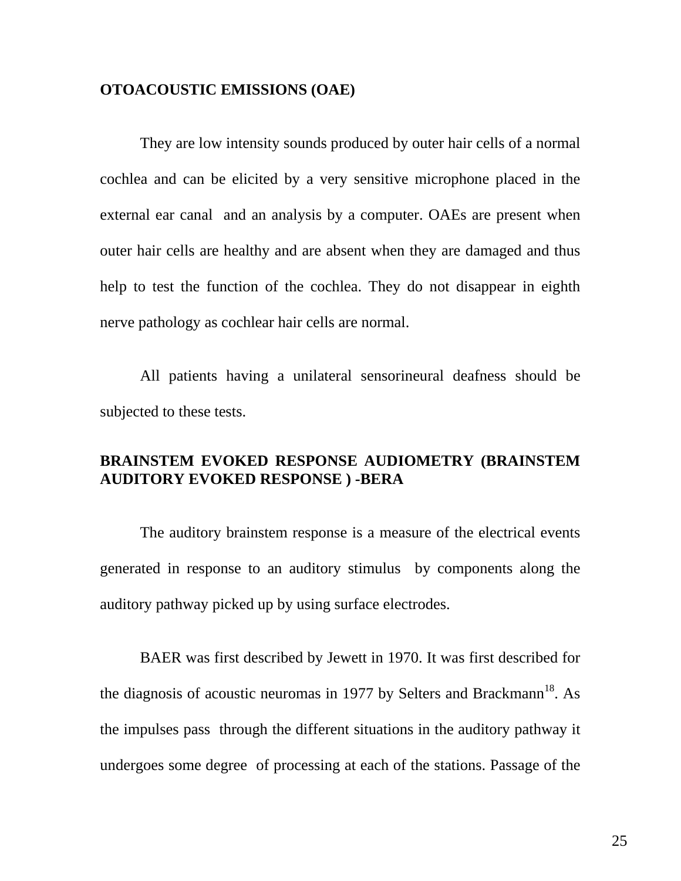# **OTOACOUSTIC EMISSIONS (OAE)**

They are low intensity sounds produced by outer hair cells of a normal cochlea and can be elicited by a very sensitive microphone placed in the external ear canal and an analysis by a computer. OAEs are present when outer hair cells are healthy and are absent when they are damaged and thus help to test the function of the cochlea. They do not disappear in eighth nerve pathology as cochlear hair cells are normal.

All patients having a unilateral sensorineural deafness should be subjected to these tests.

# **BRAINSTEM EVOKED RESPONSE AUDIOMETRY (BRAINSTEM AUDITORY EVOKED RESPONSE ) -BERA**

The auditory brainstem response is a measure of the electrical events generated in response to an auditory stimulus by components along the auditory pathway picked up by using surface electrodes.

BAER was first described by Jewett in 1970. It was first described for the diagnosis of acoustic neuromas in 1977 by Selters and Brackmann<sup>18</sup>. As the impulses pass through the different situations in the auditory pathway it undergoes some degree of processing at each of the stations. Passage of the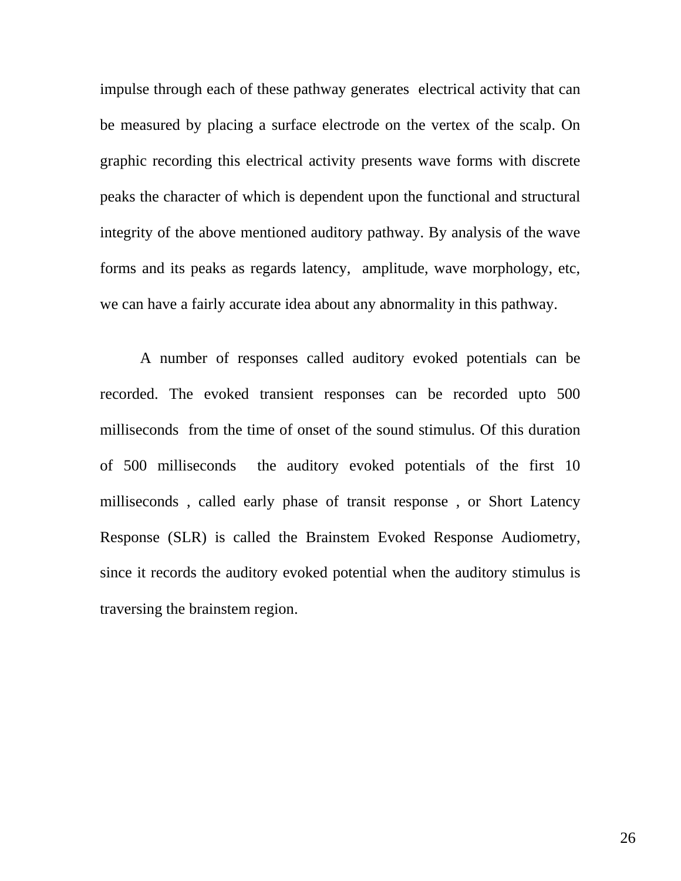impulse through each of these pathway generates electrical activity that can be measured by placing a surface electrode on the vertex of the scalp. On graphic recording this electrical activity presents wave forms with discrete peaks the character of which is dependent upon the functional and structural integrity of the above mentioned auditory pathway. By analysis of the wave forms and its peaks as regards latency, amplitude, wave morphology, etc, we can have a fairly accurate idea about any abnormality in this pathway.

A number of responses called auditory evoked potentials can be recorded. The evoked transient responses can be recorded upto 500 milliseconds from the time of onset of the sound stimulus. Of this duration of 500 milliseconds the auditory evoked potentials of the first 10 milliseconds , called early phase of transit response , or Short Latency Response (SLR) is called the Brainstem Evoked Response Audiometry, since it records the auditory evoked potential when the auditory stimulus is traversing the brainstem region.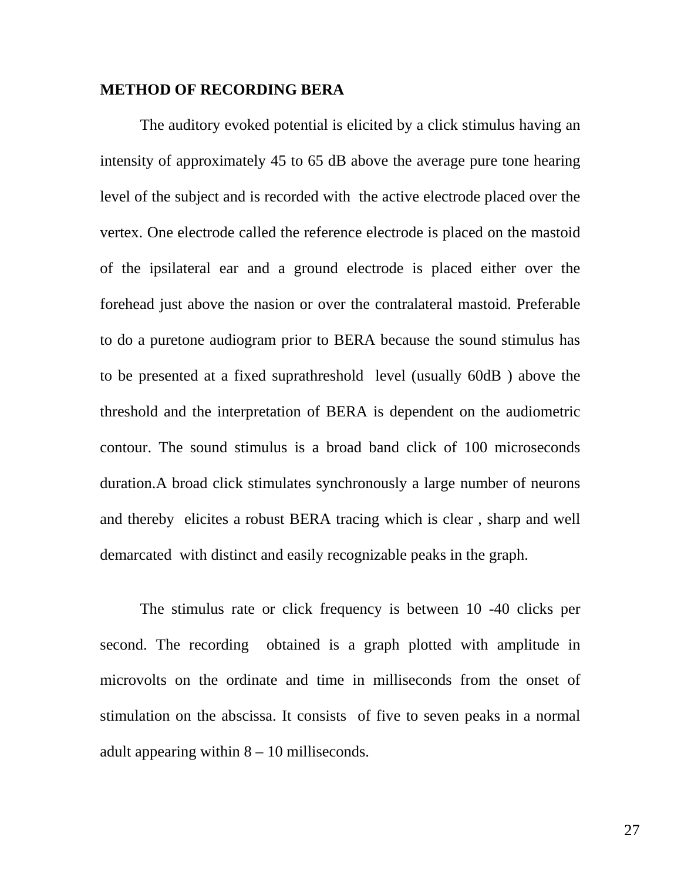#### **METHOD OF RECORDING BERA**

The auditory evoked potential is elicited by a click stimulus having an intensity of approximately 45 to 65 dB above the average pure tone hearing level of the subject and is recorded with the active electrode placed over the vertex. One electrode called the reference electrode is placed on the mastoid of the ipsilateral ear and a ground electrode is placed either over the forehead just above the nasion or over the contralateral mastoid. Preferable to do a puretone audiogram prior to BERA because the sound stimulus has to be presented at a fixed suprathreshold level (usually 60dB ) above the threshold and the interpretation of BERA is dependent on the audiometric contour. The sound stimulus is a broad band click of 100 microseconds duration.A broad click stimulates synchronously a large number of neurons and thereby elicites a robust BERA tracing which is clear , sharp and well demarcated with distinct and easily recognizable peaks in the graph.

The stimulus rate or click frequency is between 10 -40 clicks per second. The recording obtained is a graph plotted with amplitude in microvolts on the ordinate and time in milliseconds from the onset of stimulation on the abscissa. It consists of five to seven peaks in a normal adult appearing within  $8 - 10$  milliseconds.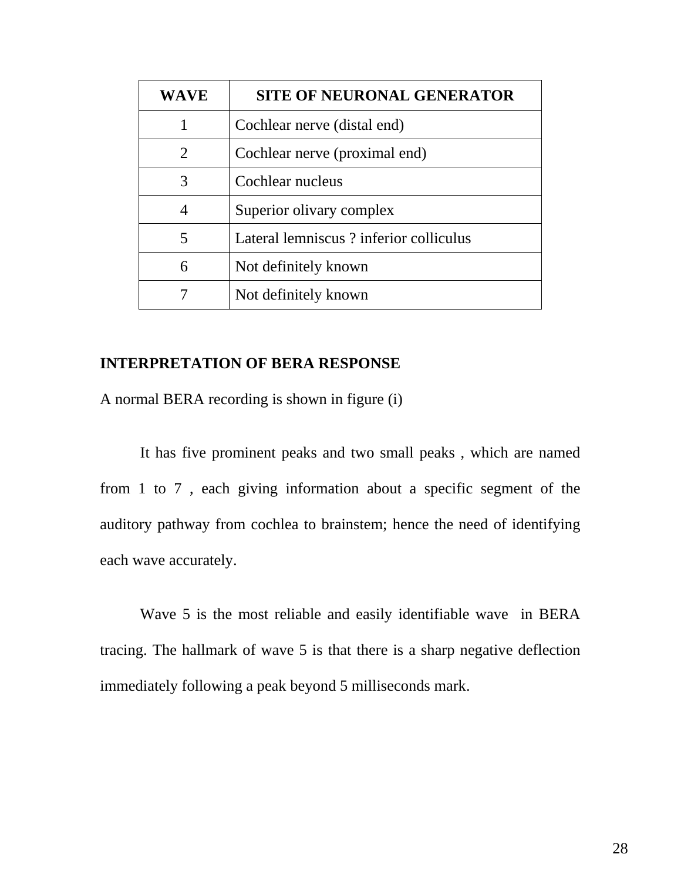| <b>WAVE</b> | <b>SITE OF NEURONAL GENERATOR</b>      |
|-------------|----------------------------------------|
|             | Cochlear nerve (distal end)            |
| 2           | Cochlear nerve (proximal end)          |
| 3           | Cochlear nucleus                       |
| 4           | Superior olivary complex               |
| 5           | Lateral lemniscus? inferior colliculus |
| 6           | Not definitely known                   |
|             | Not definitely known                   |

# **INTERPRETATION OF BERA RESPONSE**

A normal BERA recording is shown in figure (i)

It has five prominent peaks and two small peaks , which are named from 1 to 7 , each giving information about a specific segment of the auditory pathway from cochlea to brainstem; hence the need of identifying each wave accurately.

Wave 5 is the most reliable and easily identifiable wave in BERA tracing. The hallmark of wave 5 is that there is a sharp negative deflection immediately following a peak beyond 5 milliseconds mark.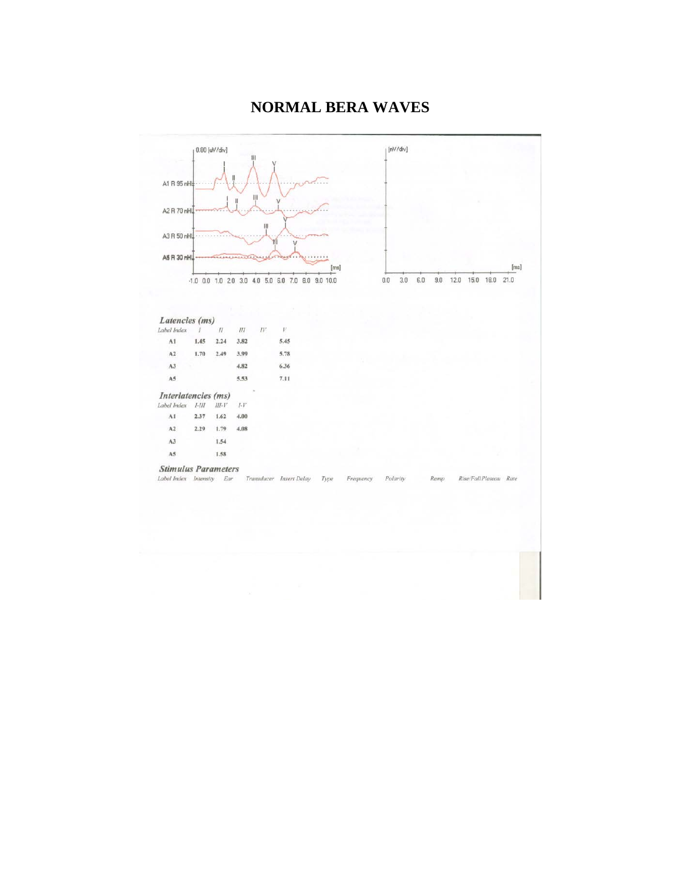# **NORMAL BERA WAVES**

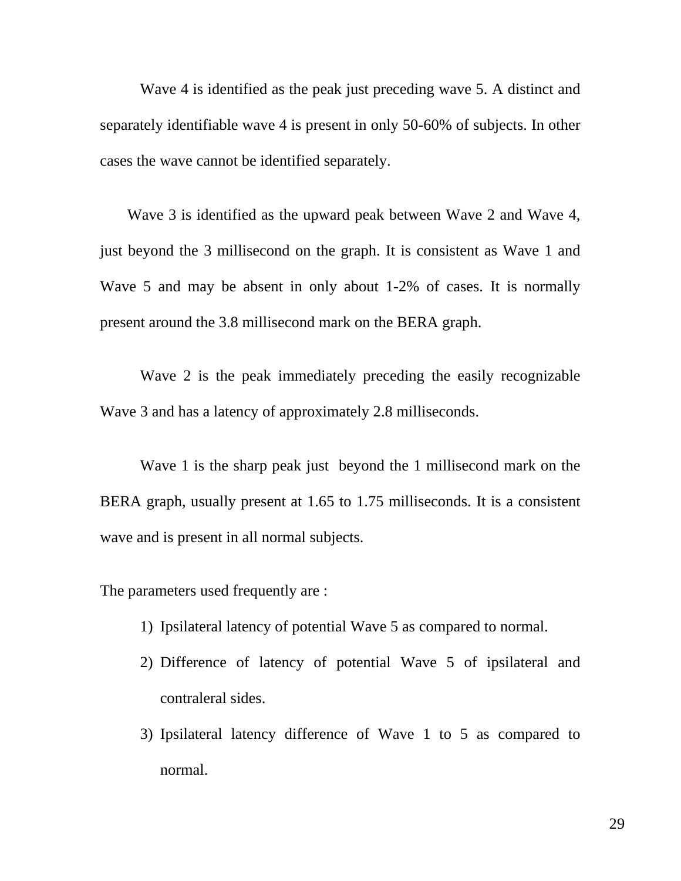Wave 4 is identified as the peak just preceding wave 5. A distinct and separately identifiable wave 4 is present in only 50-60% of subjects. In other cases the wave cannot be identified separately.

 Wave 3 is identified as the upward peak between Wave 2 and Wave 4, just beyond the 3 millisecond on the graph. It is consistent as Wave 1 and Wave 5 and may be absent in only about 1-2% of cases. It is normally present around the 3.8 millisecond mark on the BERA graph.

Wave 2 is the peak immediately preceding the easily recognizable Wave 3 and has a latency of approximately 2.8 milliseconds.

Wave 1 is the sharp peak just beyond the 1 millisecond mark on the BERA graph, usually present at 1.65 to 1.75 milliseconds. It is a consistent wave and is present in all normal subjects.

The parameters used frequently are :

- 1) Ipsilateral latency of potential Wave 5 as compared to normal.
- 2) Difference of latency of potential Wave 5 of ipsilateral and contraleral sides.
- 3) Ipsilateral latency difference of Wave 1 to 5 as compared to normal.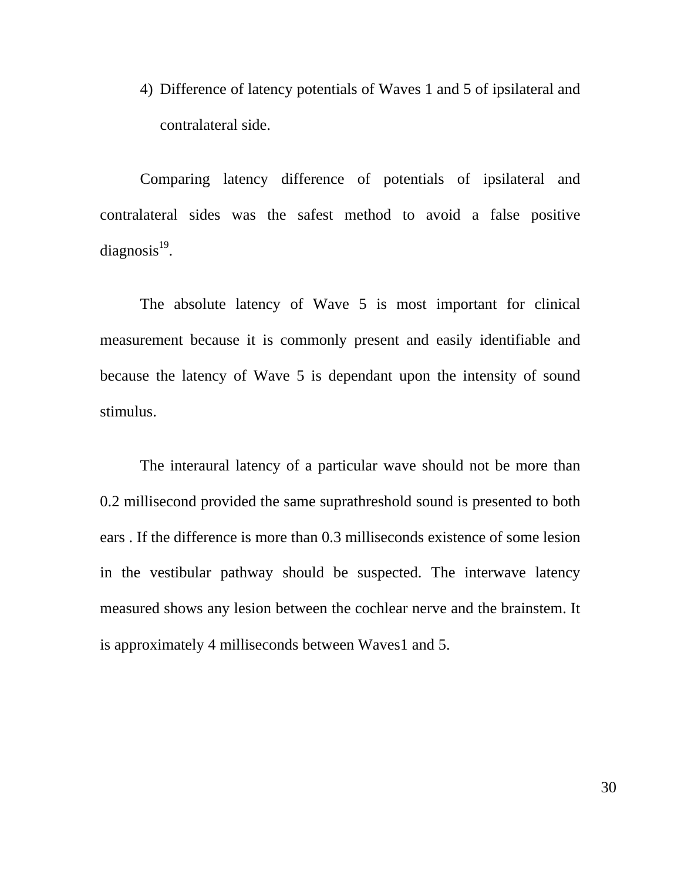4) Difference of latency potentials of Waves 1 and 5 of ipsilateral and contralateral side.

Comparing latency difference of potentials of ipsilateral and contralateral sides was the safest method to avoid a false positive  $diagonosis<sup>19</sup>$ .

The absolute latency of Wave 5 is most important for clinical measurement because it is commonly present and easily identifiable and because the latency of Wave 5 is dependant upon the intensity of sound stimulus.

The interaural latency of a particular wave should not be more than 0.2 millisecond provided the same suprathreshold sound is presented to both ears . If the difference is more than 0.3 milliseconds existence of some lesion in the vestibular pathway should be suspected. The interwave latency measured shows any lesion between the cochlear nerve and the brainstem. It is approximately 4 milliseconds between Waves1 and 5.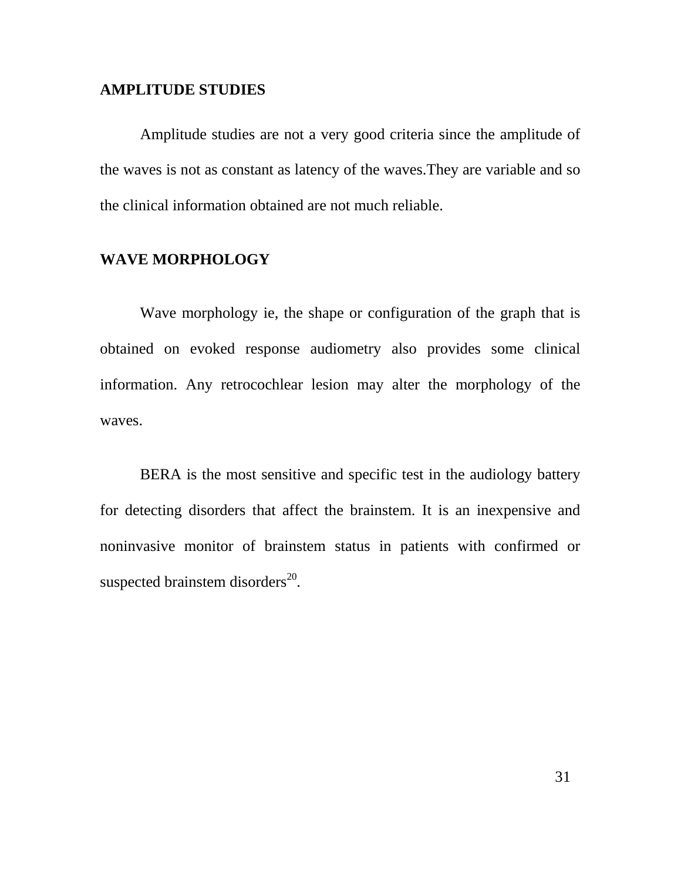#### **AMPLITUDE STUDIES**

Amplitude studies are not a very good criteria since the amplitude of the waves is not as constant as latency of the waves.They are variable and so the clinical information obtained are not much reliable.

## **WAVE MORPHOLOGY**

Wave morphology ie, the shape or configuration of the graph that is obtained on evoked response audiometry also provides some clinical information. Any retrocochlear lesion may alter the morphology of the waves.

BERA is the most sensitive and specific test in the audiology battery for detecting disorders that affect the brainstem. It is an inexpensive and noninvasive monitor of brainstem status in patients with confirmed or suspected brainstem disorders $^{20}$ .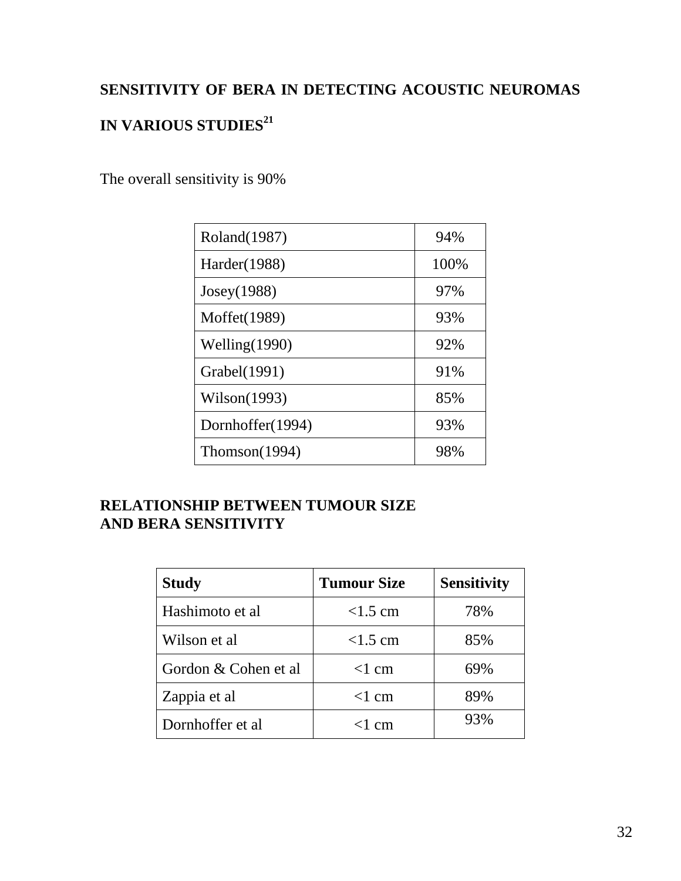## **SENSITIVITY OF BERA IN DETECTING ACOUSTIC NEUROMAS**

# **IN VARIOUS STUDIES<sup>21</sup>**

The overall sensitivity is 90%

| Roland(1987)     | 94%  |
|------------------|------|
| Harder(1988)     | 100% |
| Joseph(1988)     | 97%  |
| Moffet(1989)     | 93%  |
| Welling $(1990)$ | 92%  |
| Grabel(1991)     | 91%  |
| Wilson(1993)     | 85%  |
| Dornhoffer(1994) | 93%  |
| Thomson(1994)    | 98%  |

## **RELATIONSHIP BETWEEN TUMOUR SIZE AND BERA SENSITIVITY**

| <b>Study</b>         | <b>Tumour Size</b> | <b>Sensitivity</b> |  |
|----------------------|--------------------|--------------------|--|
| Hashimoto et al      | $<1.5$ cm          | 78%                |  |
| Wilson et al         | $<1.5$ cm          | 85%                |  |
| Gordon & Cohen et al | $<1$ cm            | 69%                |  |
| Zappia et al         | $<1$ cm            | 89%                |  |
| Dornhoffer et al     | $<$ 1 cm           | 93%                |  |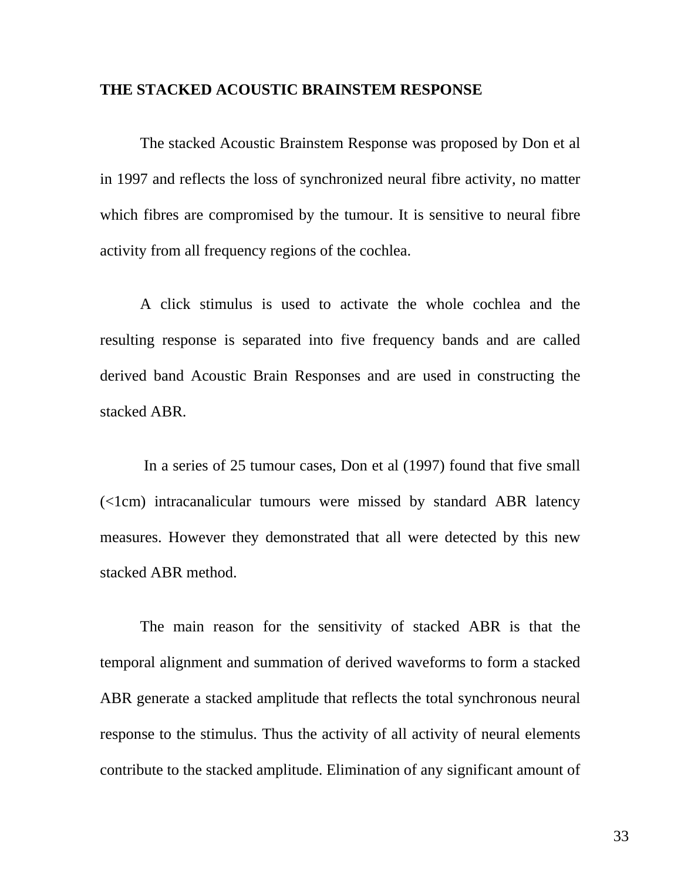#### **THE STACKED ACOUSTIC BRAINSTEM RESPONSE**

The stacked Acoustic Brainstem Response was proposed by Don et al in 1997 and reflects the loss of synchronized neural fibre activity, no matter which fibres are compromised by the tumour. It is sensitive to neural fibre activity from all frequency regions of the cochlea.

A click stimulus is used to activate the whole cochlea and the resulting response is separated into five frequency bands and are called derived band Acoustic Brain Responses and are used in constructing the stacked ABR.

In a series of 25 tumour cases, Don et al (1997) found that five small  $\leq$ 1cm) intracanalicular tumours were missed by standard ABR latency measures. However they demonstrated that all were detected by this new stacked ABR method.

The main reason for the sensitivity of stacked ABR is that the temporal alignment and summation of derived waveforms to form a stacked ABR generate a stacked amplitude that reflects the total synchronous neural response to the stimulus. Thus the activity of all activity of neural elements contribute to the stacked amplitude. Elimination of any significant amount of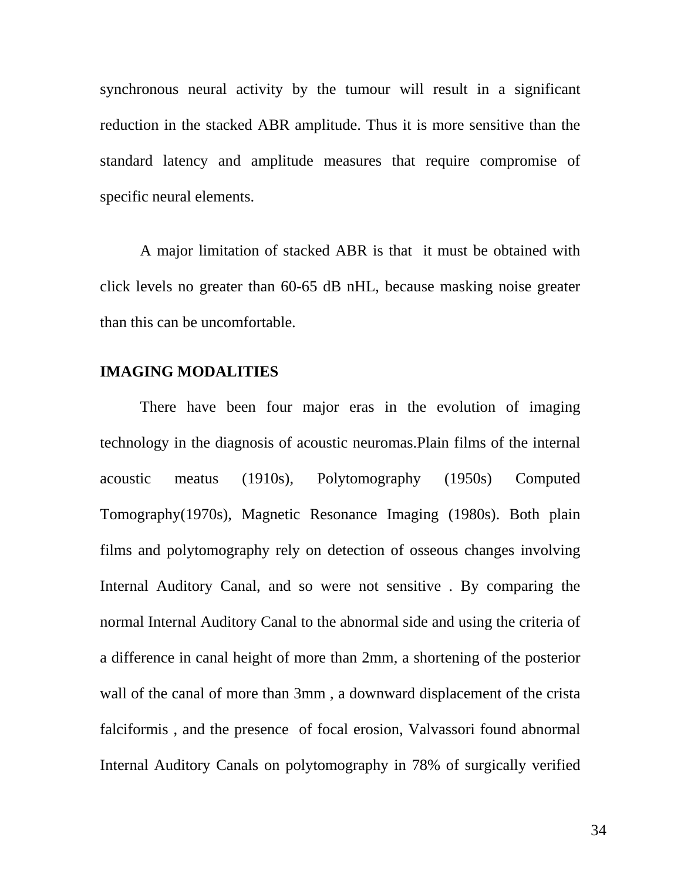synchronous neural activity by the tumour will result in a significant reduction in the stacked ABR amplitude. Thus it is more sensitive than the standard latency and amplitude measures that require compromise of specific neural elements.

A major limitation of stacked ABR is that it must be obtained with click levels no greater than 60-65 dB nHL, because masking noise greater than this can be uncomfortable.

#### **IMAGING MODALITIES**

There have been four major eras in the evolution of imaging technology in the diagnosis of acoustic neuromas.Plain films of the internal acoustic meatus (1910s), Polytomography (1950s) Computed Tomography(1970s), Magnetic Resonance Imaging (1980s). Both plain films and polytomography rely on detection of osseous changes involving Internal Auditory Canal, and so were not sensitive . By comparing the normal Internal Auditory Canal to the abnormal side and using the criteria of a difference in canal height of more than 2mm, a shortening of the posterior wall of the canal of more than 3mm , a downward displacement of the crista falciformis , and the presence of focal erosion, Valvassori found abnormal Internal Auditory Canals on polytomography in 78% of surgically verified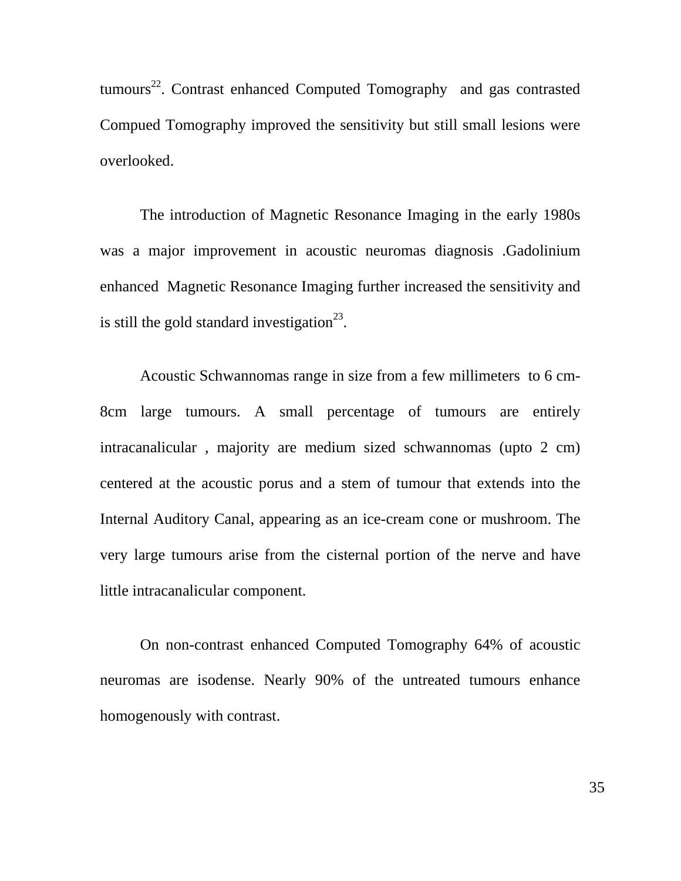tumours<sup>22</sup>. Contrast enhanced Computed Tomography and gas contrasted Compued Tomography improved the sensitivity but still small lesions were overlooked.

The introduction of Magnetic Resonance Imaging in the early 1980s was a major improvement in acoustic neuromas diagnosis .Gadolinium enhanced Magnetic Resonance Imaging further increased the sensitivity and is still the gold standard investigation<sup>23</sup>.

Acoustic Schwannomas range in size from a few millimeters to 6 cm-8cm large tumours. A small percentage of tumours are entirely intracanalicular , majority are medium sized schwannomas (upto 2 cm) centered at the acoustic porus and a stem of tumour that extends into the Internal Auditory Canal, appearing as an ice-cream cone or mushroom. The very large tumours arise from the cisternal portion of the nerve and have little intracanalicular component.

On non-contrast enhanced Computed Tomography 64% of acoustic neuromas are isodense. Nearly 90% of the untreated tumours enhance homogenously with contrast.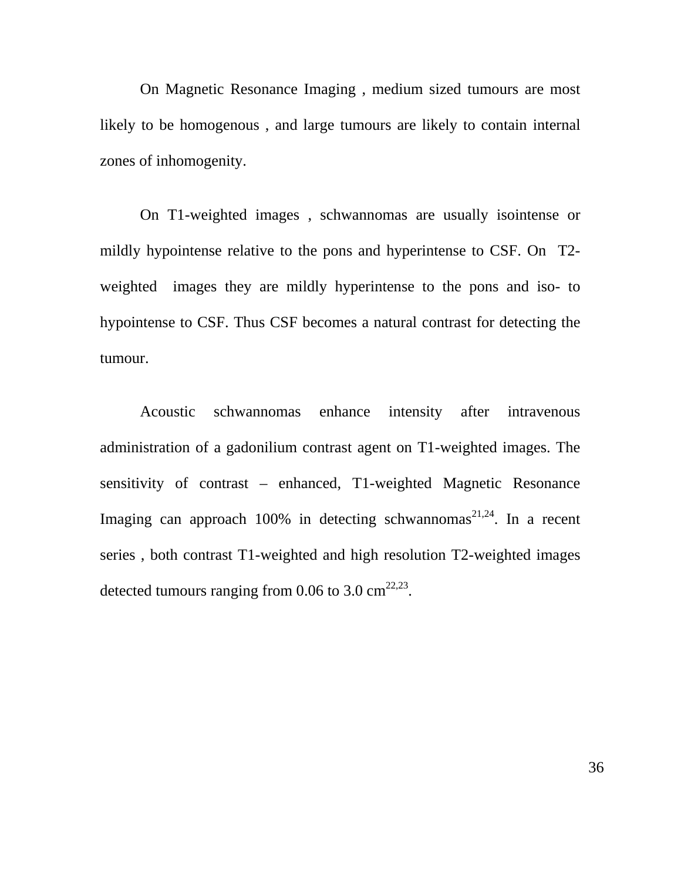On Magnetic Resonance Imaging , medium sized tumours are most likely to be homogenous , and large tumours are likely to contain internal zones of inhomogenity.

On T1-weighted images , schwannomas are usually isointense or mildly hypointense relative to the pons and hyperintense to CSF. On T2 weighted images they are mildly hyperintense to the pons and iso- to hypointense to CSF. Thus CSF becomes a natural contrast for detecting the tumour.

Acoustic schwannomas enhance intensity after intravenous administration of a gadonilium contrast agent on T1-weighted images. The sensitivity of contrast – enhanced, T1-weighted Magnetic Resonance Imaging can approach 100% in detecting schwannomas<sup>21,24</sup>. In a recent series , both contrast T1-weighted and high resolution T2-weighted images detected tumours ranging from 0.06 to 3.0  $\text{cm}^{22,23}$ .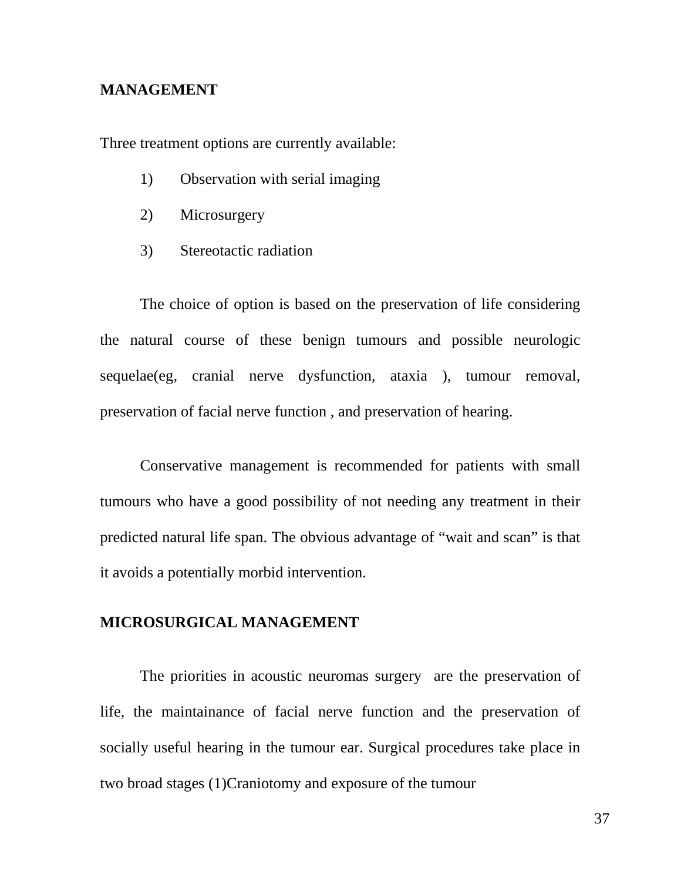#### **MANAGEMENT**

Three treatment options are currently available:

- 1) Observation with serial imaging
- 2) Microsurgery
- 3) Stereotactic radiation

The choice of option is based on the preservation of life considering the natural course of these benign tumours and possible neurologic sequelae(eg, cranial nerve dysfunction, ataxia ), tumour removal, preservation of facial nerve function , and preservation of hearing.

Conservative management is recommended for patients with small tumours who have a good possibility of not needing any treatment in their predicted natural life span. The obvious advantage of "wait and scan" is that it avoids a potentially morbid intervention.

#### **MICROSURGICAL MANAGEMENT**

The priorities in acoustic neuromas surgery are the preservation of life, the maintainance of facial nerve function and the preservation of socially useful hearing in the tumour ear. Surgical procedures take place in two broad stages (1)Craniotomy and exposure of the tumour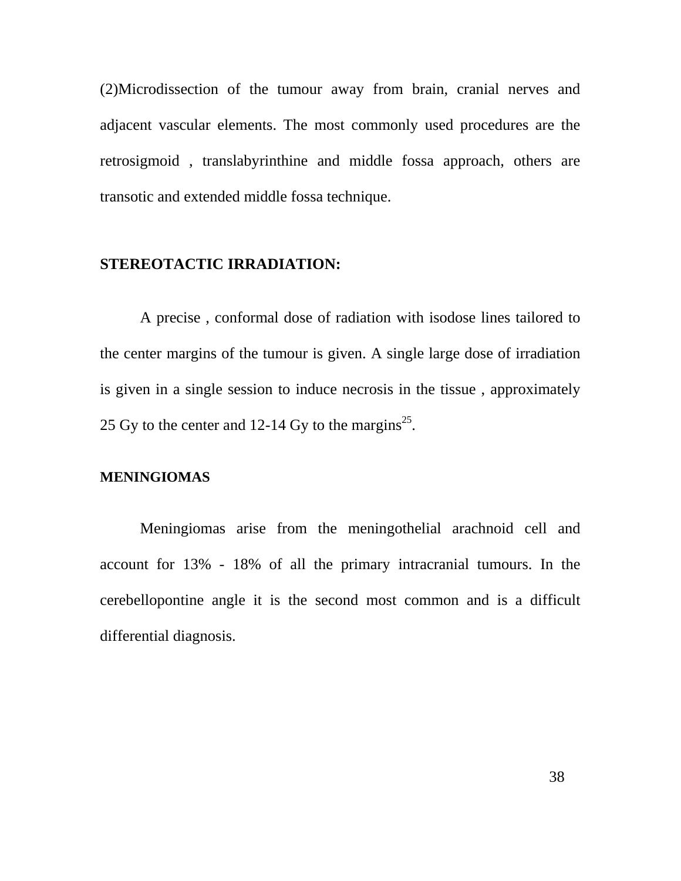(2)Microdissection of the tumour away from brain, cranial nerves and adjacent vascular elements. The most commonly used procedures are the retrosigmoid , translabyrinthine and middle fossa approach, others are transotic and extended middle fossa technique.

## **STEREOTACTIC IRRADIATION:**

A precise , conformal dose of radiation with isodose lines tailored to the center margins of the tumour is given. A single large dose of irradiation is given in a single session to induce necrosis in the tissue , approximately 25 Gy to the center and 12-14 Gy to the margins<sup>25</sup>.

#### **MENINGIOMAS**

Meningiomas arise from the meningothelial arachnoid cell and account for 13% - 18% of all the primary intracranial tumours. In the cerebellopontine angle it is the second most common and is a difficult differential diagnosis.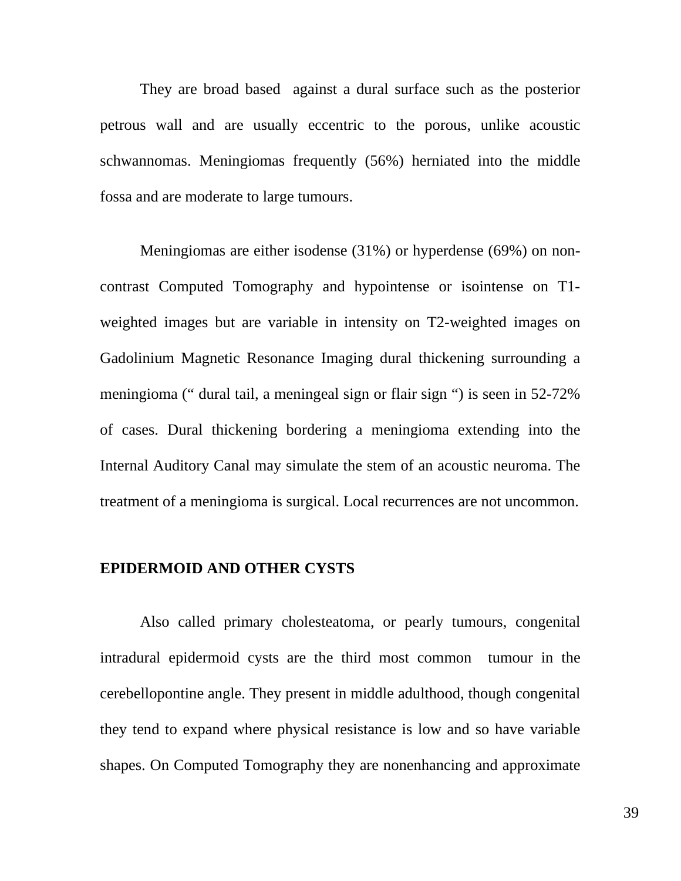They are broad based against a dural surface such as the posterior petrous wall and are usually eccentric to the porous, unlike acoustic schwannomas. Meningiomas frequently (56%) herniated into the middle fossa and are moderate to large tumours.

Meningiomas are either isodense (31%) or hyperdense (69%) on noncontrast Computed Tomography and hypointense or isointense on T1 weighted images but are variable in intensity on T2-weighted images on Gadolinium Magnetic Resonance Imaging dural thickening surrounding a meningioma (" dural tail, a meningeal sign or flair sign ") is seen in 52-72% of cases. Dural thickening bordering a meningioma extending into the Internal Auditory Canal may simulate the stem of an acoustic neuroma. The treatment of a meningioma is surgical. Local recurrences are not uncommon.

#### **EPIDERMOID AND OTHER CYSTS**

Also called primary cholesteatoma, or pearly tumours, congenital intradural epidermoid cysts are the third most common tumour in the cerebellopontine angle. They present in middle adulthood, though congenital they tend to expand where physical resistance is low and so have variable shapes. On Computed Tomography they are nonenhancing and approximate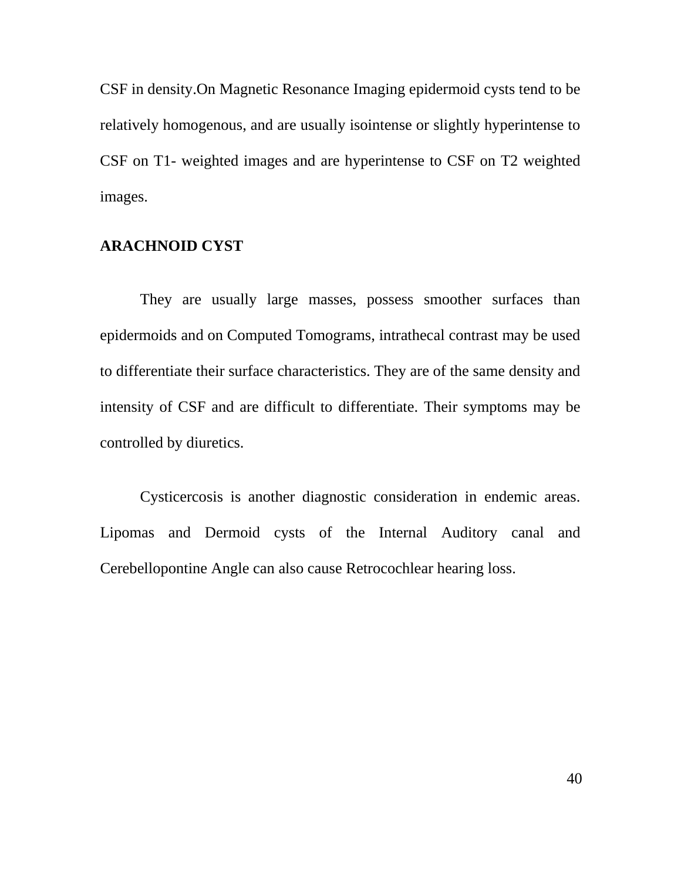CSF in density.On Magnetic Resonance Imaging epidermoid cysts tend to be relatively homogenous, and are usually isointense or slightly hyperintense to CSF on T1- weighted images and are hyperintense to CSF on T2 weighted images.

### **ARACHNOID CYST**

They are usually large masses, possess smoother surfaces than epidermoids and on Computed Tomograms, intrathecal contrast may be used to differentiate their surface characteristics. They are of the same density and intensity of CSF and are difficult to differentiate. Their symptoms may be controlled by diuretics.

Cysticercosis is another diagnostic consideration in endemic areas. Lipomas and Dermoid cysts of the Internal Auditory canal and Cerebellopontine Angle can also cause Retrocochlear hearing loss.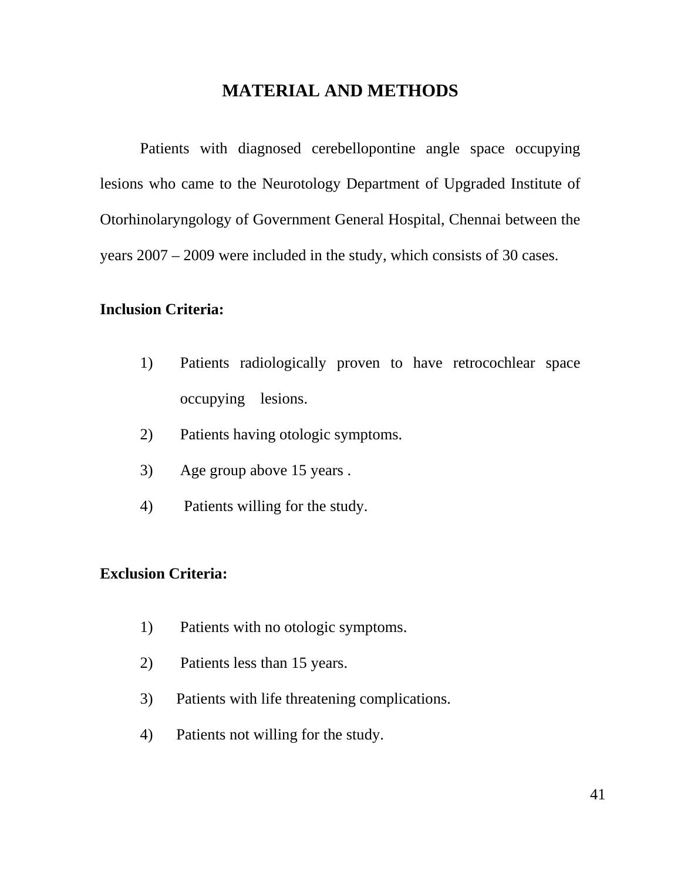## **MATERIAL AND METHODS**

Patients with diagnosed cerebellopontine angle space occupying lesions who came to the Neurotology Department of Upgraded Institute of Otorhinolaryngology of Government General Hospital, Chennai between the years 2007 – 2009 were included in the study, which consists of 30 cases.

## **Inclusion Criteria:**

- 1) Patients radiologically proven to have retrocochlear space occupying lesions.
- 2) Patients having otologic symptoms.
- 3) Age group above 15 years .
- 4) Patients willing for the study.

### **Exclusion Criteria:**

- 1) Patients with no otologic symptoms.
- 2) Patients less than 15 years.
- 3) Patients with life threatening complications.
- 4) Patients not willing for the study.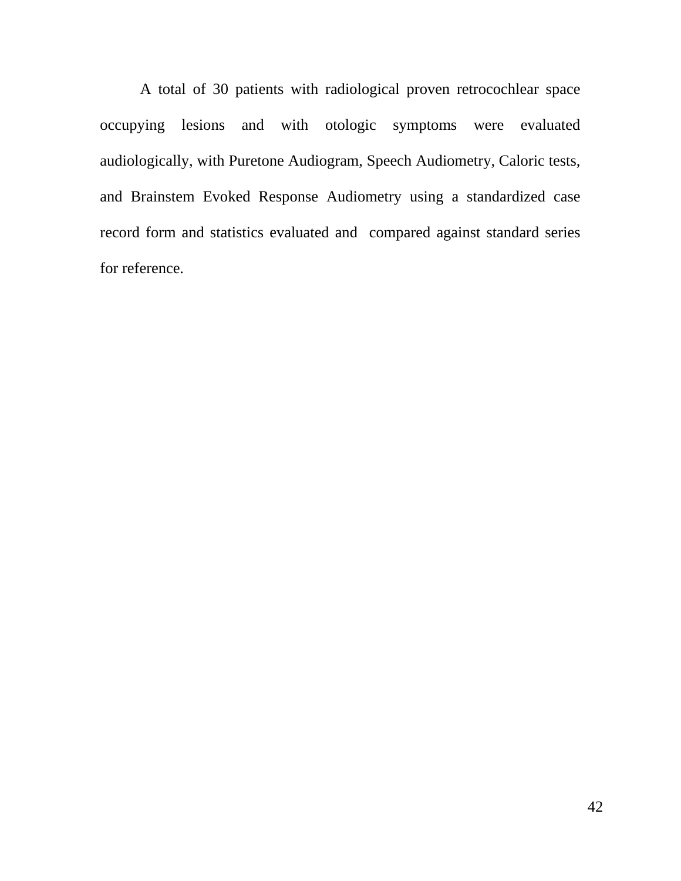A total of 30 patients with radiological proven retrocochlear space occupying lesions and with otologic symptoms were evaluated audiologically, with Puretone Audiogram, Speech Audiometry, Caloric tests, and Brainstem Evoked Response Audiometry using a standardized case record form and statistics evaluated and compared against standard series for reference.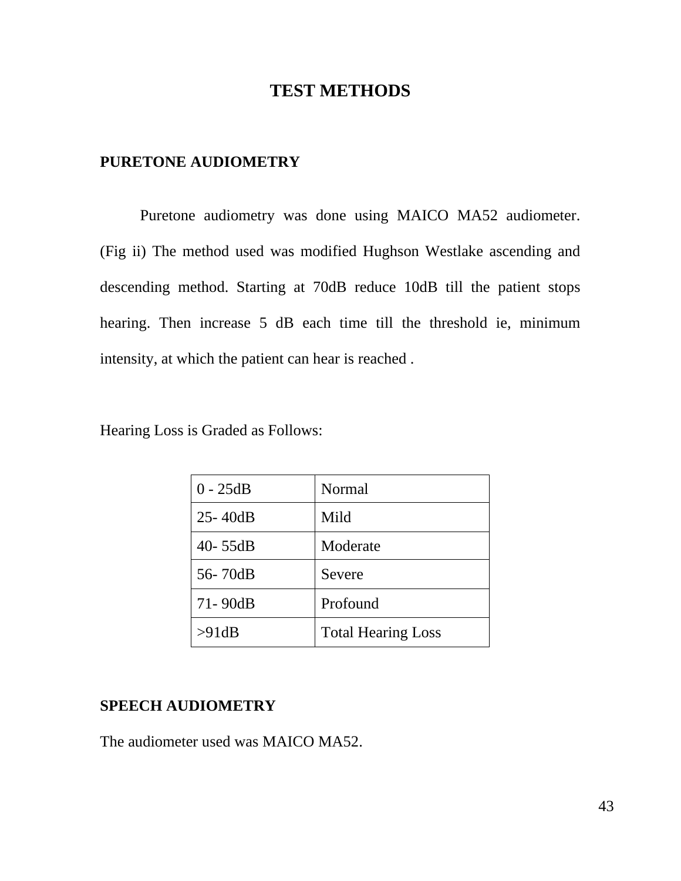## **TEST METHODS**

## **PURETONE AUDIOMETRY**

Puretone audiometry was done using MAICO MA52 audiometer. (Fig ii) The method used was modified Hughson Westlake ascending and descending method. Starting at 70dB reduce 10dB till the patient stops hearing. Then increase 5 dB each time till the threshold ie, minimum intensity, at which the patient can hear is reached .

| $0 - 25dB$  | Normal                    |
|-------------|---------------------------|
| $25 - 40dB$ | Mild                      |
| $40 - 55dB$ | Moderate                  |
| 56-70dB     | Severe                    |
| 71-90dB     | Profound                  |
| >91dB       | <b>Total Hearing Loss</b> |

## **SPEECH AUDIOMETRY**

The audiometer used was MAICO MA52.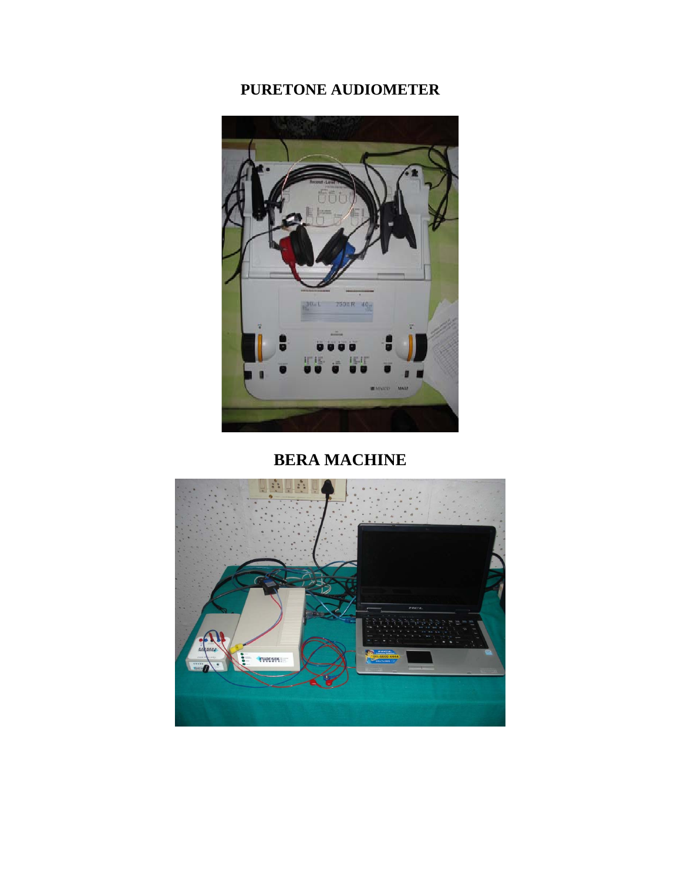# **PURETONE AUDIOMETER**



# **BERA MACHINE**

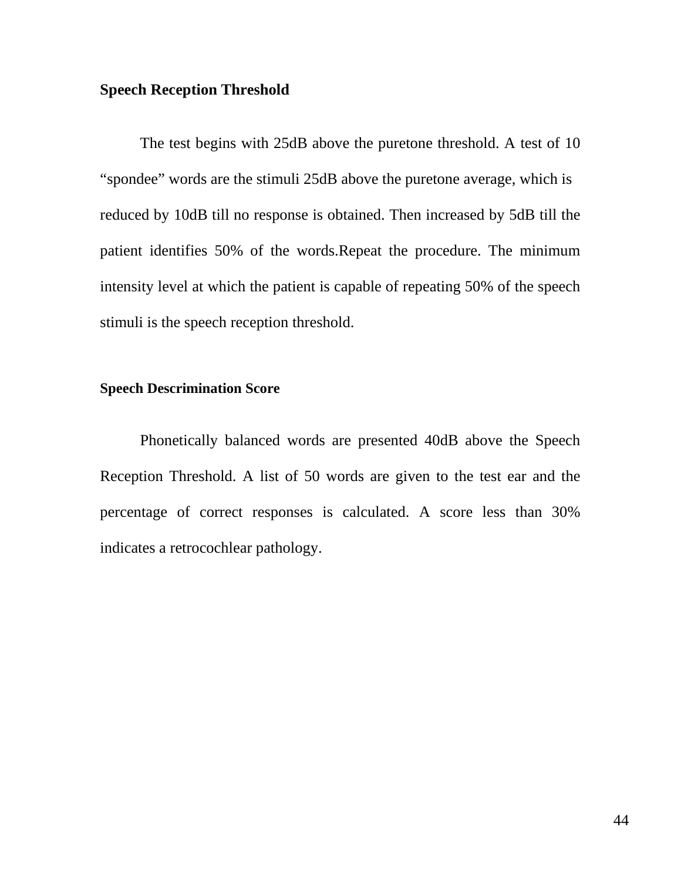### **Speech Reception Threshold**

The test begins with 25dB above the puretone threshold. A test of 10 "spondee" words are the stimuli 25dB above the puretone average, which is reduced by 10dB till no response is obtained. Then increased by 5dB till the patient identifies 50% of the words.Repeat the procedure. The minimum intensity level at which the patient is capable of repeating 50% of the speech stimuli is the speech reception threshold.

### **Speech Descrimination Score**

Phonetically balanced words are presented 40dB above the Speech Reception Threshold. A list of 50 words are given to the test ear and the percentage of correct responses is calculated. A score less than 30% indicates a retrocochlear pathology.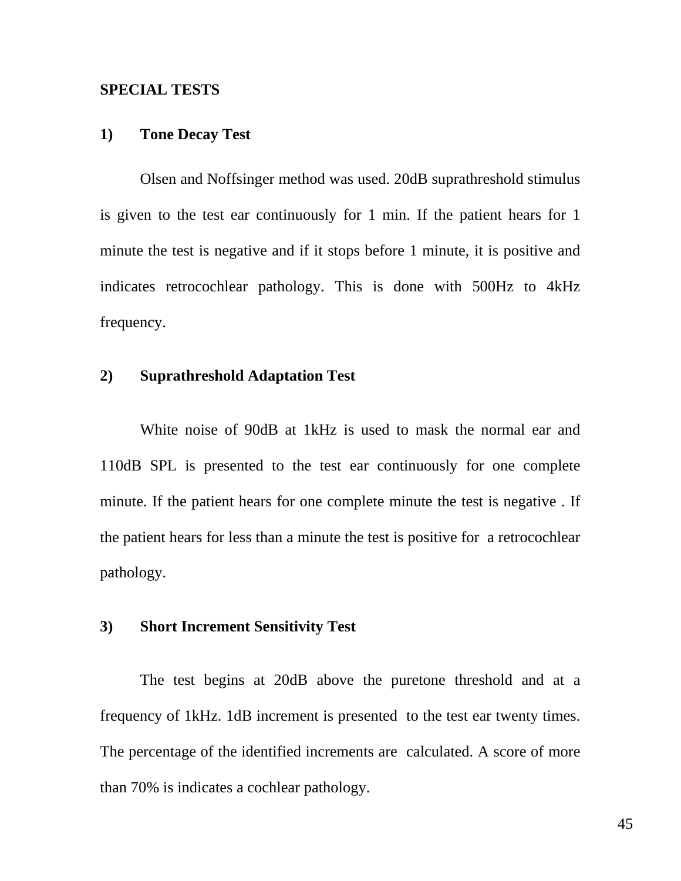#### **SPECIAL TESTS**

#### **1) Tone Decay Test**

Olsen and Noffsinger method was used. 20dB suprathreshold stimulus is given to the test ear continuously for 1 min. If the patient hears for 1 minute the test is negative and if it stops before 1 minute, it is positive and indicates retrocochlear pathology. This is done with 500Hz to 4kHz frequency.

### **2) Suprathreshold Adaptation Test**

White noise of 90dB at 1kHz is used to mask the normal ear and 110dB SPL is presented to the test ear continuously for one complete minute. If the patient hears for one complete minute the test is negative . If the patient hears for less than a minute the test is positive for a retrocochlear pathology.

### **3) Short Increment Sensitivity Test**

The test begins at 20dB above the puretone threshold and at a frequency of 1kHz. 1dB increment is presented to the test ear twenty times. The percentage of the identified increments are calculated. A score of more than 70% is indicates a cochlear pathology.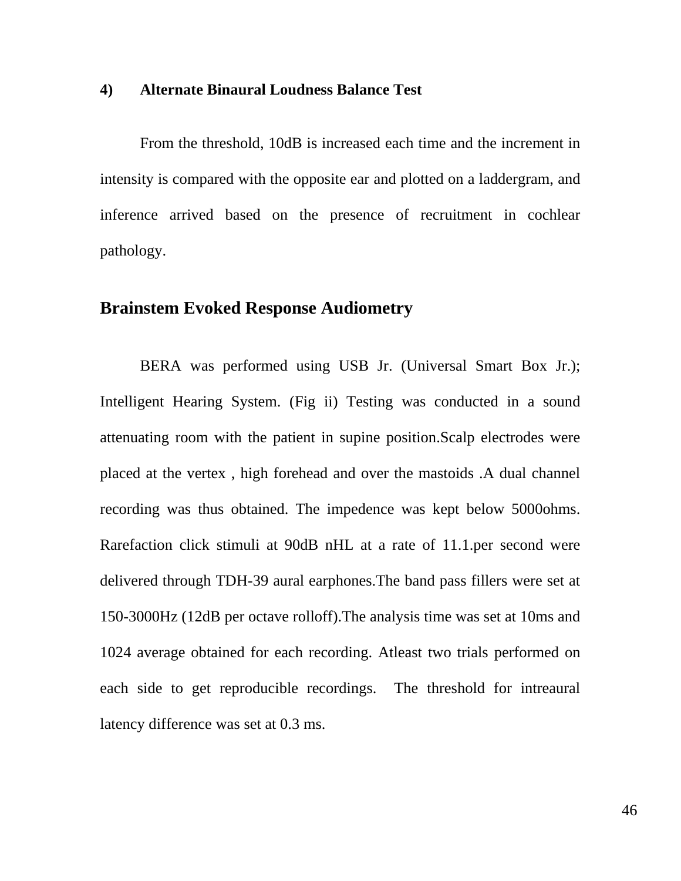#### **4) Alternate Binaural Loudness Balance Test**

From the threshold, 10dB is increased each time and the increment in intensity is compared with the opposite ear and plotted on a laddergram, and inference arrived based on the presence of recruitment in cochlear pathology.

# **Brainstem Evoked Response Audiometry**

BERA was performed using USB Jr. (Universal Smart Box Jr.); Intelligent Hearing System. (Fig ii) Testing was conducted in a sound attenuating room with the patient in supine position.Scalp electrodes were placed at the vertex , high forehead and over the mastoids .A dual channel recording was thus obtained. The impedence was kept below 5000ohms. Rarefaction click stimuli at 90dB nHL at a rate of 11.1.per second were delivered through TDH-39 aural earphones.The band pass fillers were set at 150-3000Hz (12dB per octave rolloff).The analysis time was set at 10ms and 1024 average obtained for each recording. Atleast two trials performed on each side to get reproducible recordings. The threshold for intreaural latency difference was set at 0.3 ms.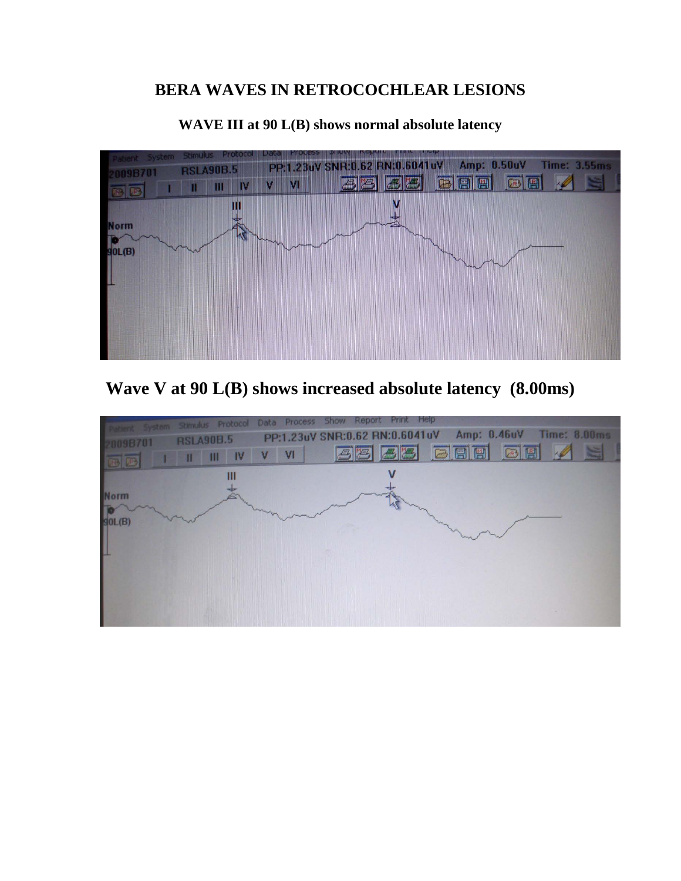# **BERA WAVES IN RETROCOCHLEAR LESIONS**



### **WAVE III at 90 L(B) shows normal absolute latency**



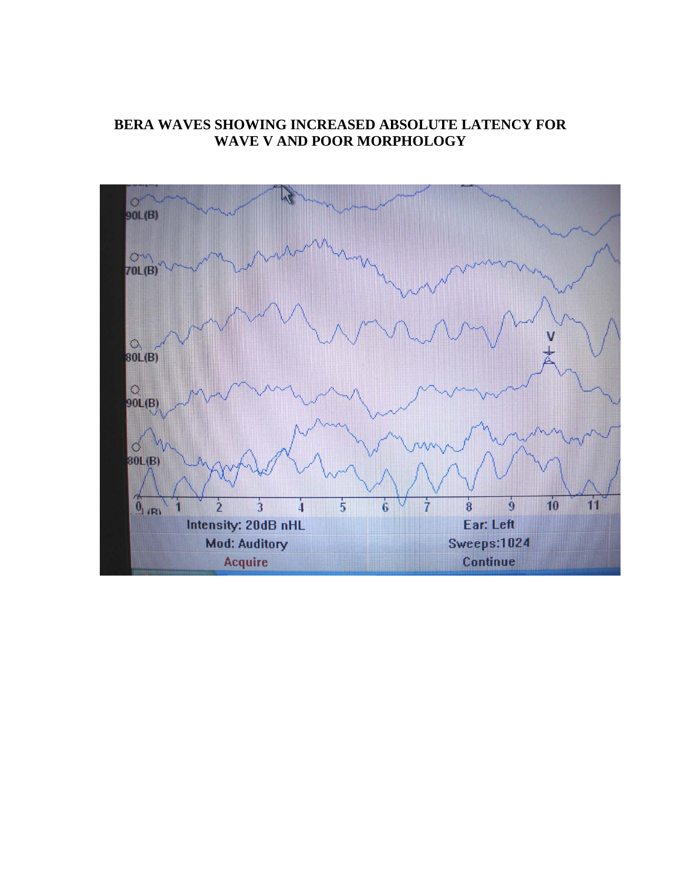## **BERA WAVES SHOWING INCREASED ABSOLUTE LATENCY FOR WAVE V AND POOR MORPHOLOGY**

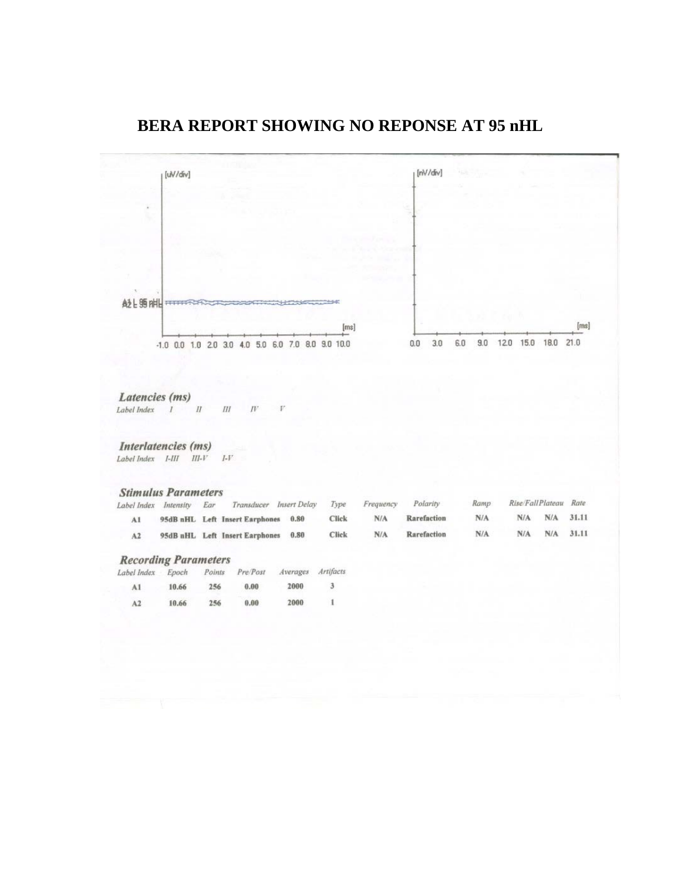## **BERA REPORT SHOWING NO REPONSE AT 95 nHL**

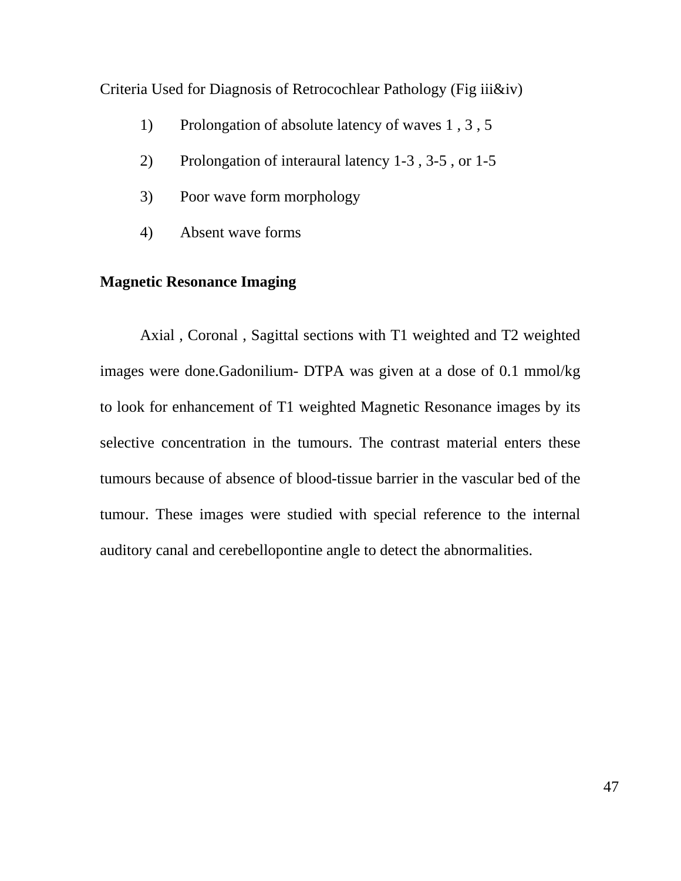Criteria Used for Diagnosis of Retrocochlear Pathology (Fig iii&iv)

- 1) Prolongation of absolute latency of waves 1 , 3 , 5
- 2) Prolongation of interaural latency 1-3 , 3-5 , or 1-5
- 3) Poor wave form morphology
- 4) Absent wave forms

## **Magnetic Resonance Imaging**

Axial , Coronal , Sagittal sections with T1 weighted and T2 weighted images were done.Gadonilium- DTPA was given at a dose of 0.1 mmol/kg to look for enhancement of T1 weighted Magnetic Resonance images by its selective concentration in the tumours. The contrast material enters these tumours because of absence of blood-tissue barrier in the vascular bed of the tumour. These images were studied with special reference to the internal auditory canal and cerebellopontine angle to detect the abnormalities.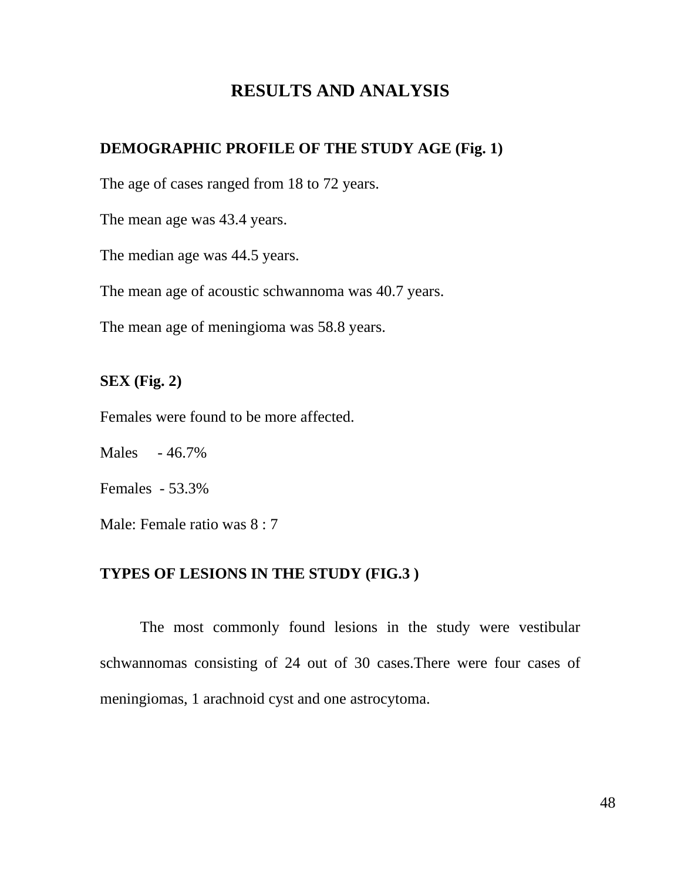## **RESULTS AND ANALYSIS**

## **DEMOGRAPHIC PROFILE OF THE STUDY AGE (Fig. 1)**

The age of cases ranged from 18 to 72 years.

The mean age was 43.4 years.

The median age was 44.5 years.

The mean age of acoustic schwannoma was 40.7 years.

The mean age of meningioma was 58.8 years.

## **SEX (Fig. 2)**

Females were found to be more affected.

Males - 46.7%

Females - 53.3%

Male: Female ratio was 8 : 7

## **TYPES OF LESIONS IN THE STUDY (FIG.3 )**

The most commonly found lesions in the study were vestibular schwannomas consisting of 24 out of 30 cases.There were four cases of meningiomas, 1 arachnoid cyst and one astrocytoma.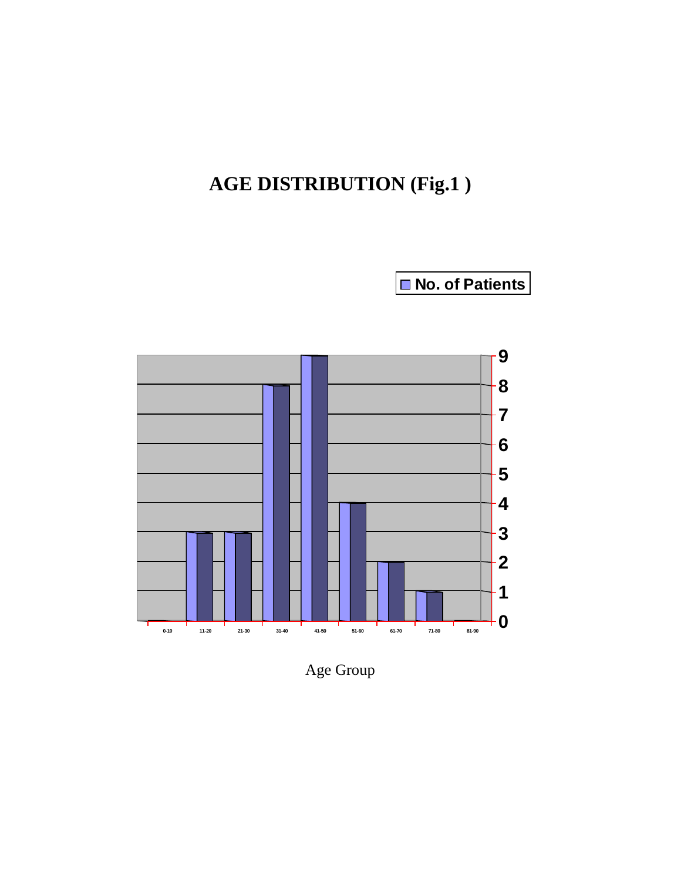# **AGE DISTRIBUTION (Fig.1 )**

**No. of Patients**



Age Group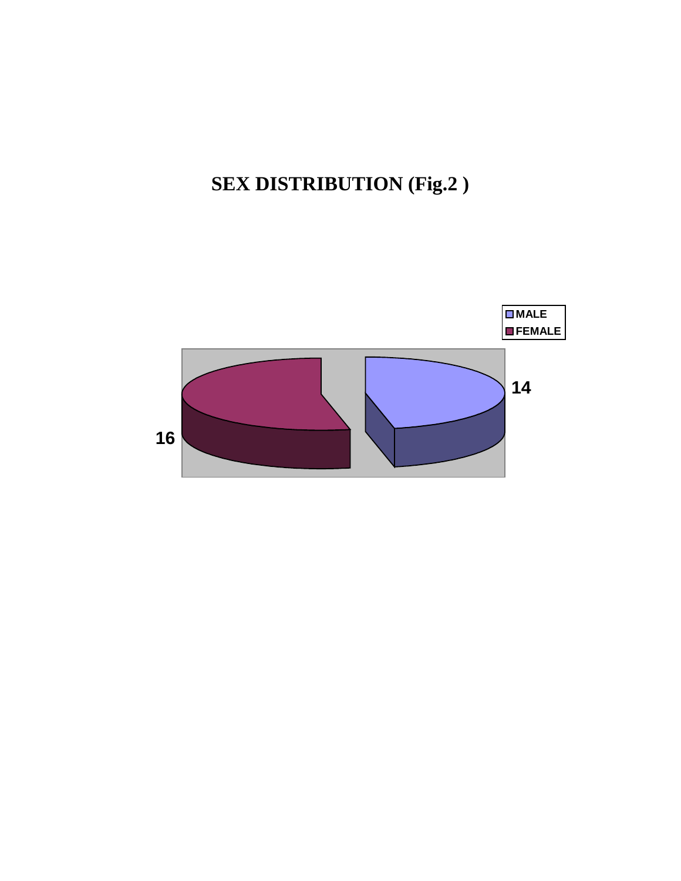**SEX DISTRIBUTION (Fig.2 )**

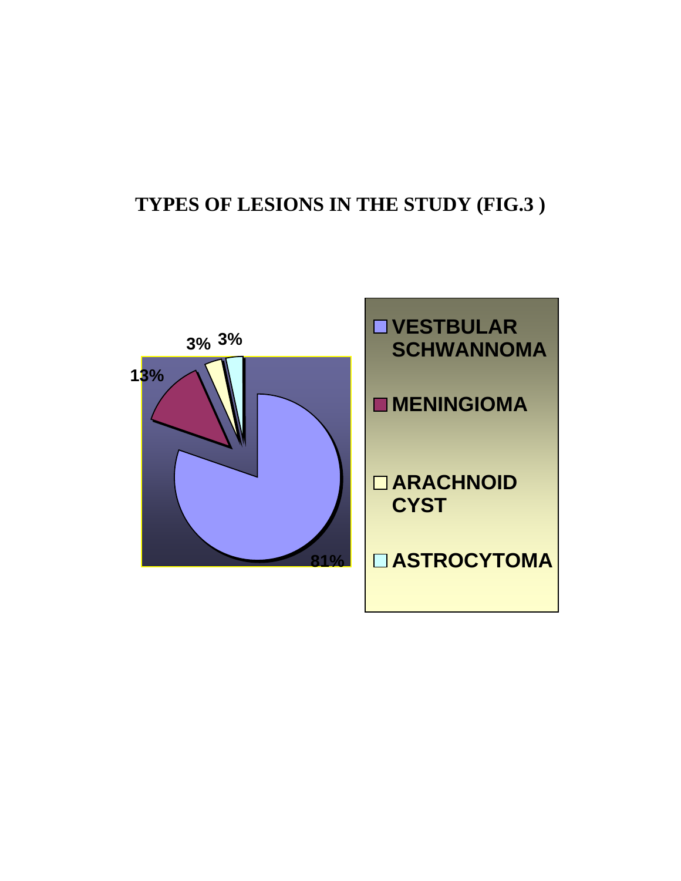# **TYPES OF LESIONS IN THE STUDY (FIG.3 )**

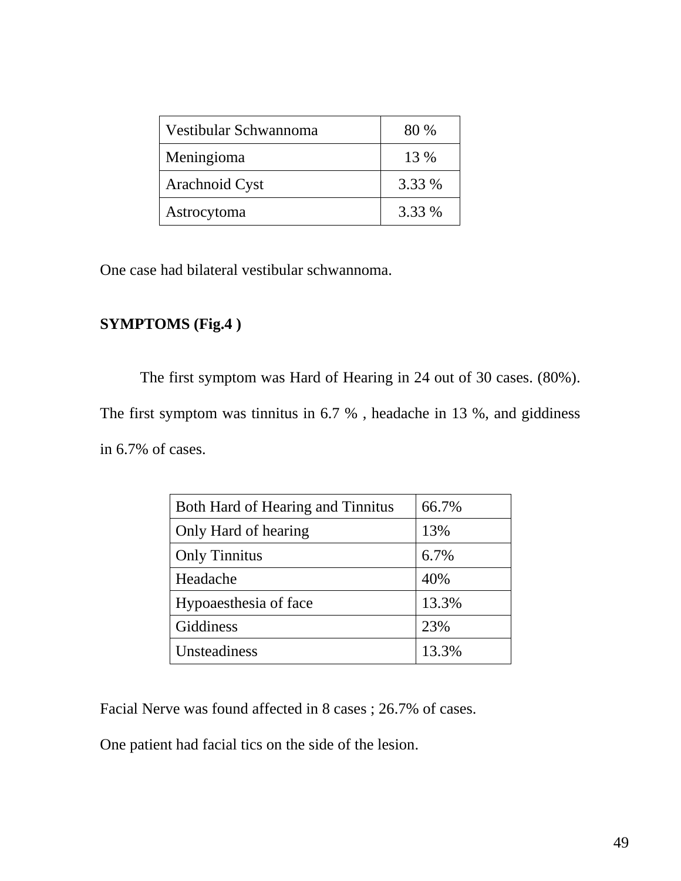| Vestibular Schwannoma | 80 %   |
|-----------------------|--------|
| Meningioma            | 13 %   |
| Arachnoid Cyst        | 3.33 % |
| Astrocytoma           | 3.33 % |

One case had bilateral vestibular schwannoma.

## **SYMPTOMS (Fig.4 )**

The first symptom was Hard of Hearing in 24 out of 30 cases. (80%). The first symptom was tinnitus in 6.7 % , headache in 13 %, and giddiness in 6.7% of cases.

| Both Hard of Hearing and Tinnitus | 66.7% |
|-----------------------------------|-------|
| Only Hard of hearing              | 13%   |
| <b>Only Tinnitus</b>              | 6.7%  |
| Headache                          | 40%   |
| Hypoaesthesia of face             | 13.3% |
| Giddiness                         | 23%   |
| Unsteadiness                      | 13.3% |

Facial Nerve was found affected in 8 cases ; 26.7% of cases.

One patient had facial tics on the side of the lesion.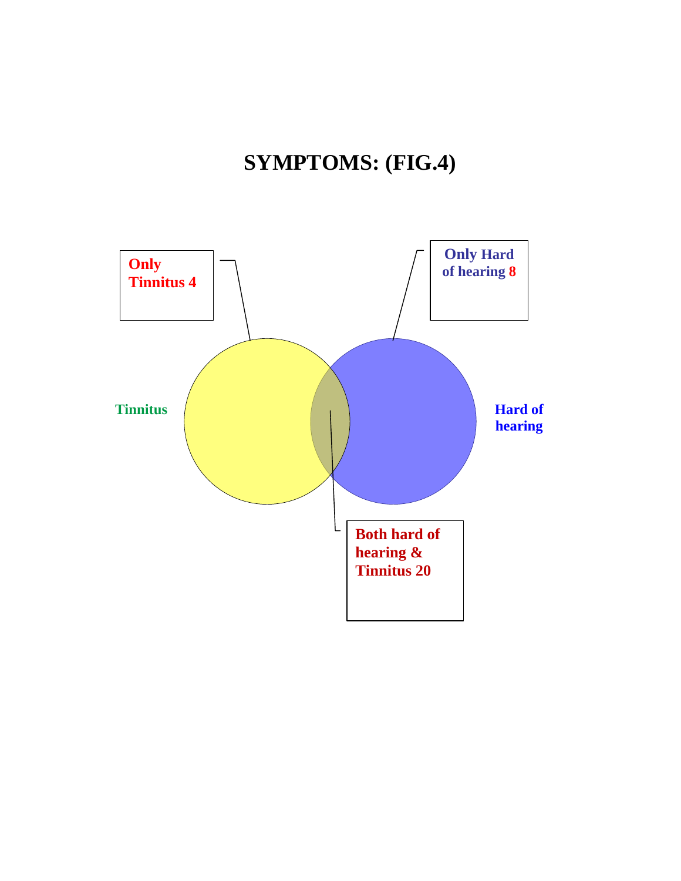# **SYMPTOMS: (FIG.4)**

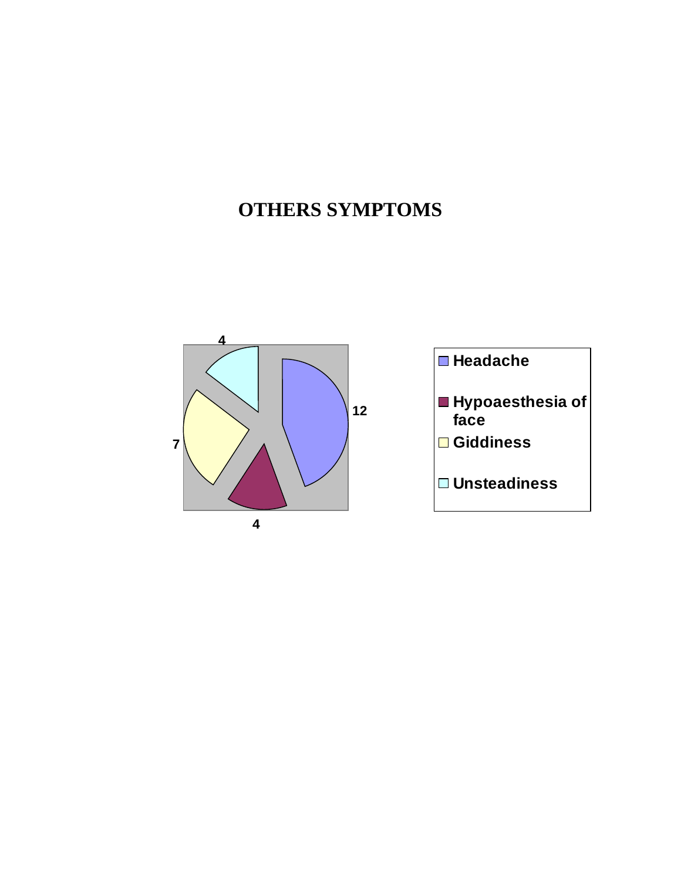# **OTHERS SYMPTOMS**

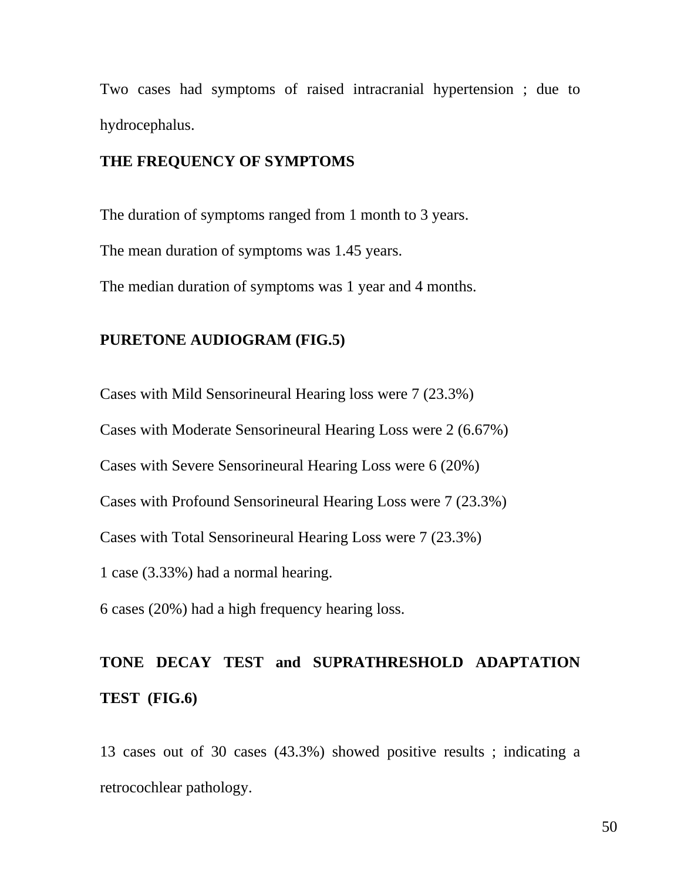Two cases had symptoms of raised intracranial hypertension ; due to hydrocephalus.

## **THE FREQUENCY OF SYMPTOMS**

The duration of symptoms ranged from 1 month to 3 years. The mean duration of symptoms was 1.45 years. The median duration of symptoms was 1 year and 4 months.

### **PURETONE AUDIOGRAM (FIG.5)**

Cases with Mild Sensorineural Hearing loss were 7 (23.3%) Cases with Moderate Sensorineural Hearing Loss were 2 (6.67%) Cases with Severe Sensorineural Hearing Loss were 6 (20%) Cases with Profound Sensorineural Hearing Loss were 7 (23.3%) Cases with Total Sensorineural Hearing Loss were 7 (23.3%) 1 case (3.33%) had a normal hearing. 6 cases (20%) had a high frequency hearing loss.

# **TONE DECAY TEST and SUPRATHRESHOLD ADAPTATION TEST (FIG.6)**

13 cases out of 30 cases (43.3%) showed positive results ; indicating a retrocochlear pathology.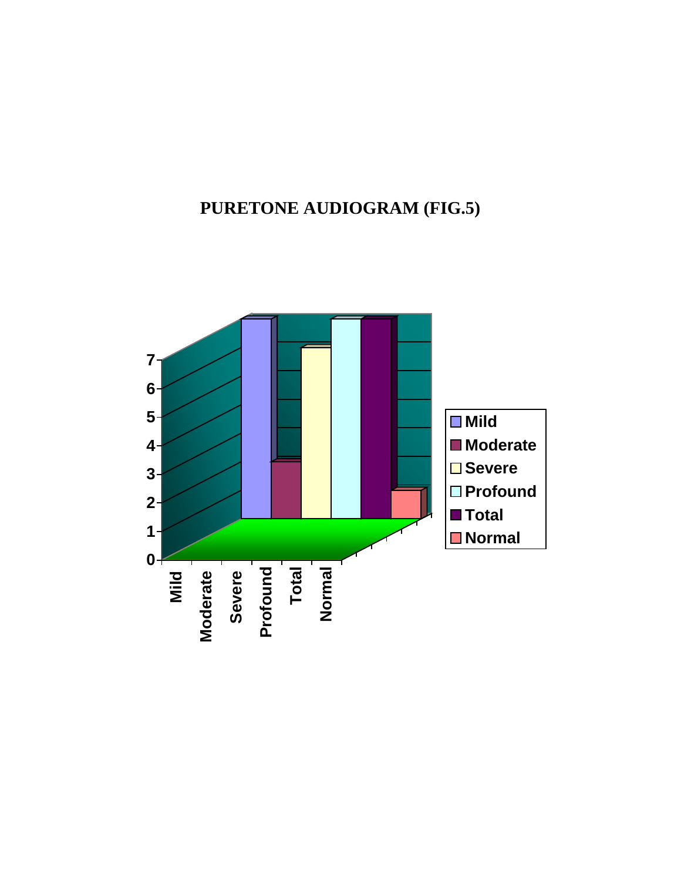# **PURETONE AUDIOGRAM (FIG.5)**

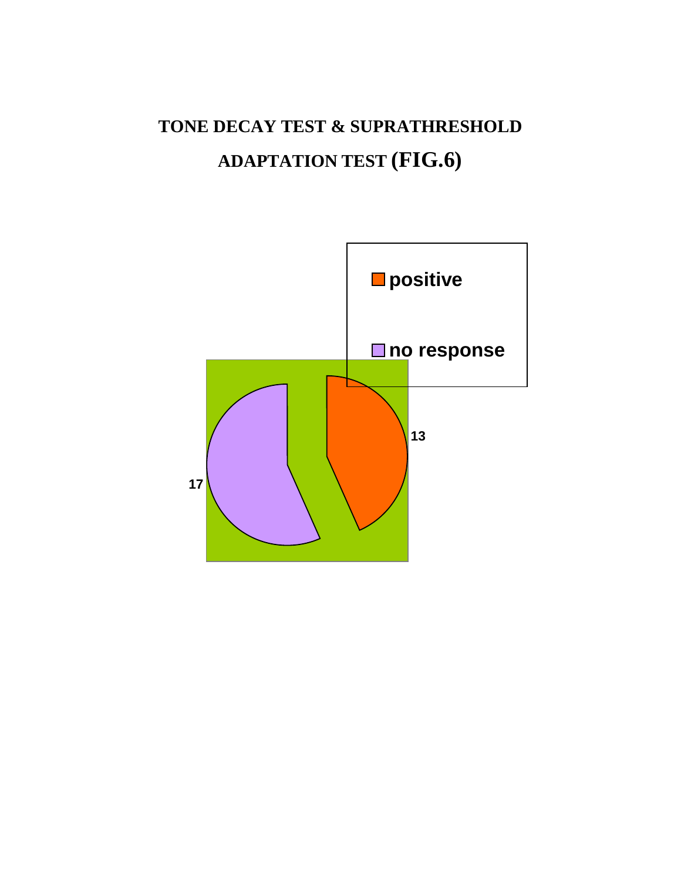# **TONE DECAY TEST & SUPRATHRESHOLD ADAPTATION TEST (FIG.6)**

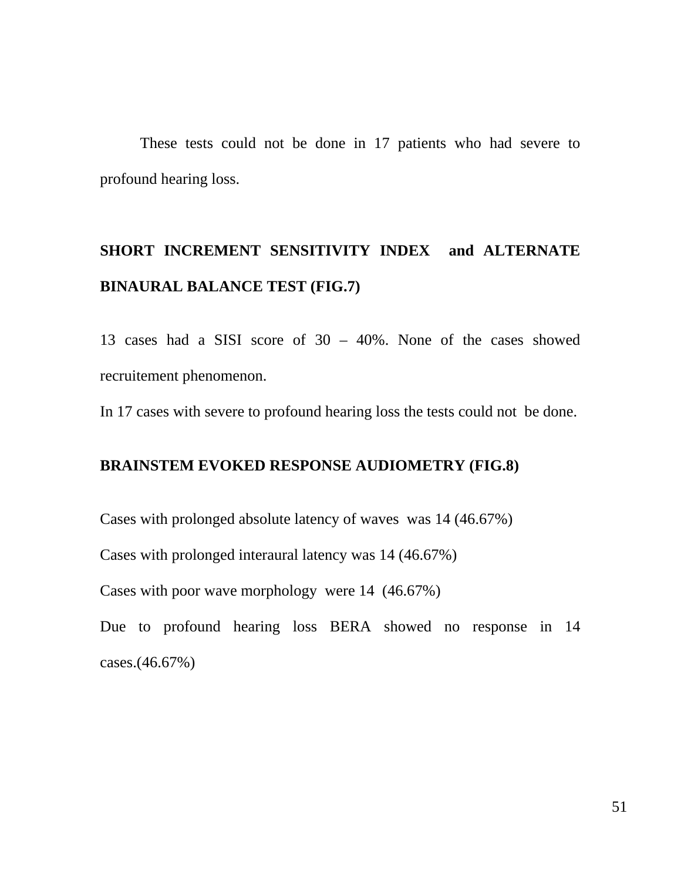These tests could not be done in 17 patients who had severe to profound hearing loss.

# **SHORT INCREMENT SENSITIVITY INDEX and ALTERNATE BINAURAL BALANCE TEST (FIG.7)**

13 cases had a SISI score of 30 – 40%. None of the cases showed recruitement phenomenon.

In 17 cases with severe to profound hearing loss the tests could not be done.

### **BRAINSTEM EVOKED RESPONSE AUDIOMETRY (FIG.8)**

Cases with prolonged absolute latency of waves was 14 (46.67%)

Cases with prolonged interaural latency was 14 (46.67%)

Cases with poor wave morphology were 14 (46.67%)

Due to profound hearing loss BERA showed no response in 14 cases.(46.67%)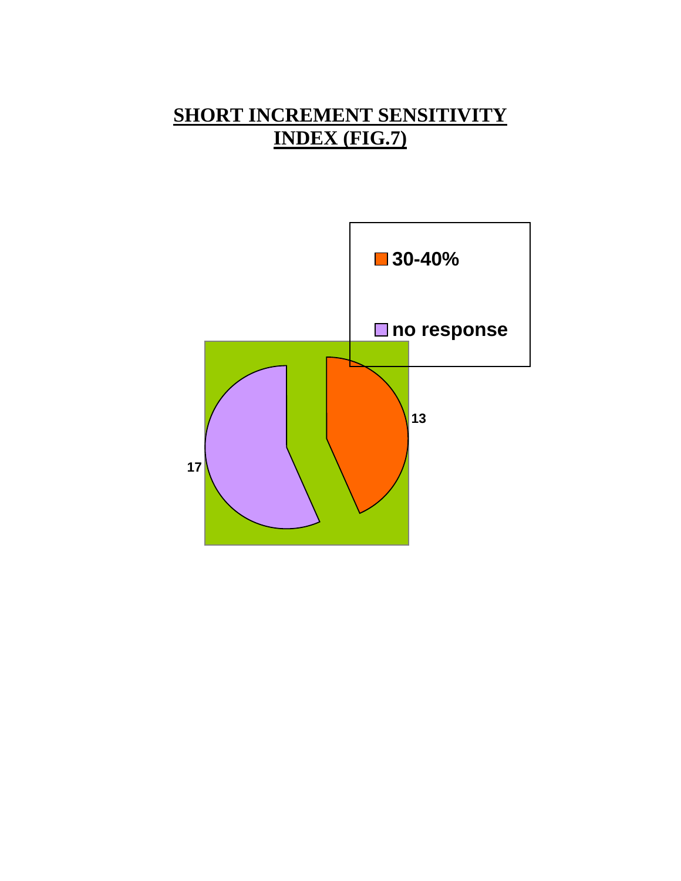# **SHORT INCREMENT SENSITIVITY INDEX (FIG.7)**

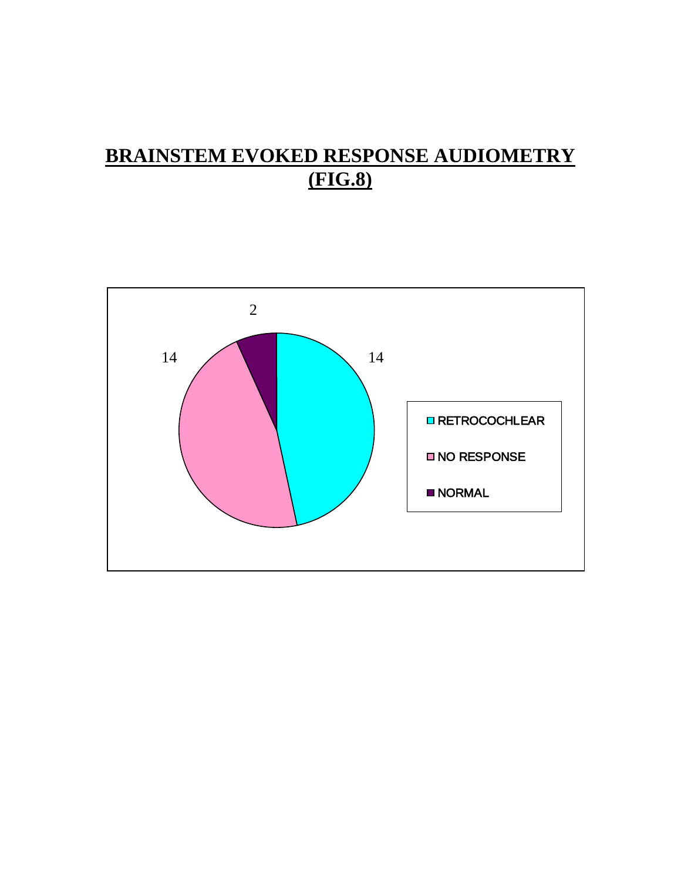# **BRAINSTEM EVOKED RESPONSE AUDIOMETRY (FIG.8)**

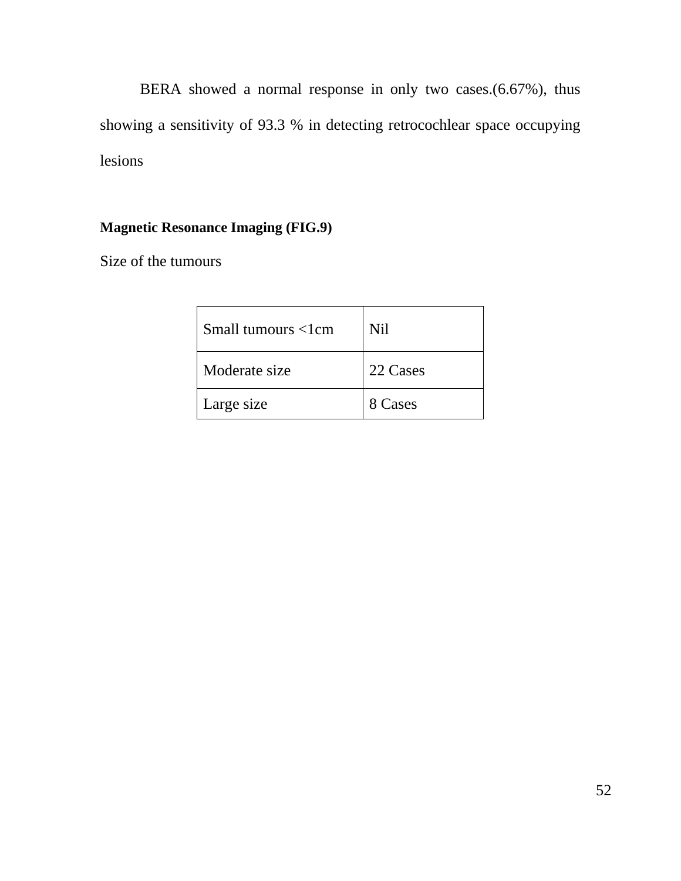BERA showed a normal response in only two cases.(6.67%), thus showing a sensitivity of 93.3 % in detecting retrocochlear space occupying lesions

## **Magnetic Resonance Imaging (FIG.9)**

Size of the tumours

| Small tumours $\langle$ 1 cm | N <sub>i</sub> |
|------------------------------|----------------|
| Moderate size                | 22 Cases       |
| Large size                   | 8 Cases        |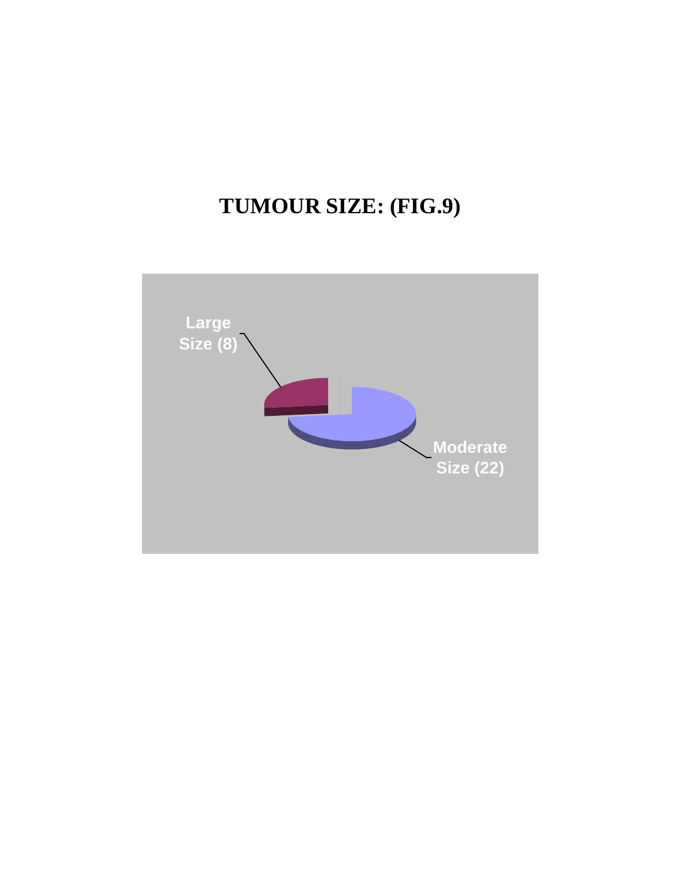# **TUMOUR SIZE: (FIG.9)**

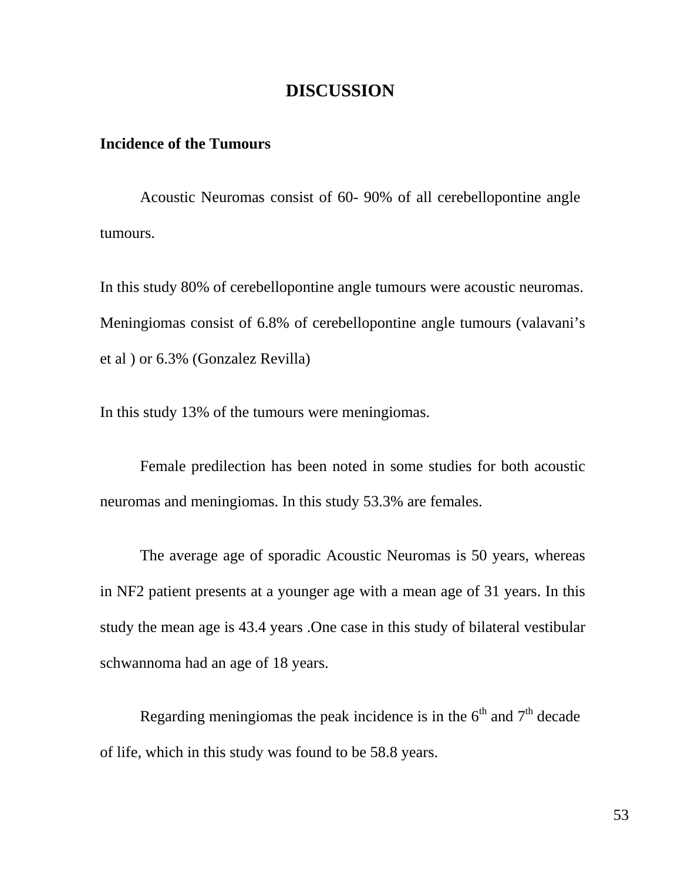## **DISCUSSION**

### **Incidence of the Tumours**

Acoustic Neuromas consist of 60- 90% of all cerebellopontine angle tumours.

In this study 80% of cerebellopontine angle tumours were acoustic neuromas. Meningiomas consist of 6.8% of cerebellopontine angle tumours (valavani's et al ) or 6.3% (Gonzalez Revilla)

In this study 13% of the tumours were meningiomas.

Female predilection has been noted in some studies for both acoustic neuromas and meningiomas. In this study 53.3% are females.

The average age of sporadic Acoustic Neuromas is 50 years, whereas in NF2 patient presents at a younger age with a mean age of 31 years. In this study the mean age is 43.4 years .One case in this study of bilateral vestibular schwannoma had an age of 18 years.

Regarding meningiomas the peak incidence is in the  $6<sup>th</sup>$  and  $7<sup>th</sup>$  decade of life, which in this study was found to be 58.8 years.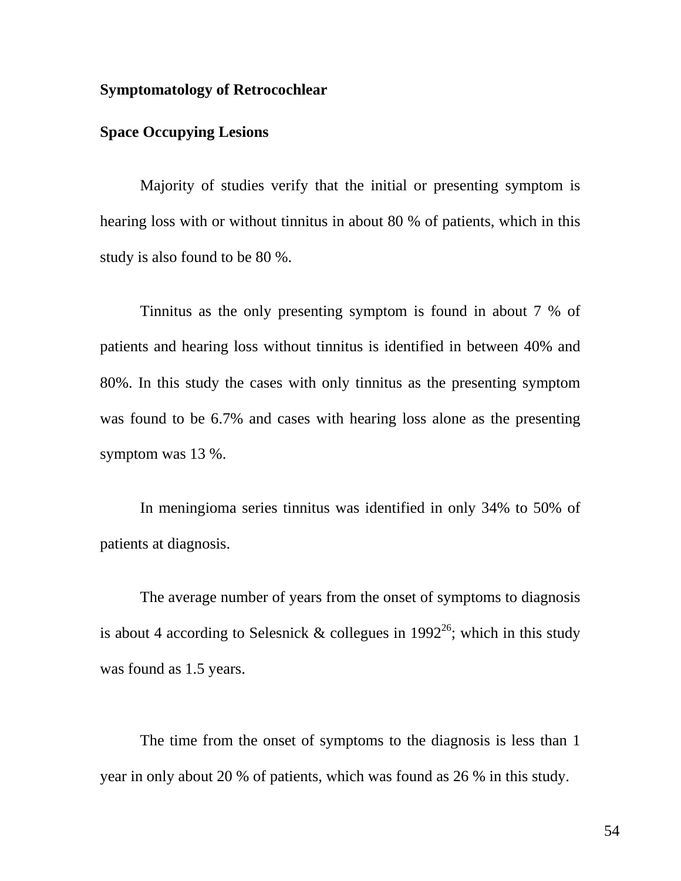### **Symptomatology of Retrocochlear**

## **Space Occupying Lesions**

Majority of studies verify that the initial or presenting symptom is hearing loss with or without tinnitus in about 80 % of patients, which in this study is also found to be 80 %.

Tinnitus as the only presenting symptom is found in about 7 % of patients and hearing loss without tinnitus is identified in between 40% and 80%. In this study the cases with only tinnitus as the presenting symptom was found to be 6.7% and cases with hearing loss alone as the presenting symptom was 13 %.

In meningioma series tinnitus was identified in only 34% to 50% of patients at diagnosis.

The average number of years from the onset of symptoms to diagnosis is about 4 according to Selesnick & collegues in  $1992^{26}$ ; which in this study was found as 1.5 years.

The time from the onset of symptoms to the diagnosis is less than 1 year in only about 20 % of patients, which was found as 26 % in this study.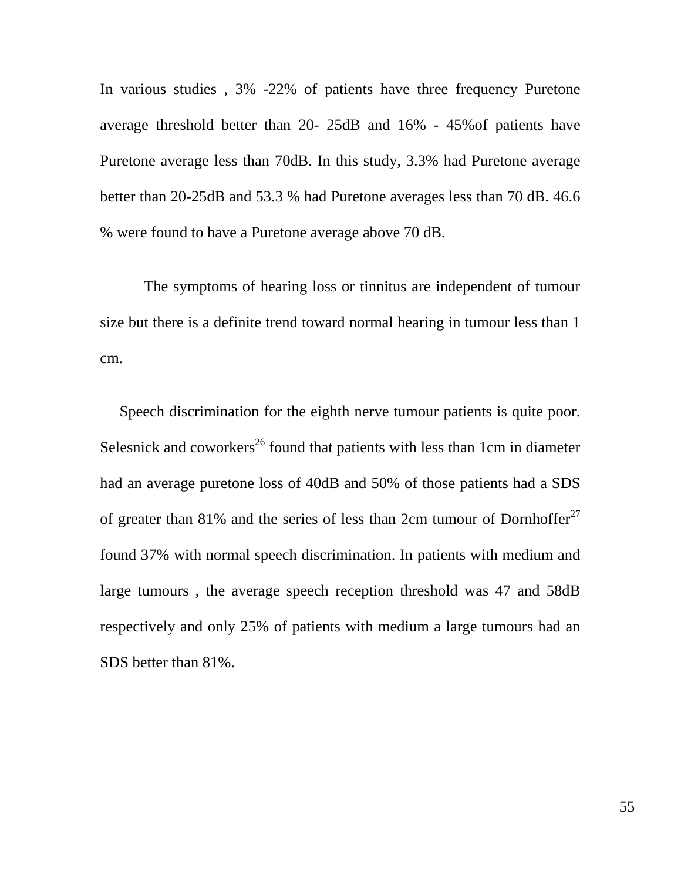In various studies , 3% -22% of patients have three frequency Puretone average threshold better than 20- 25dB and 16% - 45%of patients have Puretone average less than 70dB. In this study, 3.3% had Puretone average better than 20-25dB and 53.3 % had Puretone averages less than 70 dB. 46.6 % were found to have a Puretone average above 70 dB.

The symptoms of hearing loss or tinnitus are independent of tumour size but there is a definite trend toward normal hearing in tumour less than 1 cm.

 Speech discrimination for the eighth nerve tumour patients is quite poor. Selesnick and coworkers<sup>26</sup> found that patients with less than 1cm in diameter had an average puretone loss of 40dB and 50% of those patients had a SDS of greater than 81% and the series of less than 2cm tumour of Dornhoffer<sup>27</sup> found 37% with normal speech discrimination. In patients with medium and large tumours , the average speech reception threshold was 47 and 58dB respectively and only 25% of patients with medium a large tumours had an SDS better than 81%.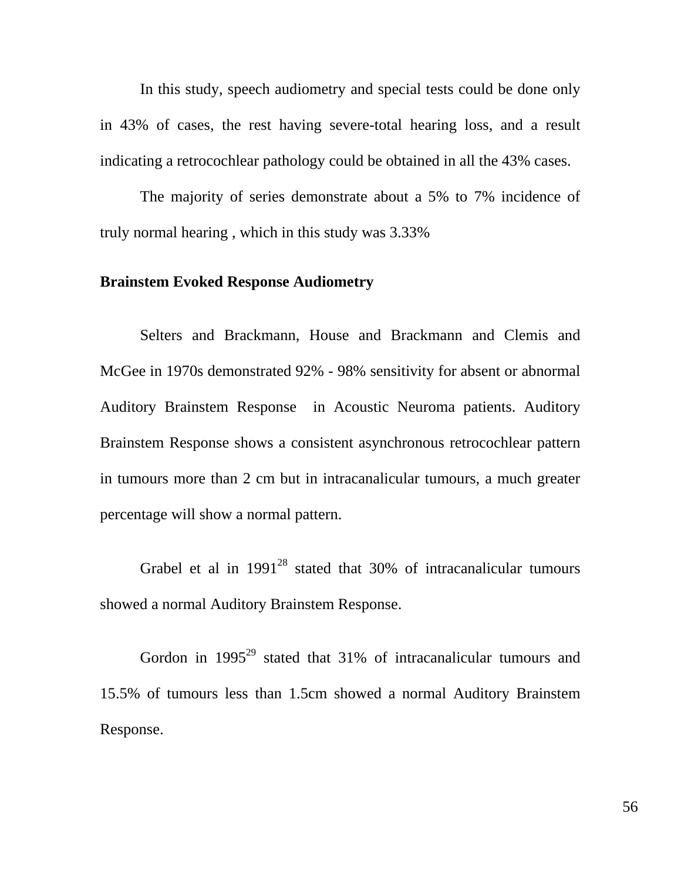In this study, speech audiometry and special tests could be done only in 43% of cases, the rest having severe-total hearing loss, and a result indicating a retrocochlear pathology could be obtained in all the 43% cases.

The majority of series demonstrate about a 5% to 7% incidence of truly normal hearing , which in this study was 3.33%

#### **Brainstem Evoked Response Audiometry**

Selters and Brackmann, House and Brackmann and Clemis and McGee in 1970s demonstrated 92% - 98% sensitivity for absent or abnormal Auditory Brainstem Response in Acoustic Neuroma patients. Auditory Brainstem Response shows a consistent asynchronous retrocochlear pattern in tumours more than 2 cm but in intracanalicular tumours, a much greater percentage will show a normal pattern.

Grabel et al in  $1991^{28}$  stated that 30% of intracanalicular tumours showed a normal Auditory Brainstem Response.

Gordon in 1995<sup>29</sup> stated that 31% of intracanalicular tumours and 15.5% of tumours less than 1.5cm showed a normal Auditory Brainstem Response.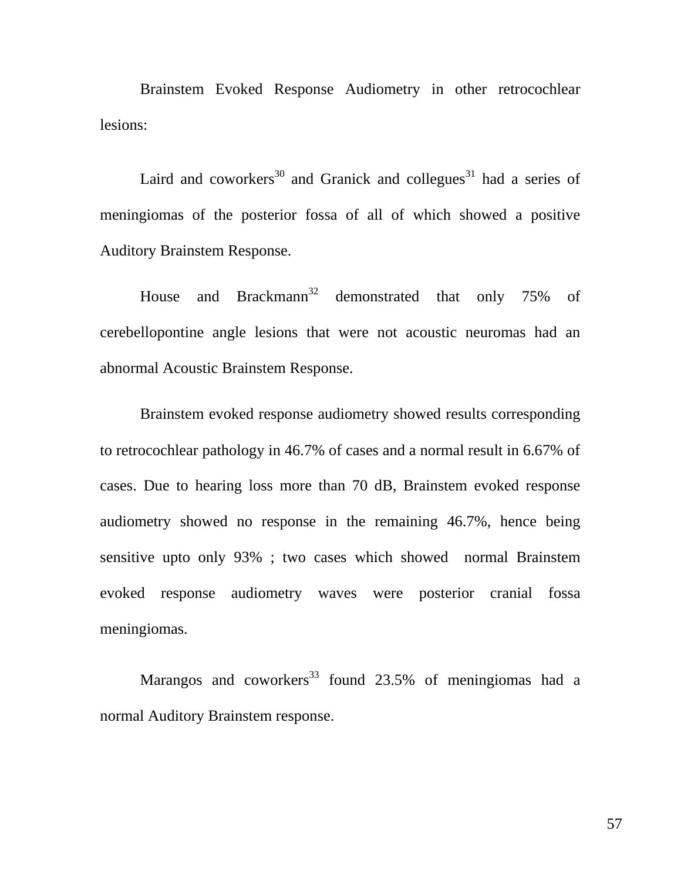Brainstem Evoked Response Audiometry in other retrocochlear lesions:

Laird and coworkers<sup>30</sup> and Granick and collegues<sup>31</sup> had a series of meningiomas of the posterior fossa of all of which showed a positive Auditory Brainstem Response.

House and Brackmann<sup>32</sup> demonstrated that only 75% of cerebellopontine angle lesions that were not acoustic neuromas had an abnormal Acoustic Brainstem Response.

Brainstem evoked response audiometry showed results corresponding to retrocochlear pathology in 46.7% of cases and a normal result in 6.67% of cases. Due to hearing loss more than 70 dB, Brainstem evoked response audiometry showed no response in the remaining 46.7%, hence being sensitive upto only 93% ; two cases which showed normal Brainstem evoked response audiometry waves were posterior cranial fossa meningiomas.

Marangos and coworkers<sup>33</sup> found 23.5% of meningiomas had a normal Auditory Brainstem response.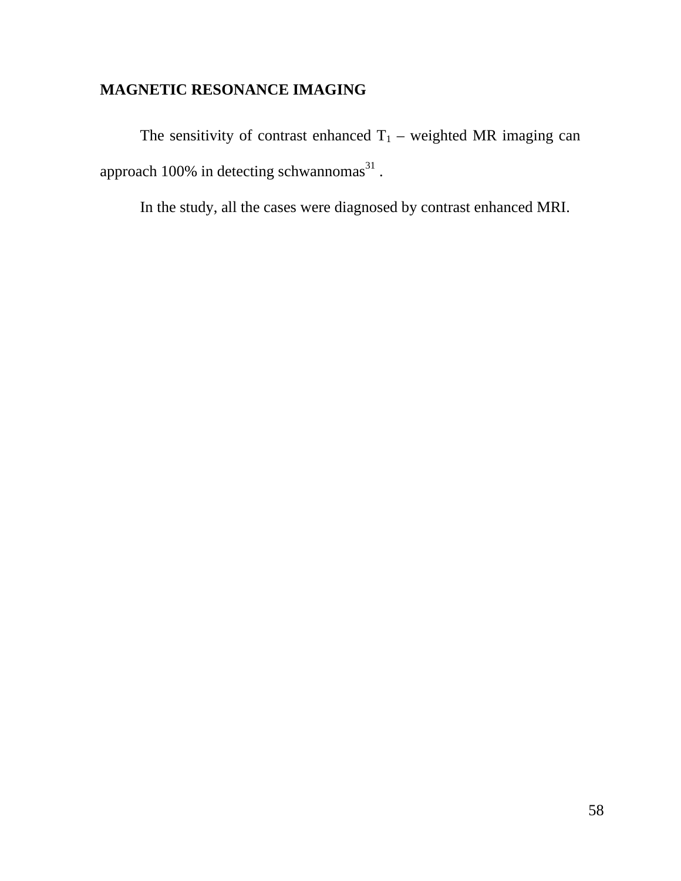## **MAGNETIC RESONANCE IMAGING**

The sensitivity of contrast enhanced  $T_1$  – weighted MR imaging can approach 100% in detecting schwannomas $^{31}$ .

In the study, all the cases were diagnosed by contrast enhanced MRI.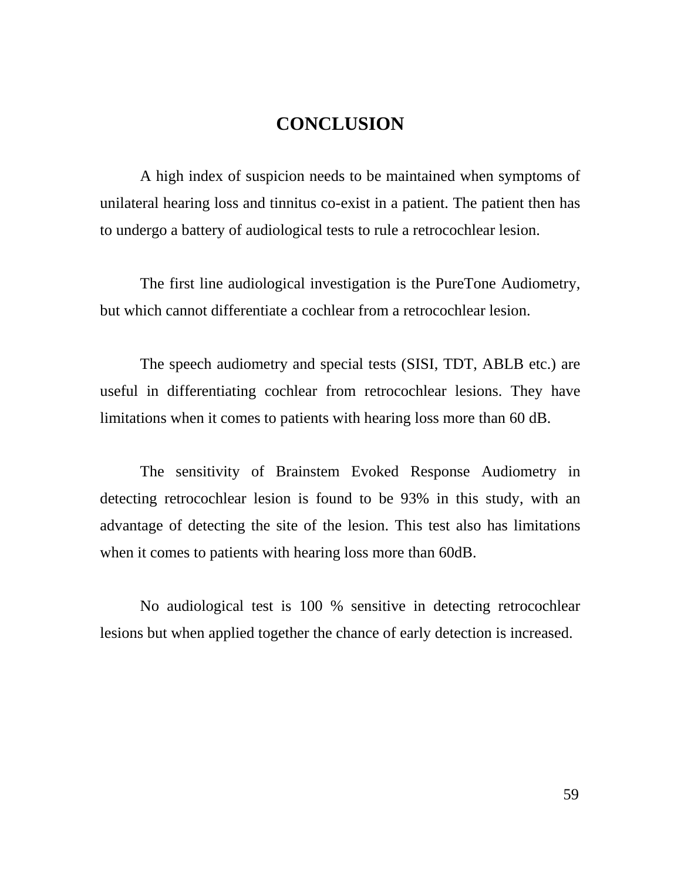## **CONCLUSION**

A high index of suspicion needs to be maintained when symptoms of unilateral hearing loss and tinnitus co-exist in a patient. The patient then has to undergo a battery of audiological tests to rule a retrocochlear lesion.

The first line audiological investigation is the PureTone Audiometry, but which cannot differentiate a cochlear from a retrocochlear lesion.

The speech audiometry and special tests (SISI, TDT, ABLB etc.) are useful in differentiating cochlear from retrocochlear lesions. They have limitations when it comes to patients with hearing loss more than 60 dB.

The sensitivity of Brainstem Evoked Response Audiometry in detecting retrocochlear lesion is found to be 93% in this study, with an advantage of detecting the site of the lesion. This test also has limitations when it comes to patients with hearing loss more than 60dB.

No audiological test is 100 % sensitive in detecting retrocochlear lesions but when applied together the chance of early detection is increased.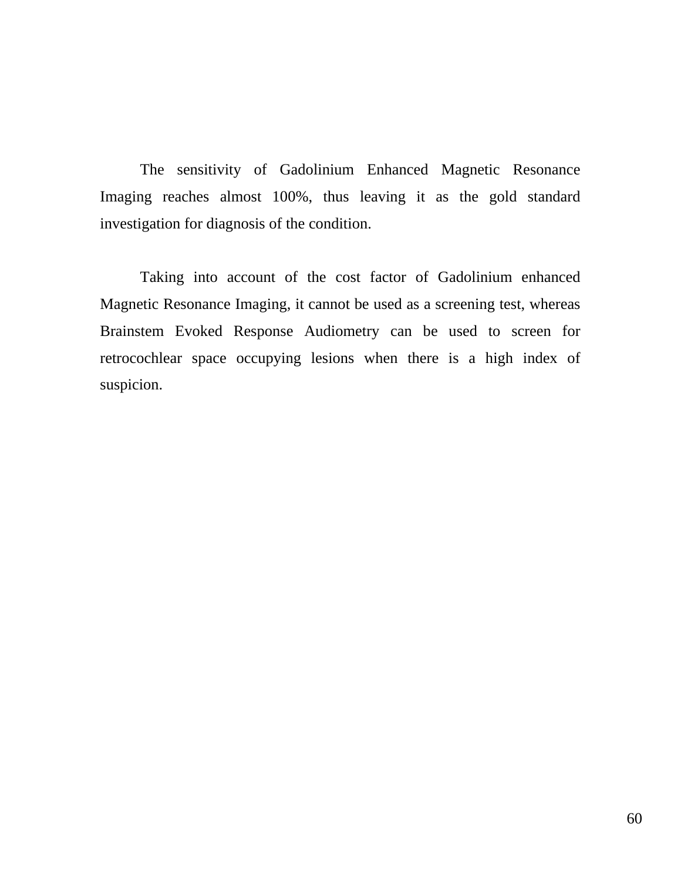The sensitivity of Gadolinium Enhanced Magnetic Resonance Imaging reaches almost 100%, thus leaving it as the gold standard investigation for diagnosis of the condition.

Taking into account of the cost factor of Gadolinium enhanced Magnetic Resonance Imaging, it cannot be used as a screening test, whereas Brainstem Evoked Response Audiometry can be used to screen for retrocochlear space occupying lesions when there is a high index of suspicion.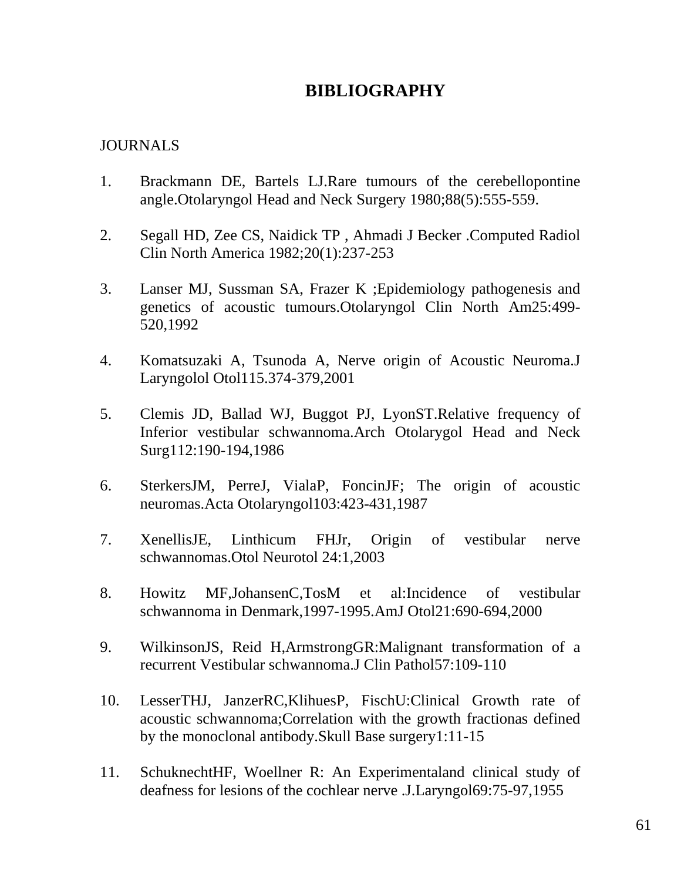## **BIBLIOGRAPHY**

## JOURNALS

- 1. Brackmann DE, Bartels LJ.Rare tumours of the cerebellopontine angle.Otolaryngol Head and Neck Surgery 1980;88(5):555-559.
- 2. Segall HD, Zee CS, Naidick TP , Ahmadi J Becker .Computed Radiol Clin North America 1982;20(1):237-253
- 3. Lanser MJ, Sussman SA, Frazer K ;Epidemiology pathogenesis and genetics of acoustic tumours.Otolaryngol Clin North Am25:499- 520,1992
- 4. Komatsuzaki A, Tsunoda A, Nerve origin of Acoustic Neuroma.J Laryngolol Otol115.374-379,2001
- 5. Clemis JD, Ballad WJ, Buggot PJ, LyonST.Relative frequency of Inferior vestibular schwannoma.Arch Otolarygol Head and Neck Surg112:190-194,1986
- 6. SterkersJM, PerreJ, VialaP, FoncinJF; The origin of acoustic neuromas.Acta Otolaryngol103:423-431,1987
- 7. XenellisJE, Linthicum FHJr, Origin of vestibular nerve schwannomas.Otol Neurotol 24:1,2003
- 8. Howitz MF,JohansenC,TosM et al:Incidence of vestibular schwannoma in Denmark,1997-1995.AmJ Otol21:690-694,2000
- 9. WilkinsonJS, Reid H,ArmstrongGR:Malignant transformation of a recurrent Vestibular schwannoma.J Clin Pathol57:109-110
- 10. LesserTHJ, JanzerRC,KlihuesP, FischU:Clinical Growth rate of acoustic schwannoma;Correlation with the growth fractionas defined by the monoclonal antibody.Skull Base surgery1:11-15
- 11. SchuknechtHF, Woellner R: An Experimentaland clinical study of deafness for lesions of the cochlear nerve .J.Laryngol69:75-97,1955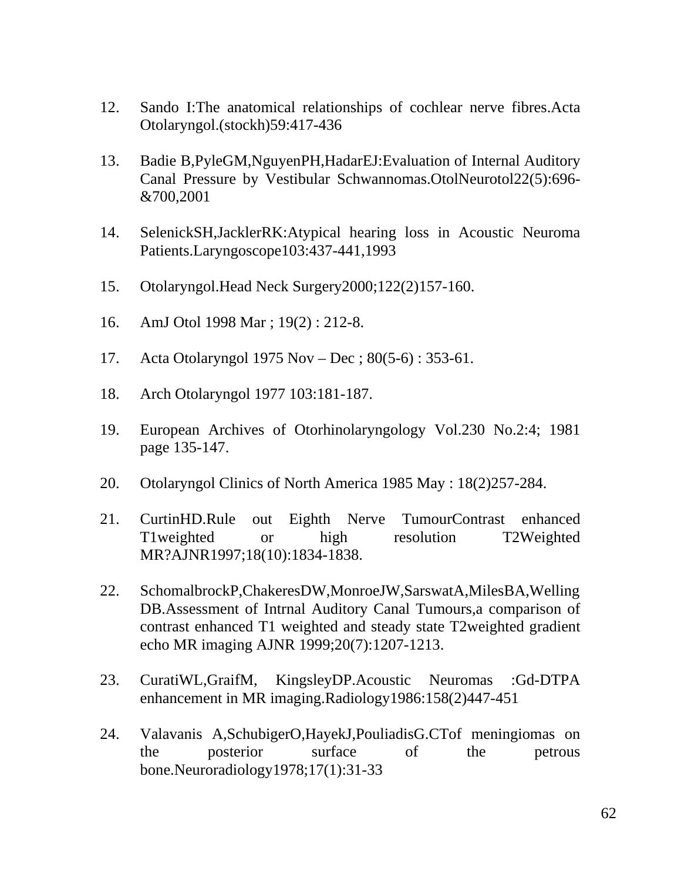- 12. Sando I:The anatomical relationships of cochlear nerve fibres.Acta Otolaryngol.(stockh)59:417-436
- 13. Badie B,PyleGM,NguyenPH,HadarEJ:Evaluation of Internal Auditory Canal Pressure by Vestibular Schwannomas.OtolNeurotol22(5):696- &700,2001
- 14. SelenickSH,JacklerRK:Atypical hearing loss in Acoustic Neuroma Patients.Laryngoscope103:437-441,1993
- 15. Otolaryngol.Head Neck Surgery2000;122(2)157-160.
- 16. AmJ Otol 1998 Mar ; 19(2) : 212-8.
- 17. Acta Otolaryngol 1975 Nov Dec ; 80(5-6) : 353-61.
- 18. Arch Otolaryngol 1977 103:181-187.
- 19. European Archives of Otorhinolaryngology Vol.230 No.2:4; 1981 page 135-147.
- 20. Otolaryngol Clinics of North America 1985 May : 18(2)257-284.
- 21. CurtinHD.Rule out Eighth Nerve TumourContrast enhanced T1weighted or high resolution T2Weighted MR?AJNR1997;18(10):1834-1838.
- 22. SchomalbrockP,ChakeresDW,MonroeJW,SarswatA,MilesBA,Welling DB.Assessment of Intrnal Auditory Canal Tumours,a comparison of contrast enhanced T1 weighted and steady state T2weighted gradient echo MR imaging AJNR 1999;20(7):1207-1213.
- 23. CuratiWL,GraifM, KingsleyDP.Acoustic Neuromas :Gd-DTPA enhancement in MR imaging.Radiology1986:158(2)447-451
- 24. Valavanis A,SchubigerO,HayekJ,PouliadisG.CTof meningiomas on the posterior surface of the petrous bone.Neuroradiology1978;17(1):31-33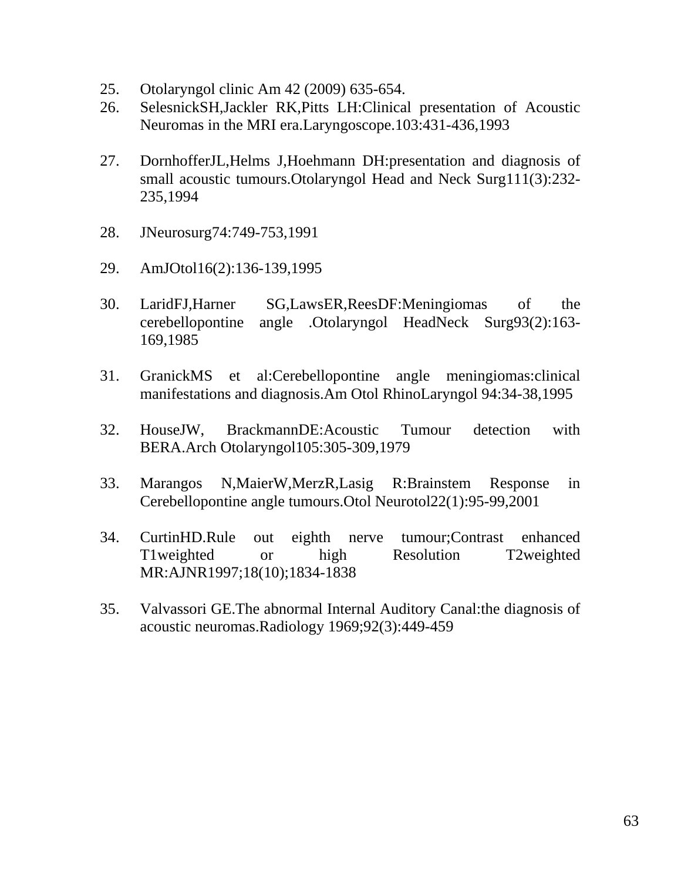- 25. Otolaryngol clinic Am 42 (2009) 635-654.
- 26. SelesnickSH,Jackler RK,Pitts LH:Clinical presentation of Acoustic Neuromas in the MRI era.Laryngoscope.103:431-436,1993
- 27. DornhofferJL,Helms J,Hoehmann DH:presentation and diagnosis of small acoustic tumours.Otolaryngol Head and Neck Surg111(3):232- 235,1994
- 28. JNeurosurg74:749-753,1991
- 29. AmJOtol16(2):136-139,1995
- 30. LaridFJ,Harner SG,LawsER,ReesDF:Meningiomas of the cerebellopontine angle .Otolaryngol HeadNeck Surg93(2):163- 169,1985
- 31. GranickMS et al:Cerebellopontine angle meningiomas:clinical manifestations and diagnosis.Am Otol RhinoLaryngol 94:34-38,1995
- 32. HouseJW, BrackmannDE:Acoustic Tumour detection with BERA.Arch Otolaryngol105:305-309,1979
- 33. Marangos N,MaierW,MerzR,Lasig R:Brainstem Response in Cerebellopontine angle tumours.Otol Neurotol22(1):95-99,2001
- 34. CurtinHD.Rule out eighth nerve tumour;Contrast enhanced T1weighted or high Resolution T2weighted MR:AJNR1997;18(10);1834-1838
- 35. Valvassori GE.The abnormal Internal Auditory Canal:the diagnosis of acoustic neuromas.Radiology 1969;92(3):449-459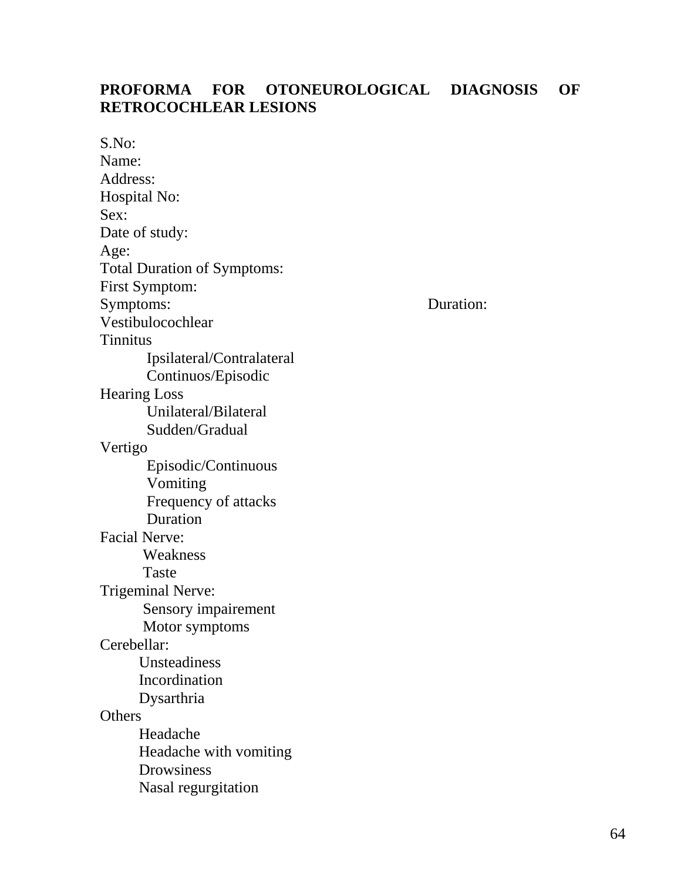## **PROFORMA FOR OTONEUROLOGICAL DIAGNOSIS OF RETROCOCHLEAR LESIONS**

S.No: Name: Address: Hospital No: Sex: Date of study: Age: Total Duration of Symptoms: First Symptom: Symptoms: Duration: Vestibulocochlear Tinnitus Ipsilateral/Contralateral Continuos/Episodic Hearing Loss Unilateral/Bilateral Sudden/Gradual Vertigo Episodic/Continuous Vomiting Frequency of attacks Duration Facial Nerve: Weakness Taste Trigeminal Nerve: Sensory impairement Motor symptoms Cerebellar: Unsteadiness Incordination Dysarthria **Others**  Headache Headache with vomiting Drowsiness Nasal regurgitation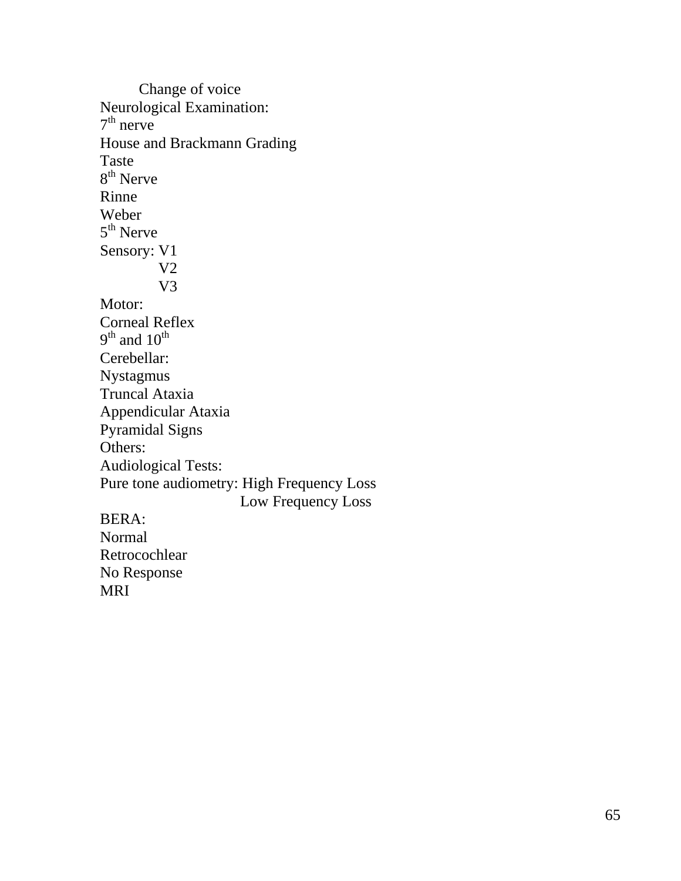Change of voice Neurological Examination:  $7<sup>th</sup>$  nerve House and Brackmann Grading Taste 8<sup>th</sup> Nerve Rinne Weber 5<sup>th</sup> Nerve Sensory: V1 V2 V3 Motor: Corneal Reflex  $9<sup>th</sup>$  and  $10<sup>th</sup>$ Cerebellar: Nystagmus Truncal Ataxia Appendicular Ataxia Pyramidal Signs Others: Audiological Tests: Pure tone audiometry: High Frequency Loss Low Frequency Loss BERA: Normal Retrocochlear No Response

MRI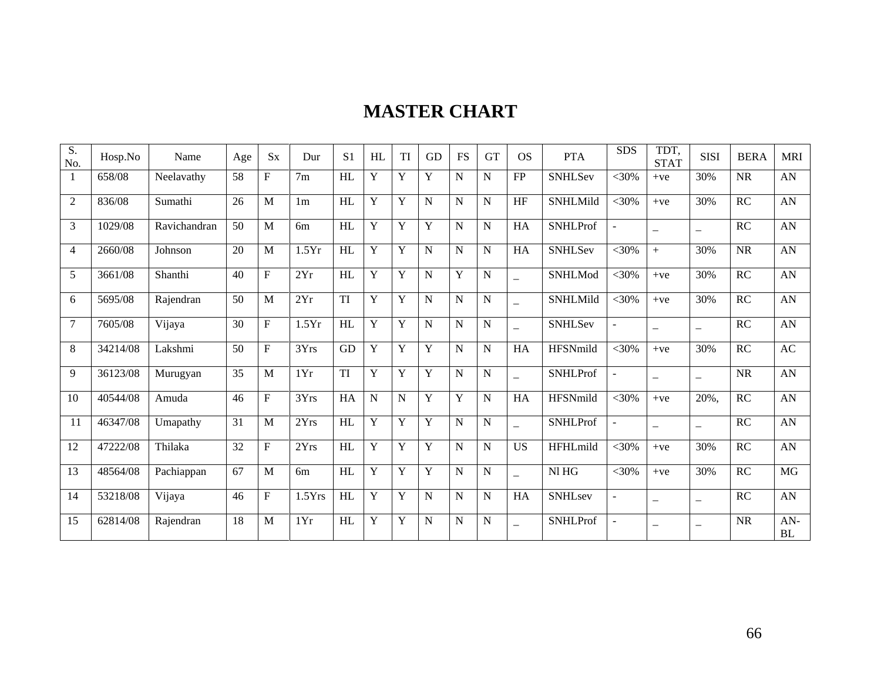# **MASTER CHART**

| $\overline{S}$ .<br>No. | Hosp.No  | Name         | Age | <b>Sx</b>      | Dur            | S <sub>1</sub> | HL | TI          | <b>GD</b> | <b>FS</b>   | <b>GT</b>   | <b>OS</b>                | <b>PTA</b>      | <b>SDS</b>     | TDT.<br><b>STAT</b>      | <b>SISI</b>              | <b>BERA</b>            | <b>MRI</b>       |
|-------------------------|----------|--------------|-----|----------------|----------------|----------------|----|-------------|-----------|-------------|-------------|--------------------------|-----------------|----------------|--------------------------|--------------------------|------------------------|------------------|
| $\mathbf{1}$            | 658/08   | Neelavathy   | 58  | F              | 7 <sub>m</sub> | HL             | Y  | Y           | Y         | N           | $\mathbf N$ | FP                       | <b>SNHLSev</b>  | $<$ 30%        | $+ve$                    | 30%                      | <b>NR</b>              | AN               |
| $\overline{2}$          | 836/08   | Sumathi      | 26  | M              | 1 <sub>m</sub> | HL             | Y  | Y           | N         | N           | $\mathbf N$ | HF                       | <b>SNHLMild</b> | $<$ 30%        | $+ve$                    | 30%                      | RC                     | AN               |
| 3                       | 1029/08  | Ravichandran | 50  | M              | 6m             | HL             | Y  | Y           | Y         | $\mathbf N$ | $\mathbf N$ | HA                       | <b>SNHLProf</b> | $\sim$         | $\overline{\phantom{0}}$ | $\overline{\phantom{0}}$ | <b>RC</b>              | AN               |
| 4                       | 2660/08  | Johnson      | 20  | M              | 1.5Yr          | HL             | Y  | Y           | N         | N           | $\mathbf N$ | HA                       | <b>SNHLSev</b>  | $<$ 30%        | $^{+}$                   | 30%                      | <b>NR</b>              | AN               |
| 5                       | 3661/08  | Shanthi      | 40  | $\overline{F}$ | 2Yr            | HL             | Y  | Y           | N         | Y           | $\mathbf N$ | $\equiv$                 | SNHLMod         | $<$ 30%        | $+ve$                    | 30%                      | RC                     | AN               |
| 6                       | 5695/08  | Rajendran    | 50  | M              | 2Yr            | <b>TI</b>      | Y  | Y           | N         | N           | $\mathbf N$ | $\equiv$                 | SNHLMild        | $<$ 30%        | $+ve$                    | 30%                      | RC                     | AN               |
| 7                       | 7605/08  | Vijaya       | 30  | F              | 1.5Yr          | HL             | Y  | Y           | N         | N           | $\mathbf N$ | $\qquad \qquad -$        | <b>SNHLSev</b>  | $\overline{a}$ | $\overline{\phantom{0}}$ | $\overline{\phantom{0}}$ | <b>RC</b>              | AN               |
| 8                       | 34214/08 | Lakshmi      | 50  | F              | 3Yrs           | <b>GD</b>      | Y  | Y           | Y         | N           | N           | HA                       | HFSNmild        | $<$ 30%        | $+ve$                    | 30%                      | <b>RC</b>              | AC               |
| 9                       | 36123/08 | Murugyan     | 35  | M              | 1Yr            | TI             | Y  | Y           | Y         | N           | $\mathbf N$ | $\overline{\phantom{0}}$ | <b>SNHLProf</b> | $\overline{a}$ | $\overline{\phantom{0}}$ | $\overline{\phantom{0}}$ | <b>NR</b>              | AN               |
| 10                      | 40544/08 | Amuda        | 46  | F              | 3Yrs           | HA             | N  | $\mathbf N$ | Y         | $\mathbf Y$ | $\mathbf N$ | HA                       | <b>HFSNmild</b> | $<$ 30%        | $+ve$                    | 20%.                     | <b>RC</b>              | AN               |
| 11                      | 46347/08 | Umapathy     | 31  | M              | 2Yrs           | HL             | Y  | Y           | Y         | N           | N           |                          | <b>SNHLProf</b> | L.             | $\equiv$                 | $\equiv$                 | <b>RC</b>              | AN               |
| 12                      | 47222/08 | Thilaka      | 32  | $\mathbf F$    | 2Yrs           | HL             | Y  | Y           | Y         | N           | $\mathbf N$ | <b>US</b>                | <b>HFHLmild</b> | $<$ 30%        | $+ve$                    | 30%                      | $\mathbb{R}\mathbb{C}$ | ${\rm AN}$       |
| 13                      | 48564/08 | Pachiappan   | 67  | M              | 6 <sub>m</sub> | HL             | Y  | Y           | Y         | N           | $\mathbf N$ | $\overline{\phantom{0}}$ | Nl HG           | $<$ 30%        | $+ve$                    | 30%                      | RC                     | <b>MG</b>        |
| 14                      | 53218/08 | Vijaya       | 46  | F              | 1.5Yrs         | HL             | Y  | Y           | N         | N           | $\mathbf N$ | HA                       | <b>SNHLsev</b>  | $\overline{a}$ | $\equiv$                 | $\overline{\phantom{0}}$ | <b>RC</b>              | AN               |
| 15                      | 62814/08 | Rajendran    | 18  | M              | 1Yr            | HL             | Y  | Y           | N         | N           | N           | $\qquad \qquad$          | <b>SNHLProf</b> | L.             | $\overline{\phantom{0}}$ |                          | <b>NR</b>              | AN-<br><b>BL</b> |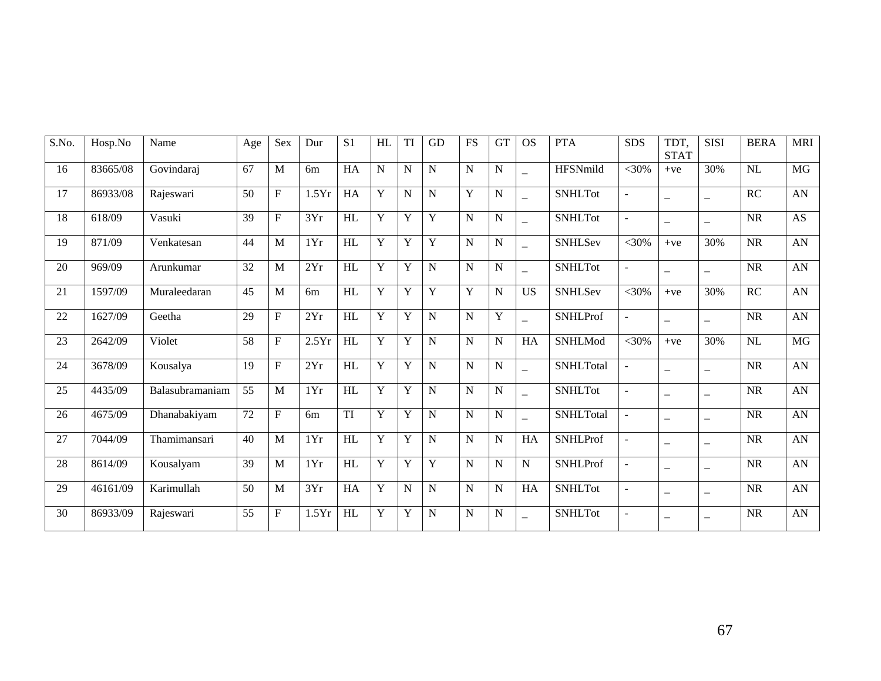| S.No. | Hosp.No  | Name            | Age             | Sex            | Dur            | S <sub>1</sub>         | HL          | TI          | <b>GD</b>   | <b>FS</b> | <b>GT</b>   | <b>OS</b>                | <b>PTA</b>       | <b>SDS</b>     | TDT,<br><b>STAT</b>      | <b>SISI</b>              | <b>BERA</b> | <b>MRI</b>       |
|-------|----------|-----------------|-----------------|----------------|----------------|------------------------|-------------|-------------|-------------|-----------|-------------|--------------------------|------------------|----------------|--------------------------|--------------------------|-------------|------------------|
| 16    | 83665/08 | Govindaraj      | 67              | M              | 6 <sub>m</sub> | HA                     | $\mathbf N$ | $\mathbf N$ | $\mathbf N$ | N         | ${\bf N}$   | $\overline{\phantom{0}}$ | HFSNmild         | $<30\%$        | $+ve$                    | 30%                      | NL          | <b>MG</b>        |
| 17    | 86933/08 | Rajeswari       | 50              | $\mathbf F$    | 1.5Yr          | ${\rm HA}$             | Y           | N           | $\mathbf N$ | Y         | ${\bf N}$   | $\equiv$                 | <b>SNHLTot</b>   | $\blacksquare$ | $\overline{\phantom{0}}$ | $\overline{\phantom{0}}$ | RC          | ${\rm AN}$       |
| 18    | 618/09   | Vasuki          | 39              | ${\bf F}$      | 3Yr            | HL                     | Y           | Y           | Y           | N         | ${\bf N}$   |                          | <b>SNHLTot</b>   | $\sim$         | $\overline{\phantom{m}}$ | $\overline{\phantom{0}}$ | <b>NR</b>   | <b>AS</b>        |
| 19    | 871/09   | Venkatesan      | 44              | $\mathbf{M}$   | 1Yr            | HL                     | Y           | Y           | Y           | N         | ${\bf N}$   | $\overline{\phantom{0}}$ | SNHLSev          | $<$ 30%        | $+ve$                    | 30%                      | <b>NR</b>   | AN               |
| 20    | 969/09   | Arunkumar       | 32              | $\mathbf{M}$   | 2Yr            | HL                     | Y           | Y           | N           | N         | ${\bf N}$   | $\equiv$                 | <b>SNHLTot</b>   | $\equiv$       | $\overline{\phantom{0}}$ | $\overline{\phantom{0}}$ | <b>NR</b>   | ${\rm AN}$       |
| 21    | 1597/09  | Muraleedaran    | 45              | $\mathbf{M}$   | 6m             | HL                     | Y           | $\mathbf Y$ | $\mathbf Y$ | Y         | $\mathbf N$ | <b>US</b>                | <b>SNHLSev</b>   | $<30\%$        | $+ve$                    | 30%                      | RC          | AN               |
| 22    | 1627/09  | Geetha          | 29              | $\mathbf F$    | 2Yr            | HL                     | Y           | Y           | $\mathbf N$ | N         | Y           | $\equiv$                 | <b>SNHLProf</b>  | $\blacksquare$ | $\overline{\phantom{0}}$ | $\overline{\phantom{0}}$ | <b>NR</b>   | AN               |
| 23    | 2642/09  | Violet          | 58              | $\mathbf F$    | 2.5Yr          | HL                     | Y           | Y           | N           | N         | ${\bf N}$   | HA                       | SNHLMod          | $<$ 30%        | $+ve$                    | 30%                      | NL          | $\overline{MG}$  |
| 24    | 3678/09  | Kousalya        | 19              | $\rm F$        | 2Yr            | HL                     | Y           | $\mathbf Y$ | N           | N         | ${\bf N}$   |                          | <b>SNHLTotal</b> | $\blacksquare$ | $\overline{\phantom{0}}$ | $\overline{\phantom{0}}$ | <b>NR</b>   | AN               |
| 25    | 4435/09  | Balasubramaniam | 55              | $\mathbf{M}$   | 1Yr            | HL                     | Y           | Y           | $\mathbf N$ | N         | ${\bf N}$   | $\equiv$                 | <b>SNHLTot</b>   | $\blacksquare$ | $\overline{\phantom{0}}$ | $\overline{\phantom{0}}$ | <b>NR</b>   | AN               |
| 26    | 4675/09  | Dhanabakiyam    | $\overline{72}$ | $\overline{F}$ | 6 <sub>m</sub> | $\overline{\text{TI}}$ | Y           | Y           | $\mathbf N$ | N         | ${\bf N}$   | $\overline{\phantom{0}}$ | <b>SNHLTotal</b> | $\blacksquare$ | $\overline{\phantom{m}}$ | $\qquad \qquad -$        | <b>NR</b>   | $\overline{AN}$  |
| 27    | 7044/09  | Thamimansari    | 40              | $\mathbf{M}$   | 1Yr            | HL                     | Y           | Y           | N           | N         | $\mathbf N$ | HA                       | <b>SNHLProf</b>  | $\overline{a}$ | $\overline{\phantom{0}}$ | $\overline{\phantom{0}}$ | <b>NR</b>   | AN               |
| 28    | 8614/09  | Kousalyam       | 39              | M              | 1Yr            | HL                     | Y           | Y           | Y           | N         | ${\bf N}$   | ${\bf N}$                | <b>SNHLProf</b>  | $\sim$         | $\overline{\phantom{0}}$ | $\equiv$                 | <b>NR</b>   | ${\bf A}{\bf N}$ |
| 29    | 46161/09 | Karimullah      | 50              | $\mathbf{M}$   | 3Yr            | HA                     | Y           | N           | N           | N         | ${\bf N}$   | ${\rm HA}$               | <b>SNHLTot</b>   | $\blacksquare$ | $\overline{\phantom{m}}$ | $\overline{\phantom{0}}$ | <b>NR</b>   | ${\rm AN}$       |
| 30    | 86933/09 | Rajeswari       | 55              | ${\bf F}$      | 1.5Yr          | HL                     | Y           | Y           | N           | N         | ${\bf N}$   |                          | <b>SNHLTot</b>   | $\overline{a}$ | —                        | —                        | <b>NR</b>   | AN               |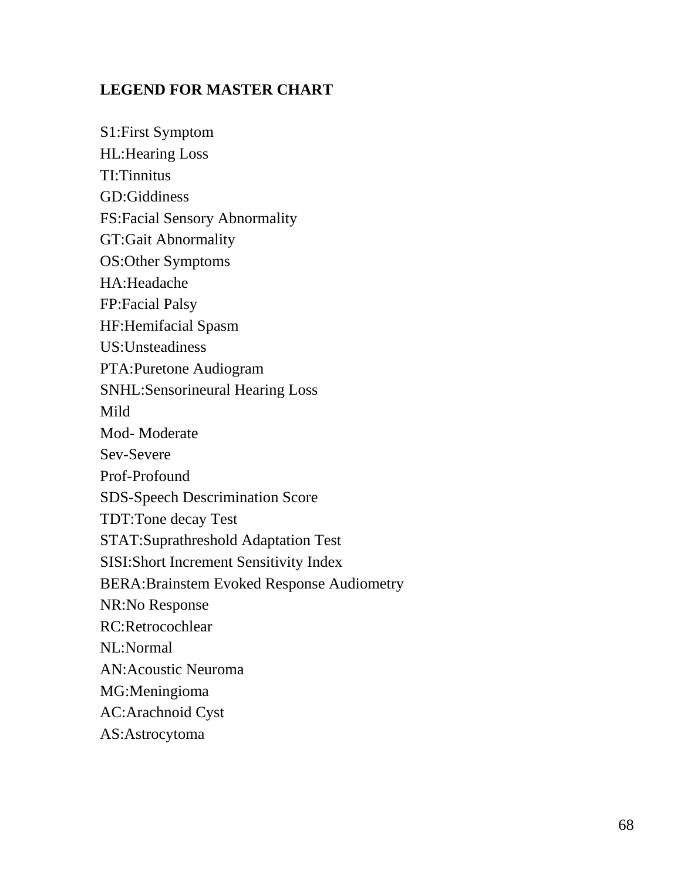## **LEGEND FOR MASTER CHART**

S1:First Symptom HL:Hearing Loss TI:Tinnitus GD:Giddiness FS:Facial Sensory Abnormality GT:Gait Abnormality OS:Other Symptoms HA:Headache FP:Facial Palsy HF:Hemifacial Spasm US:Unsteadiness PTA:Puretone Audiogram SNHL:Sensorineural Hearing Loss Mild Mod- Moderate Sev-Severe Prof-Profound SDS-Speech Descrimination Score TDT:Tone decay Test STAT:Suprathreshold Adaptation Test SISI:Short Increment Sensitivity Index BERA:Brainstem Evoked Response Audiometry NR:No Response RC:Retrocochlear NL:Normal AN:Acoustic Neuroma MG:Meningioma AC:Arachnoid Cyst AS:Astrocytoma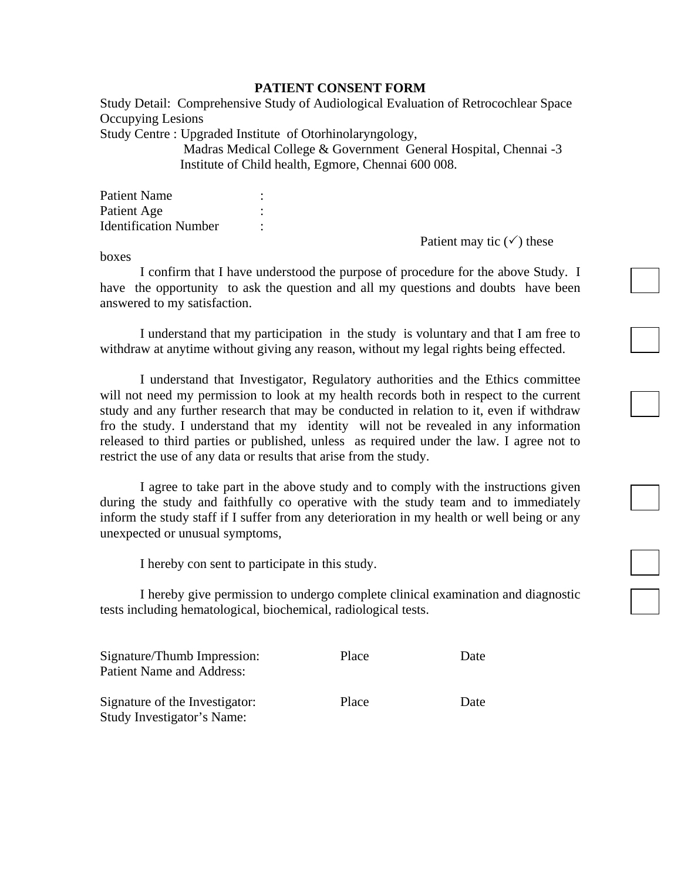#### **PATIENT CONSENT FORM**

Study Detail: Comprehensive Study of Audiological Evaluation of Retrocochlear Space Occupying Lesions

Study Centre : Upgraded Institute of Otorhinolaryngology,

Madras Medical College & Government General Hospital, Chennai -3 Institute of Child health, Egmore, Chennai 600 008.

| <b>Patient Name</b>          |  |
|------------------------------|--|
| Patient Age                  |  |
| <b>Identification Number</b> |  |

Patient may tic  $(\checkmark)$  these

boxes

I confirm that I have understood the purpose of procedure for the above Study. I have the opportunity to ask the question and all my questions and doubts have been answered to my satisfaction.

I understand that my participation in the study is voluntary and that I am free to withdraw at anytime without giving any reason, without my legal rights being effected.

I understand that Investigator, Regulatory authorities and the Ethics committee will not need my permission to look at my health records both in respect to the current study and any further research that may be conducted in relation to it, even if withdraw fro the study. I understand that my identity will not be revealed in any information released to third parties or published, unless as required under the law. I agree not to restrict the use of any data or results that arise from the study.

I agree to take part in the above study and to comply with the instructions given during the study and faithfully co operative with the study team and to immediately inform the study staff if I suffer from any deterioration in my health or well being or any unexpected or unusual symptoms,

I hereby con sent to participate in this study.

I hereby give permission to undergo complete clinical examination and diagnostic tests including hematological, biochemical, radiological tests.

| Signature/Thumb Impression:<br><b>Patient Name and Address:</b> | Place | Date |
|-----------------------------------------------------------------|-------|------|
| Signature of the Investigator:<br>Study Investigator's Name:    | Place | Date |